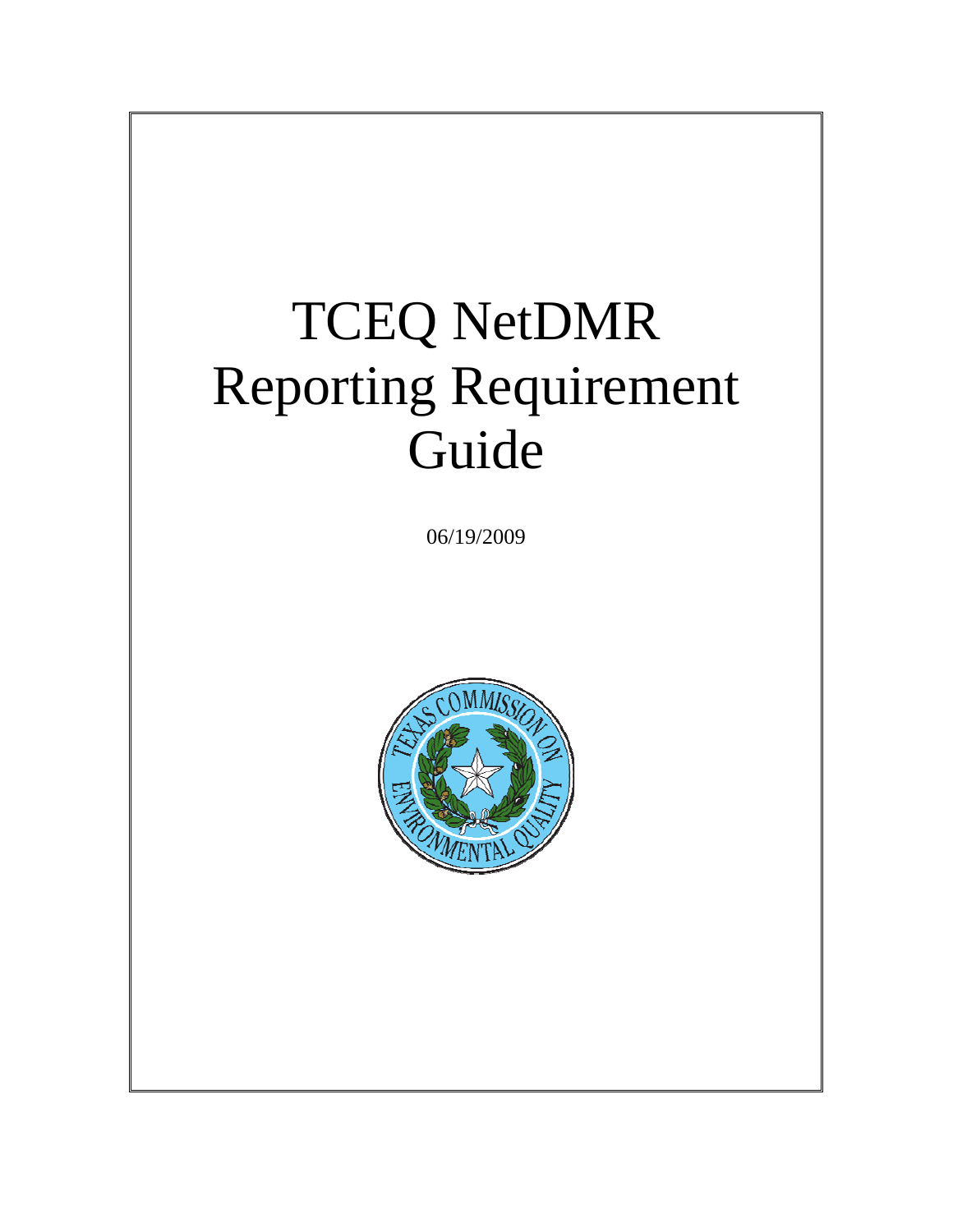# TCEQ NetDMR Reporting Requirement Guide

06/19/2009

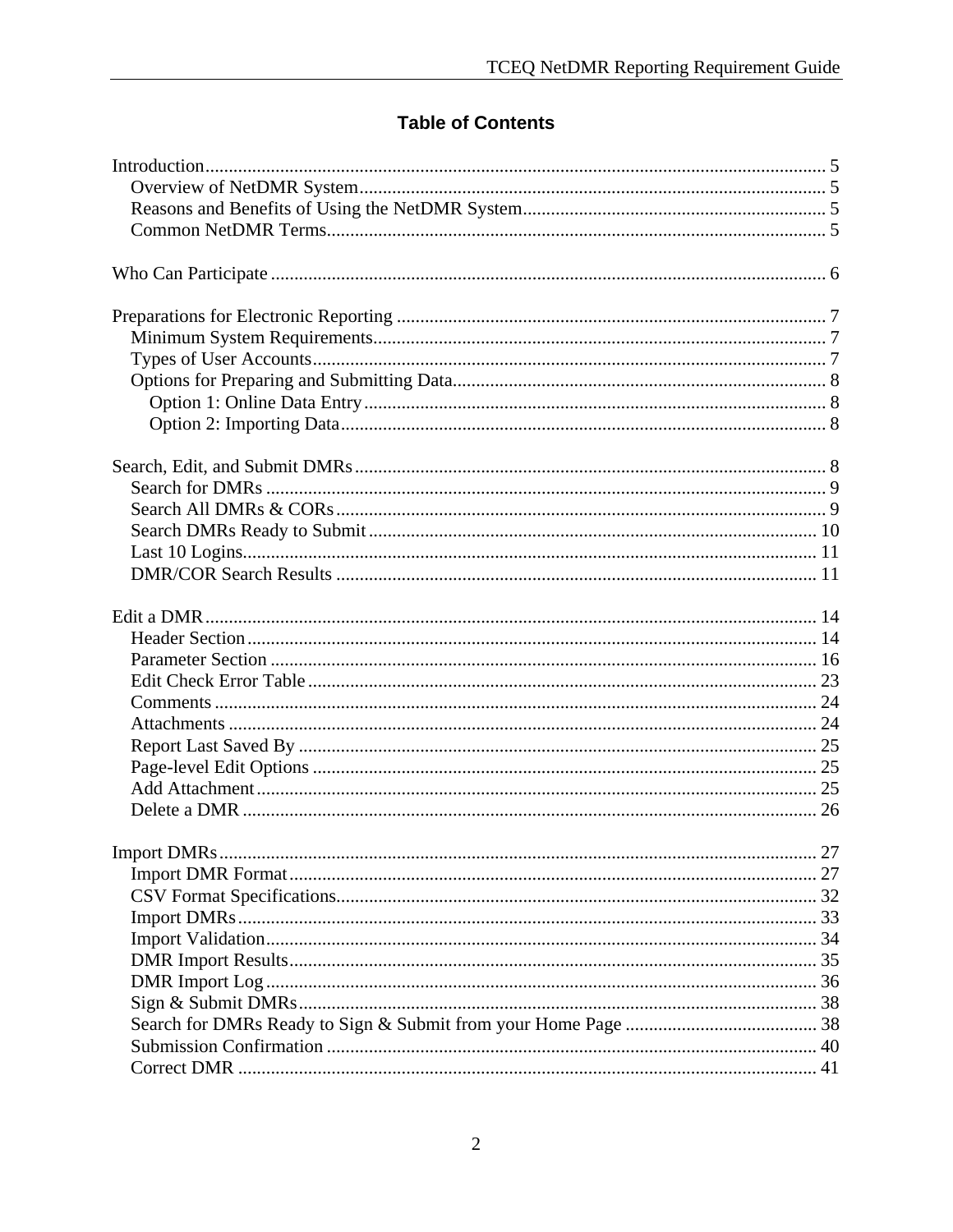# **Table of Contents**

| 27 |
|----|
|    |
|    |
|    |
|    |
|    |
|    |
|    |
|    |
|    |
|    |
|    |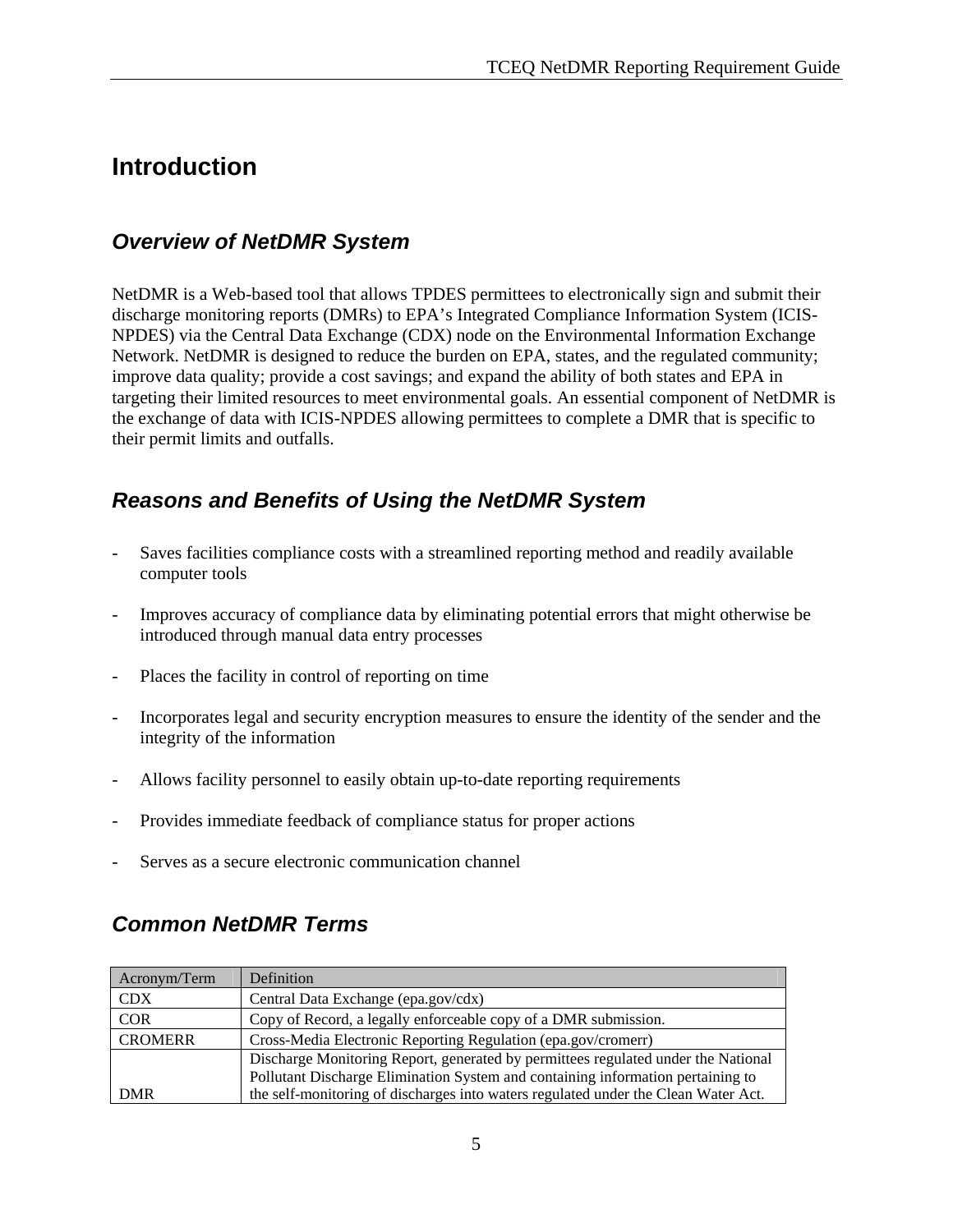# **Introduction**

# *Overview of NetDMR System*

NetDMR is a Web-based tool that allows TPDES permittees to electronically sign and submit their discharge monitoring reports (DMRs) to EPA's Integrated Compliance Information System (ICIS-NPDES) via the Central Data Exchange (CDX) node on the Environmental Information Exchange Network. NetDMR is designed to reduce the burden on EPA, states, and the regulated community; improve data quality; provide a cost savings; and expand the ability of both states and EPA in targeting their limited resources to meet environmental goals. An essential component of NetDMR is the exchange of data with ICIS-NPDES allowing permittees to complete a DMR that is specific to their permit limits and outfalls.

# *Reasons and Benefits of Using the NetDMR System*

- Saves facilities compliance costs with a streamlined reporting method and readily available computer tools
- Improves accuracy of compliance data by eliminating potential errors that might otherwise be introduced through manual data entry processes
- Places the facility in control of reporting on time
- Incorporates legal and security encryption measures to ensure the identity of the sender and the integrity of the information
- Allows facility personnel to easily obtain up-to-date reporting requirements
- Provides immediate feedback of compliance status for proper actions
- Serves as a secure electronic communication channel

# *Common NetDMR Terms*

| Acronym/Term   | Definition                                                                         |  |
|----------------|------------------------------------------------------------------------------------|--|
| <b>CDX</b>     | Central Data Exchange (epa.gov/cdx)                                                |  |
| <b>COR</b>     | Copy of Record, a legally enforceable copy of a DMR submission.                    |  |
| <b>CROMERR</b> | Cross-Media Electronic Reporting Regulation (epa.gov/cromerr)                      |  |
|                | Discharge Monitoring Report, generated by permittees regulated under the National  |  |
|                | Pollutant Discharge Elimination System and containing information pertaining to    |  |
| <b>DMR</b>     | the self-monitoring of discharges into waters regulated under the Clean Water Act. |  |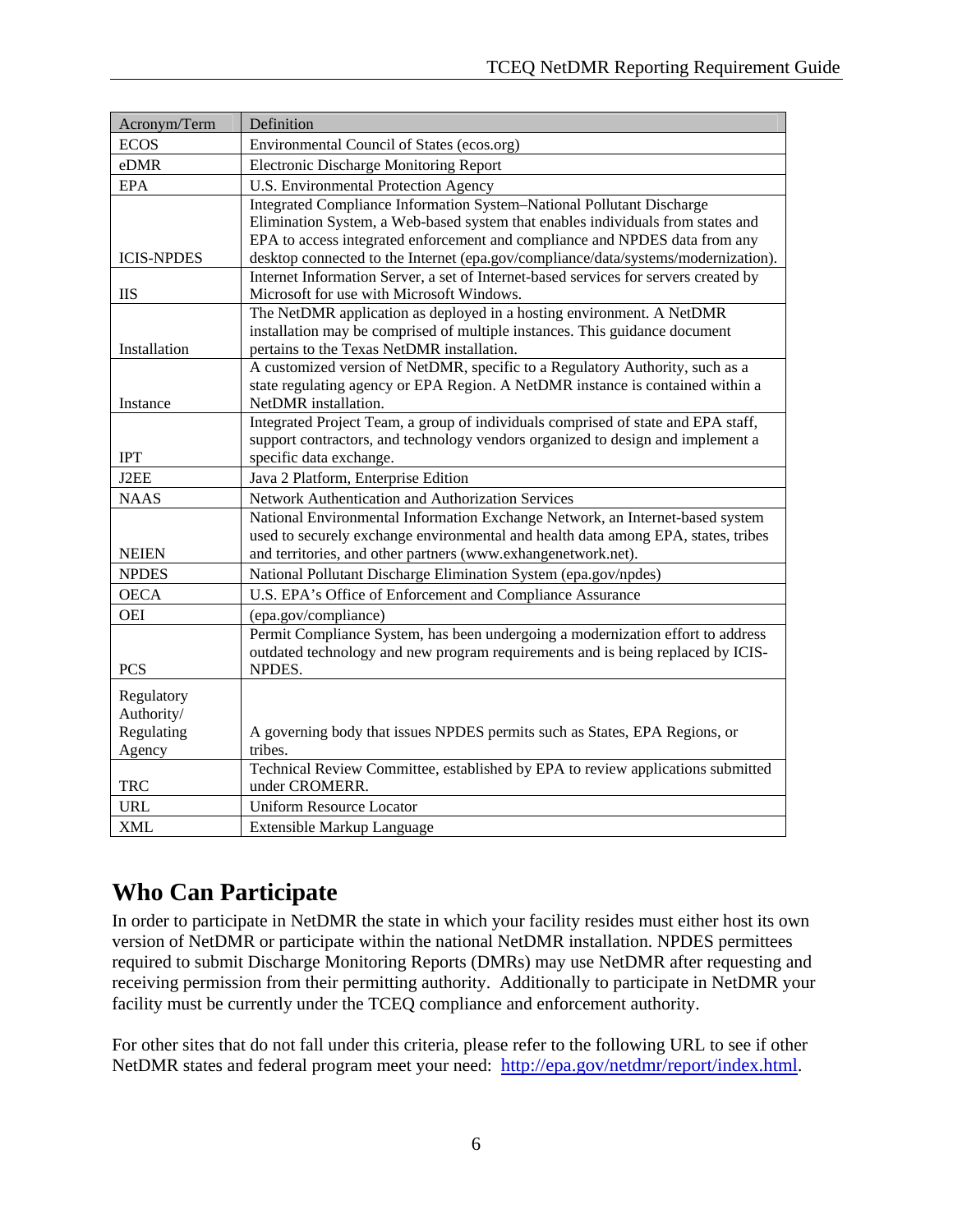| Acronym/Term                                     | Definition                                                                                                                                                                                                                                                                                                                           |
|--------------------------------------------------|--------------------------------------------------------------------------------------------------------------------------------------------------------------------------------------------------------------------------------------------------------------------------------------------------------------------------------------|
| <b>ECOS</b>                                      | Environmental Council of States (ecos.org)                                                                                                                                                                                                                                                                                           |
| eDMR                                             | <b>Electronic Discharge Monitoring Report</b>                                                                                                                                                                                                                                                                                        |
| <b>EPA</b>                                       | U.S. Environmental Protection Agency                                                                                                                                                                                                                                                                                                 |
| <b>ICIS-NPDES</b>                                | <b>Integrated Compliance Information System-National Pollutant Discharge</b><br>Elimination System, a Web-based system that enables individuals from states and<br>EPA to access integrated enforcement and compliance and NPDES data from any<br>desktop connected to the Internet (epa.gov/compliance/data/systems/modernization). |
| <b>IIS</b>                                       | Internet Information Server, a set of Internet-based services for servers created by<br>Microsoft for use with Microsoft Windows.                                                                                                                                                                                                    |
| Installation                                     | The NetDMR application as deployed in a hosting environment. A NetDMR<br>installation may be comprised of multiple instances. This guidance document<br>pertains to the Texas NetDMR installation.                                                                                                                                   |
| Instance                                         | A customized version of NetDMR, specific to a Regulatory Authority, such as a<br>state regulating agency or EPA Region. A NetDMR instance is contained within a<br>NetDMR installation.                                                                                                                                              |
| <b>IPT</b>                                       | Integrated Project Team, a group of individuals comprised of state and EPA staff,<br>support contractors, and technology vendors organized to design and implement a<br>specific data exchange.                                                                                                                                      |
| J2EE                                             | Java 2 Platform, Enterprise Edition                                                                                                                                                                                                                                                                                                  |
| <b>NAAS</b>                                      | Network Authentication and Authorization Services                                                                                                                                                                                                                                                                                    |
| <b>NEIEN</b>                                     | National Environmental Information Exchange Network, an Internet-based system<br>used to securely exchange environmental and health data among EPA, states, tribes<br>and territories, and other partners (www.exhangenetwork.net).                                                                                                  |
| <b>NPDES</b>                                     | National Pollutant Discharge Elimination System (epa.gov/npdes)                                                                                                                                                                                                                                                                      |
| <b>OECA</b>                                      | U.S. EPA's Office of Enforcement and Compliance Assurance                                                                                                                                                                                                                                                                            |
| <b>OEI</b>                                       | (epa.gov/compliance)                                                                                                                                                                                                                                                                                                                 |
| <b>PCS</b>                                       | Permit Compliance System, has been undergoing a modernization effort to address<br>outdated technology and new program requirements and is being replaced by ICIS-<br>NPDES.                                                                                                                                                         |
| Regulatory<br>Authority/<br>Regulating<br>Agency | A governing body that issues NPDES permits such as States, EPA Regions, or<br>tribes.                                                                                                                                                                                                                                                |
| <b>TRC</b>                                       | Technical Review Committee, established by EPA to review applications submitted<br>under CROMERR.                                                                                                                                                                                                                                    |
| <b>URL</b>                                       | <b>Uniform Resource Locator</b>                                                                                                                                                                                                                                                                                                      |
| <b>XML</b>                                       | <b>Extensible Markup Language</b>                                                                                                                                                                                                                                                                                                    |

# **Who Can Participate**

In order to participate in NetDMR the state in which your facility resides must either host its own version of NetDMR or participate within the national NetDMR installation. NPDES permittees required to submit Discharge Monitoring Reports (DMRs) may use NetDMR after requesting and receiving permission from their permitting authority. Additionally to participate in NetDMR your facility must be currently under the TCEQ compliance and enforcement authority.

For other sites that do not fall under this criteria, please refer to the following URL to see if other NetDMR states and federal program meet your need: http://epa.gov/netdmr/report/index.html.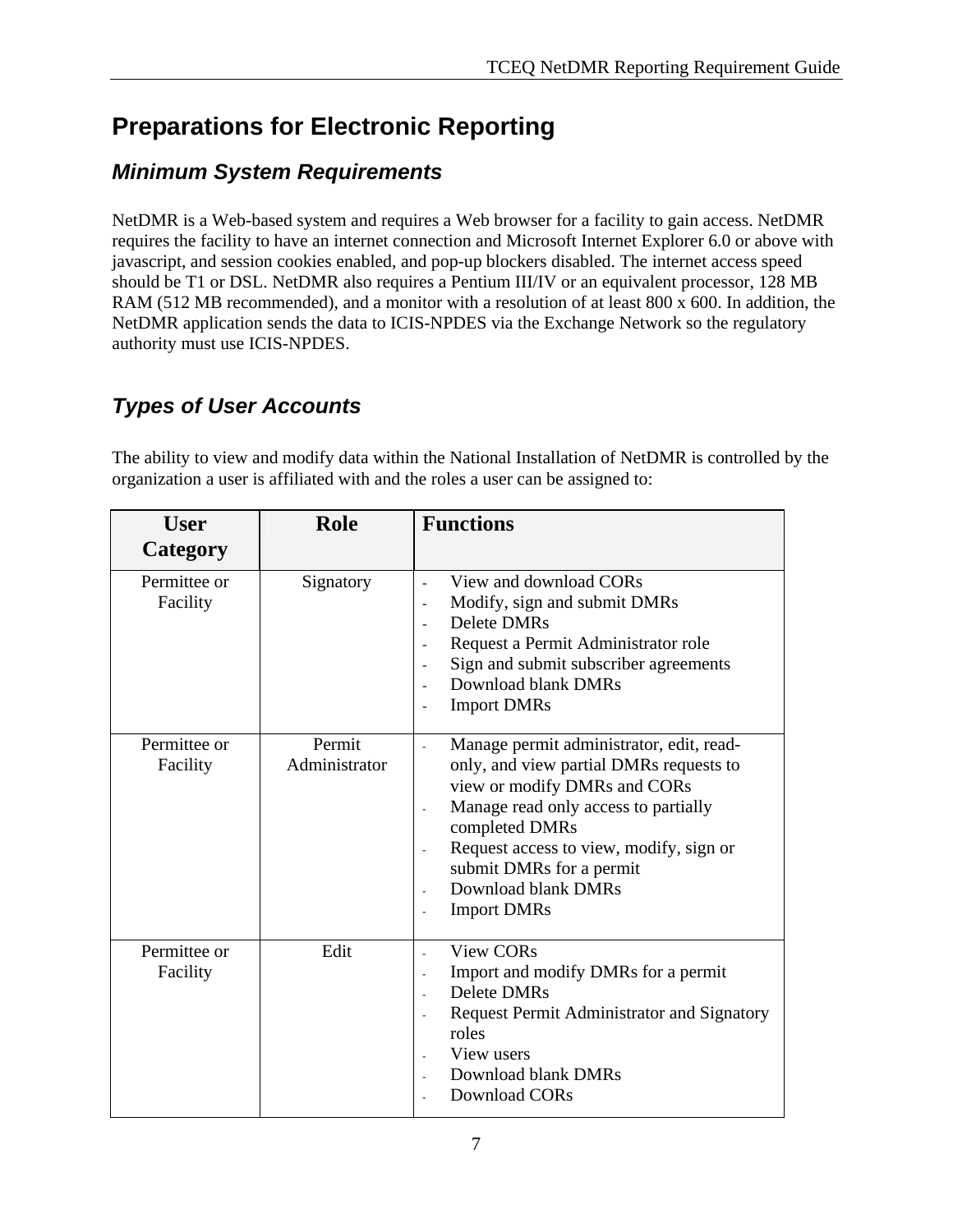# **Preparations for Electronic Reporting**

# *Minimum System Requirements*

NetDMR is a Web-based system and requires a Web browser for a facility to gain access. NetDMR requires the facility to have an internet connection and Microsoft Internet Explorer 6.0 or above with javascript, and session cookies enabled, and pop-up blockers disabled. The internet access speed should be T1 or DSL. NetDMR also requires a Pentium III/IV or an equivalent processor, 128 MB RAM (512 MB recommended), and a monitor with a resolution of at least 800 x 600. In addition, the NetDMR application sends the data to ICIS-NPDES via the Exchange Network so the regulatory authority must use ICIS-NPDES.

# *Types of User Accounts*

The ability to view and modify data within the National Installation of NetDMR is controlled by the organization a user is affiliated with and the roles a user can be assigned to:

| <b>User</b>              | <b>Role</b>             | <b>Functions</b>                                                                                                                                                                                                                                                                                  |
|--------------------------|-------------------------|---------------------------------------------------------------------------------------------------------------------------------------------------------------------------------------------------------------------------------------------------------------------------------------------------|
| Category                 |                         |                                                                                                                                                                                                                                                                                                   |
| Permittee or<br>Facility | Signatory               | View and download CORs<br>Modify, sign and submit DMRs<br>Delete DMRs<br>Request a Permit Administrator role<br>Sign and submit subscriber agreements<br>Download blank DMRs<br><b>Import DMRs</b>                                                                                                |
| Permittee or<br>Facility | Permit<br>Administrator | Manage permit administrator, edit, read-<br>only, and view partial DMRs requests to<br>view or modify DMRs and CORs<br>Manage read only access to partially<br>completed DMRs<br>Request access to view, modify, sign or<br>submit DMRs for a permit<br>Download blank DMRs<br><b>Import DMRs</b> |
| Permittee or<br>Facility | Edit                    | <b>View CORs</b><br>Import and modify DMRs for a permit<br><b>Delete DMRs</b><br>Request Permit Administrator and Signatory<br>roles<br>View users<br>Download blank DMRs<br>Download CORs                                                                                                        |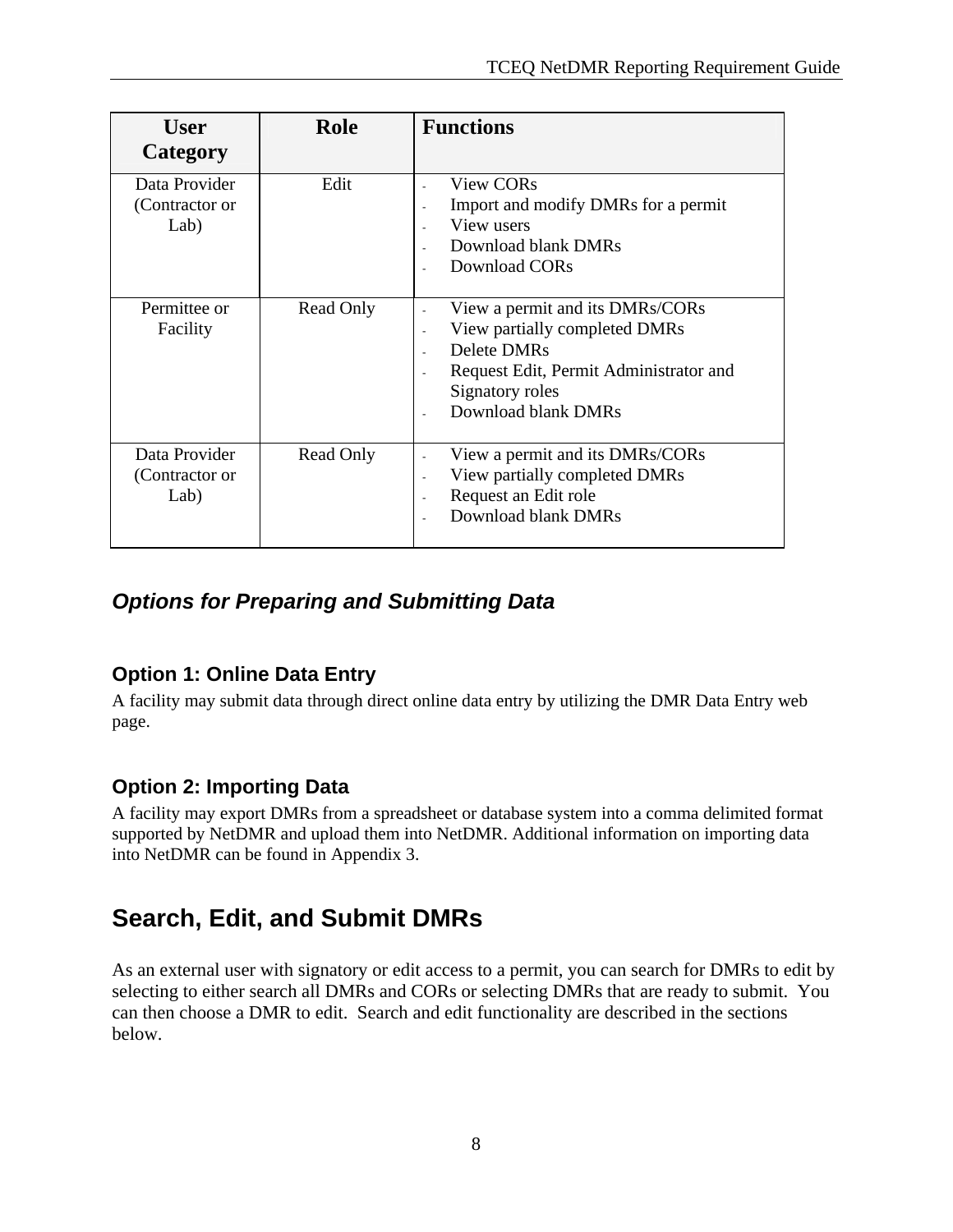| <b>User</b><br>Category                 | Role      | <b>Functions</b>                                                                                                                                                    |
|-----------------------------------------|-----------|---------------------------------------------------------------------------------------------------------------------------------------------------------------------|
| Data Provider<br>(Contractor or<br>Lab) | Edit      | <b>View CORs</b><br>Import and modify DMRs for a permit<br>View users<br>Download blank DMRs<br>Download CORs                                                       |
| Permittee or<br>Facility                | Read Only | View a permit and its DMRs/CORs<br>View partially completed DMRs<br>Delete DMRs<br>Request Edit, Permit Administrator and<br>Signatory roles<br>Download blank DMRs |
| Data Provider<br>(Contractor or<br>Lab) | Read Only | View a permit and its DMRs/CORs<br>View partially completed DMRs<br>$\sim$<br>Request an Edit role<br>Download blank DMRs                                           |

# *Options for Preparing and Submitting Data*

# **Option 1: Online Data Entry**

A facility may submit data through direct online data entry by utilizing the DMR Data Entry web page.

# **Option 2: Importing Data**

A facility may export DMRs from a spreadsheet or database system into a comma delimited format supported by NetDMR and upload them into NetDMR. Additional information on importing data into NetDMR can be found in Appendix 3.

# **Search, Edit, and Submit DMRs**

As an external user with signatory or edit access to a permit, you can search for DMRs to edit by selecting to either search all DMRs and CORs or selecting DMRs that are ready to submit. You can then choose a DMR to edit. Search and edit functionality are described in the sections below.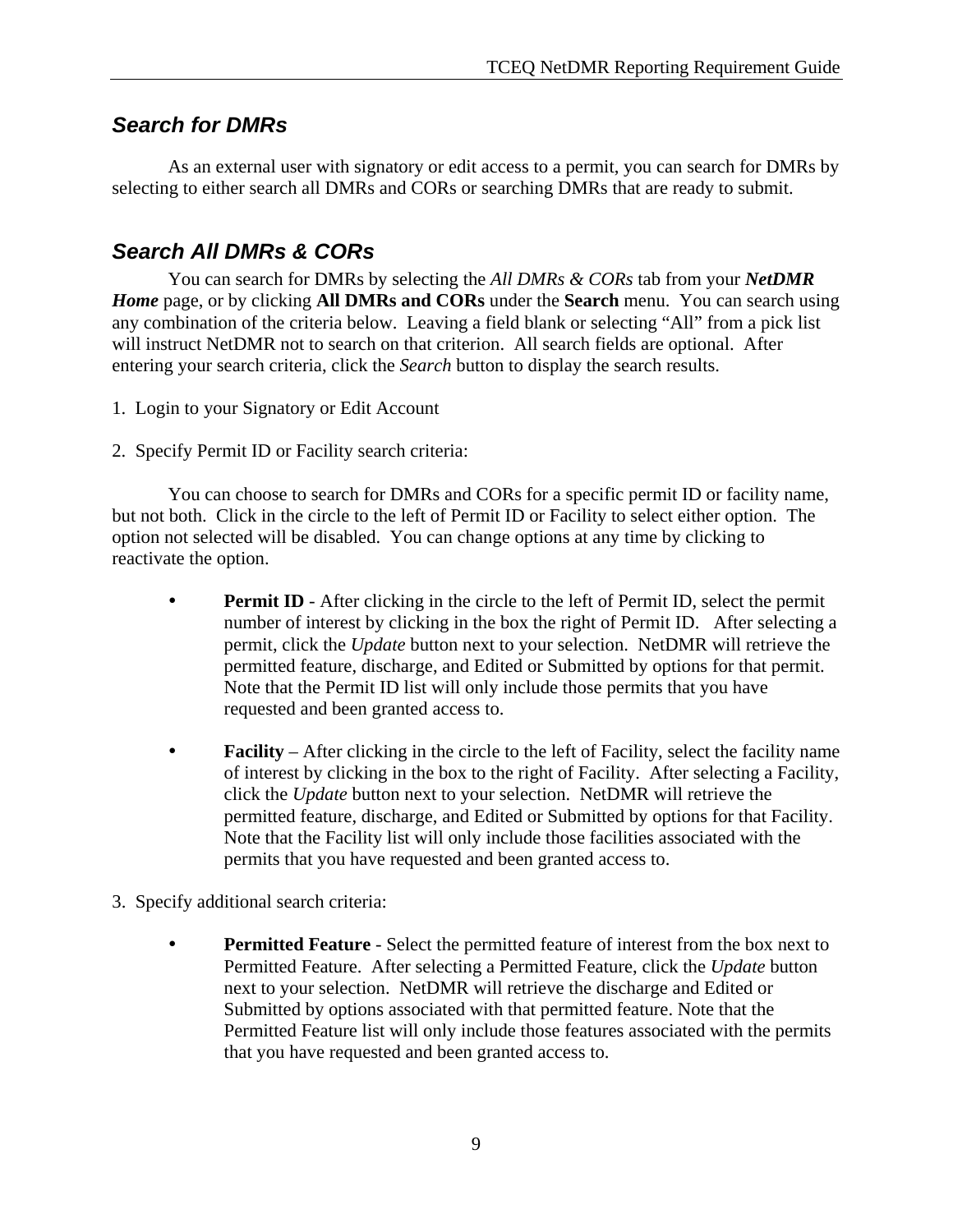# *Search for DMRs*

 As an external user with signatory or edit access to a permit, you can search for DMRs by selecting to either search all DMRs and CORs or searching DMRs that are ready to submit.

# *Search All DMRs & CORs*

 You can search for DMRs by selecting the *All DMRs & CORs* tab from your *NetDMR Home* page, or by clicking **All DMRs and CORs** under the **Search** menu. You can search using any combination of the criteria below. Leaving a field blank or selecting "All" from a pick list will instruct NetDMR not to search on that criterion. All search fields are optional. After entering your search criteria, click the *Search* button to display the search results.

- 1. Login to your Signatory or Edit Account
- 2. Specify Permit ID or Facility search criteria:

 You can choose to search for DMRs and CORs for a specific permit ID or facility name, but not both. Click in the circle to the left of Permit ID or Facility to select either option. The option not selected will be disabled. You can change options at any time by clicking to reactivate the option.

- **Permit ID** After clicking in the circle to the left of Permit ID, select the permit number of interest by clicking in the box the right of Permit ID. After selecting a permit, click the *Update* button next to your selection. NetDMR will retrieve the permitted feature, discharge, and Edited or Submitted by options for that permit. Note that the Permit ID list will only include those permits that you have requested and been granted access to.
- **Facility** After clicking in the circle to the left of Facility, select the facility name of interest by clicking in the box to the right of Facility. After selecting a Facility, click the *Update* button next to your selection. NetDMR will retrieve the permitted feature, discharge, and Edited or Submitted by options for that Facility. Note that the Facility list will only include those facilities associated with the permits that you have requested and been granted access to.
- 3. Specify additional search criteria:
	- **Permitted Feature** Select the permitted feature of interest from the box next to Permitted Feature. After selecting a Permitted Feature, click the *Update* button next to your selection. NetDMR will retrieve the discharge and Edited or Submitted by options associated with that permitted feature. Note that the Permitted Feature list will only include those features associated with the permits that you have requested and been granted access to.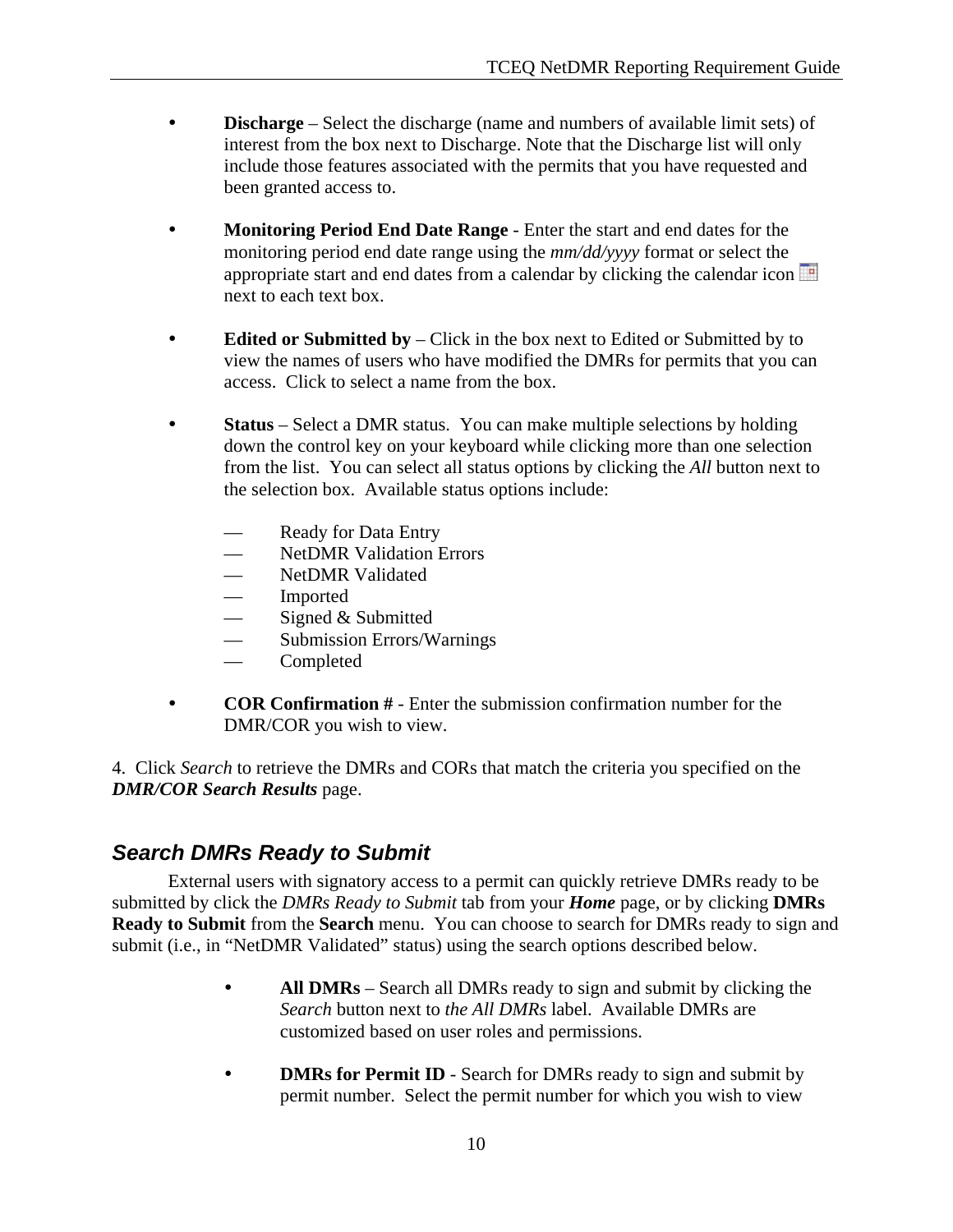- **Discharge** Select the discharge (name and numbers of available limit sets) of interest from the box next to Discharge. Note that the Discharge list will only include those features associated with the permits that you have requested and been granted access to.
- **Monitoring Period End Date Range** Enter the start and end dates for the monitoring period end date range using the *mm/dd/yyyy* format or select the appropriate start and end dates from a calendar by clicking the calendar icon next to each text box.
- **Edited or Submitted by** Click in the box next to Edited or Submitted by to view the names of users who have modified the DMRs for permits that you can access. Click to select a name from the box.
- **Status** Select a DMR status. You can make multiple selections by holding down the control key on your keyboard while clicking more than one selection from the list. You can select all status options by clicking the *All* button next to the selection box. Available status options include:
	- Ready for Data Entry
	- NetDMR Validation Errors
	- NetDMR Validated
	- Imported
	- Signed & Submitted
	- Submission Errors/Warnings
	- Completed
- **COR Confirmation #** Enter the submission confirmation number for the DMR/COR you wish to view.

4. Click *Search* to retrieve the DMRs and CORs that match the criteria you specified on the *DMR/COR Search Results* page.

# *Search DMRs Ready to Submit*

 External users with signatory access to a permit can quickly retrieve DMRs ready to be submitted by click the *DMRs Ready to Submit* tab from your *Home* page, or by clicking **DMRs Ready to Submit** from the **Search** menu. You can choose to search for DMRs ready to sign and submit (i.e., in "NetDMR Validated" status) using the search options described below.

- **All DMRs** Search all DMRs ready to sign and submit by clicking the *Search* button next to *the All DMRs* label. Available DMRs are customized based on user roles and permissions.
- **DMRs for Permit ID** Search for DMRs ready to sign and submit by permit number. Select the permit number for which you wish to view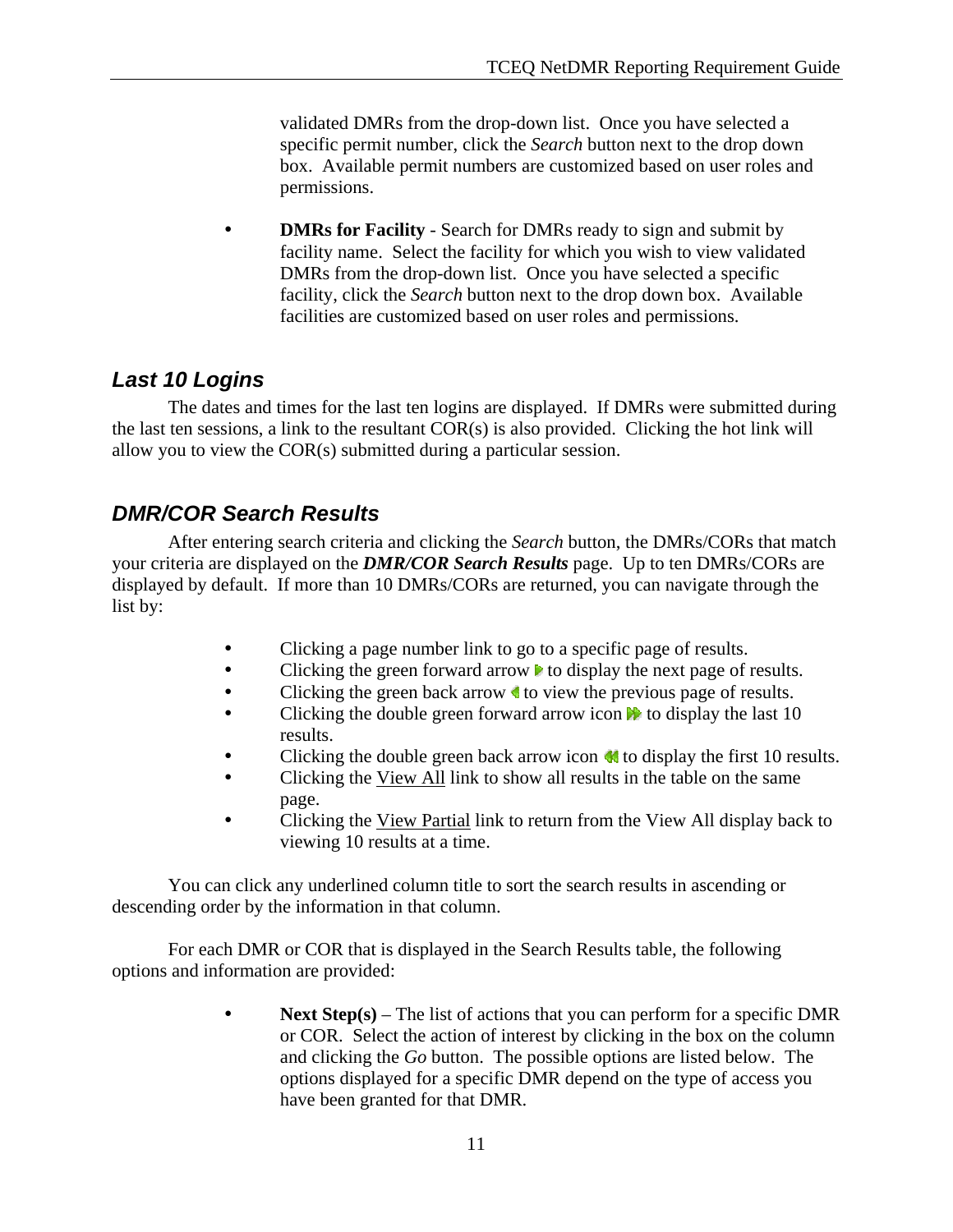validated DMRs from the drop-down list. Once you have selected a specific permit number, click the *Search* button next to the drop down box. Available permit numbers are customized based on user roles and permissions.

**DMRs for Facility** - Search for DMRs ready to sign and submit by facility name. Select the facility for which you wish to view validated DMRs from the drop-down list. Once you have selected a specific facility, click the *Search* button next to the drop down box. Available facilities are customized based on user roles and permissions.

# *Last 10 Logins*

 The dates and times for the last ten logins are displayed. If DMRs were submitted during the last ten sessions, a link to the resultant COR(s) is also provided. Clicking the hot link will allow you to view the COR(s) submitted during a particular session.

# *DMR/COR Search Results*

 After entering search criteria and clicking the *Search* button, the DMRs/CORs that match your criteria are displayed on the *DMR/COR Search Results* page. Up to ten DMRs/CORs are displayed by default. If more than 10 DMRs/CORs are returned, you can navigate through the list by:

- Clicking a page number link to go to a specific page of results.
- $\bullet$  Clicking the green forward arrow  $\bullet$  to display the next page of results.
- Clicking the green back arrow **t** to view the previous page of results.
- Clicking the double green forward arrow icon  $\mathbb{R}$  to display the last 10 results.
- Clicking the double green back arrow icon  $\blacksquare$  to display the first 10 results.
- Clicking the View All link to show all results in the table on the same page.
- Clicking the View Partial link to return from the View All display back to viewing 10 results at a time.

 You can click any underlined column title to sort the search results in ascending or descending order by the information in that column.

 For each DMR or COR that is displayed in the Search Results table, the following options and information are provided:

> **Next Step(s)** – The list of actions that you can perform for a specific DMR or COR. Select the action of interest by clicking in the box on the column and clicking the *Go* button. The possible options are listed below. The options displayed for a specific DMR depend on the type of access you have been granted for that DMR.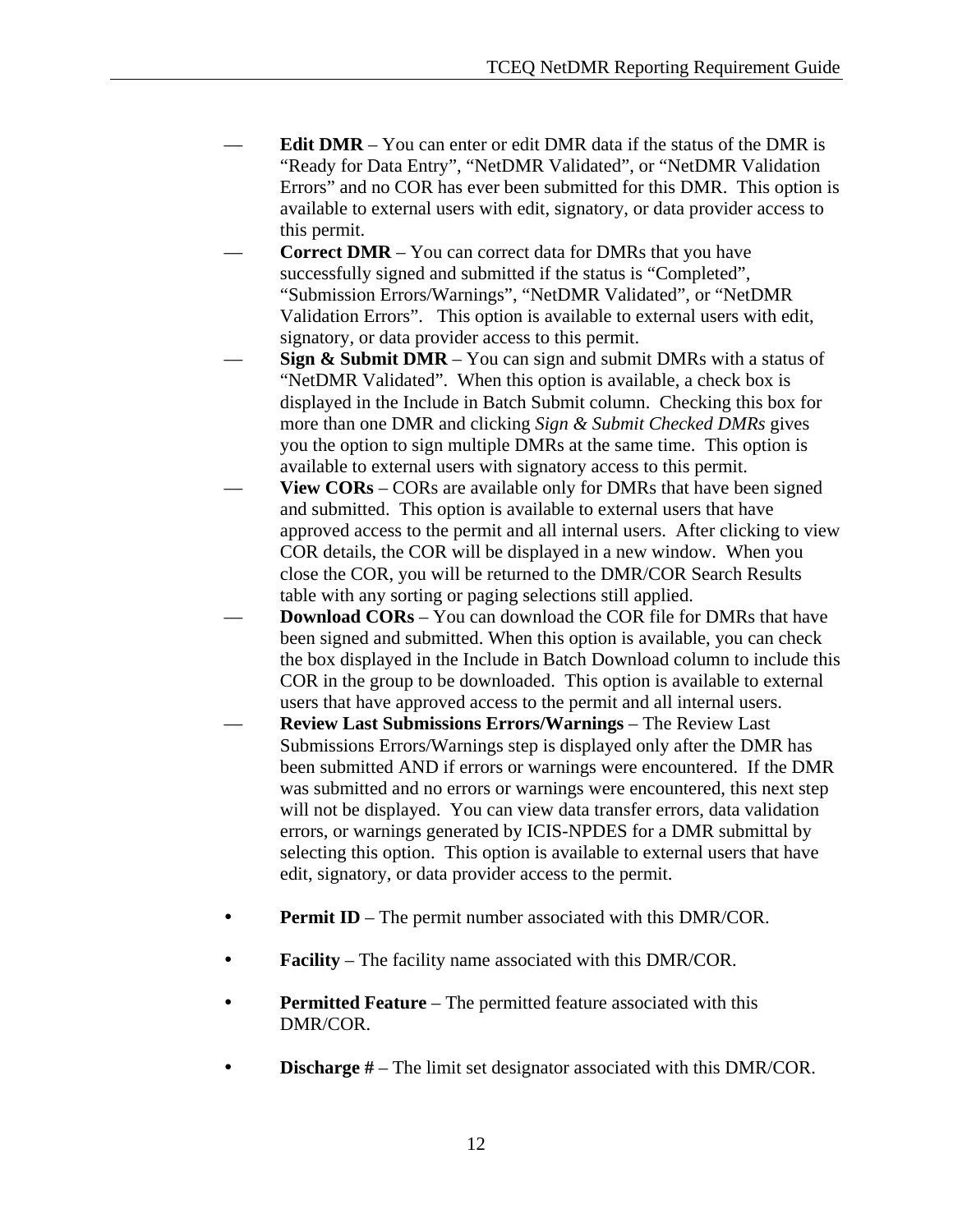- **Edit DMR** You can enter or edit DMR data if the status of the DMR is "Ready for Data Entry", "NetDMR Validated", or "NetDMR Validation Errors" and no COR has ever been submitted for this DMR. This option is available to external users with edit, signatory, or data provider access to this permit.
- **Correct DMR** You can correct data for DMRs that you have successfully signed and submitted if the status is "Completed", "Submission Errors/Warnings", "NetDMR Validated", or "NetDMR Validation Errors". This option is available to external users with edit, signatory, or data provider access to this permit.
- **Sign & Submit DMR** You can sign and submit DMRs with a status of "NetDMR Validated". When this option is available, a check box is displayed in the Include in Batch Submit column. Checking this box for more than one DMR and clicking *Sign & Submit Checked DMRs* gives you the option to sign multiple DMRs at the same time. This option is available to external users with signatory access to this permit.
- **View CORs** CORs are available only for DMRs that have been signed and submitted. This option is available to external users that have approved access to the permit and all internal users. After clicking to view COR details, the COR will be displayed in a new window. When you close the COR, you will be returned to the DMR/COR Search Results table with any sorting or paging selections still applied.
- **Download CORs** You can download the COR file for DMRs that have been signed and submitted. When this option is available, you can check the box displayed in the Include in Batch Download column to include this COR in the group to be downloaded. This option is available to external users that have approved access to the permit and all internal users.
- **Review Last Submissions Errors/Warnings** The Review Last Submissions Errors/Warnings step is displayed only after the DMR has been submitted AND if errors or warnings were encountered. If the DMR was submitted and no errors or warnings were encountered, this next step will not be displayed. You can view data transfer errors, data validation errors, or warnings generated by ICIS-NPDES for a DMR submittal by selecting this option. This option is available to external users that have edit, signatory, or data provider access to the permit.
- **Permit ID** The permit number associated with this DMR/COR.
- **Facility** The facility name associated with this DMR/COR.
- **Permitted Feature** The permitted feature associated with this DMR/COR.
- **Discharge #** The limit set designator associated with this DMR/COR.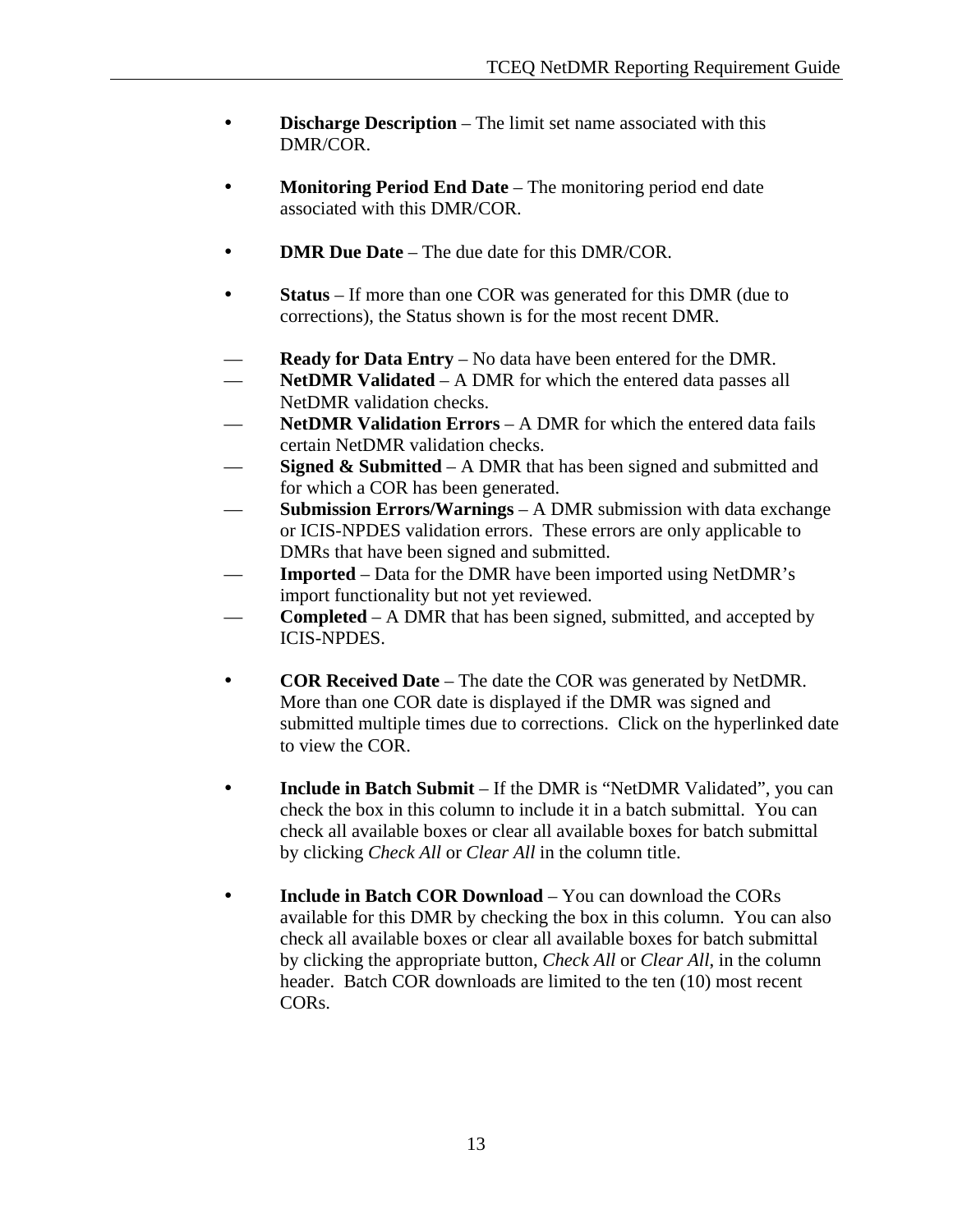- **Discharge Description** The limit set name associated with this DMR/COR.
- **Monitoring Period End Date** The monitoring period end date associated with this DMR/COR.
- **DMR Due Date** The due date for this DMR/COR.
- **Status** If more than one COR was generated for this DMR (due to corrections), the Status shown is for the most recent DMR.
- **Ready for Data Entry** No data have been entered for the DMR.
- **NetDMR Validated** A DMR for which the entered data passes all NetDMR validation checks.
- **NetDMR Validation Errors** A DMR for which the entered data fails certain NetDMR validation checks.
- **Signed & Submitted** A DMR that has been signed and submitted and for which a COR has been generated.
- **Submission Errors/Warnings** A DMR submission with data exchange or ICIS-NPDES validation errors. These errors are only applicable to DMRs that have been signed and submitted.
- **Imported** Data for the DMR have been imported using NetDMR's import functionality but not yet reviewed.
- **Completed** A DMR that has been signed, submitted, and accepted by ICIS-NPDES.
- **COR Received Date** The date the COR was generated by NetDMR. More than one COR date is displayed if the DMR was signed and submitted multiple times due to corrections. Click on the hyperlinked date to view the COR.
- **Include in Batch Submit** If the DMR is "NetDMR Validated", you can check the box in this column to include it in a batch submittal. You can check all available boxes or clear all available boxes for batch submittal by clicking *Check All* or *Clear All* in the column title.
- **Include in Batch COR Download** You can download the CORs available for this DMR by checking the box in this column. You can also check all available boxes or clear all available boxes for batch submittal by clicking the appropriate button, *Check All* or *Clear All*, in the column header. Batch COR downloads are limited to the ten (10) most recent CORs.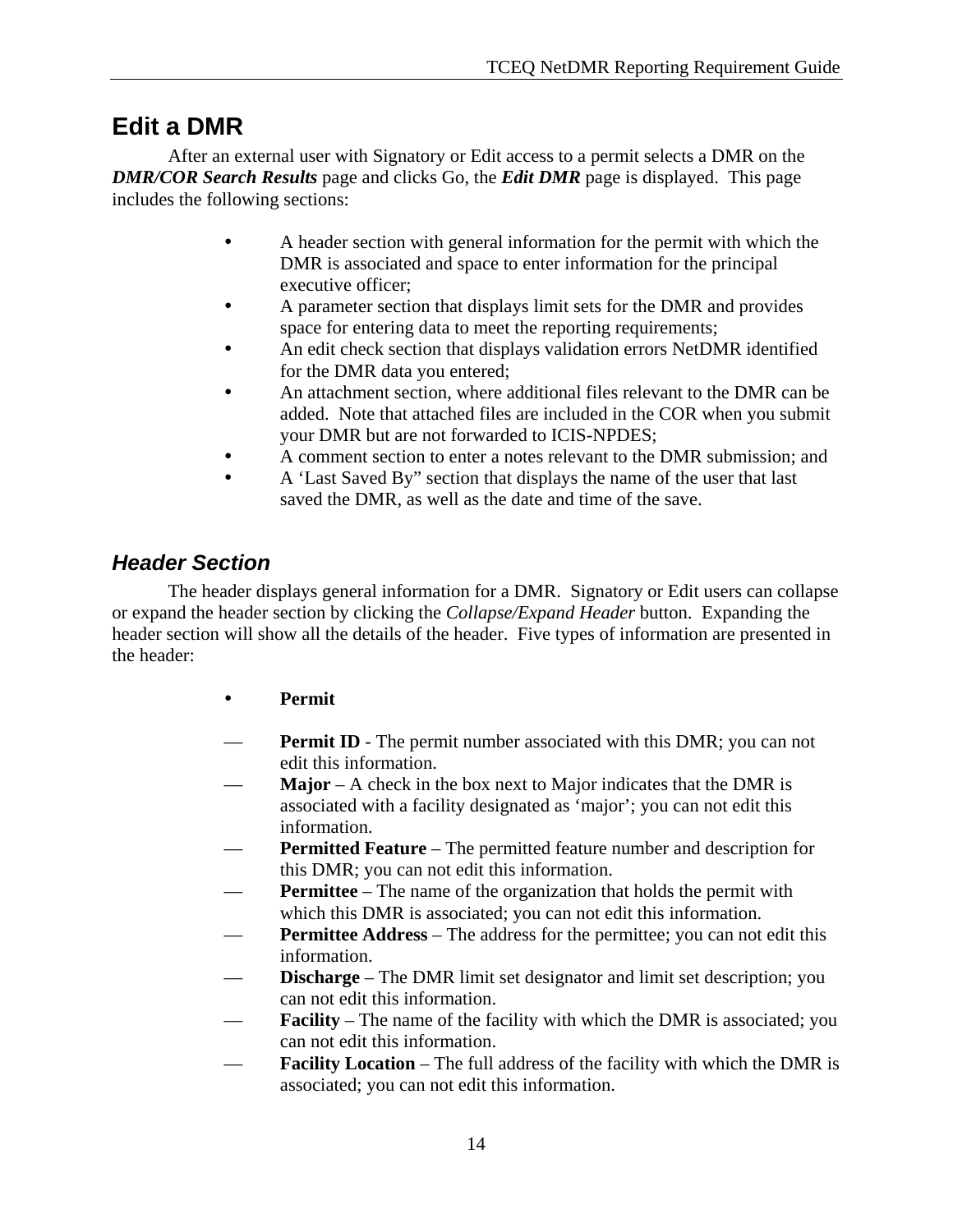# **Edit a DMR**

 After an external user with Signatory or Edit access to a permit selects a DMR on the *DMR/COR Search Results* page and clicks Go, the *Edit DMR* page is displayed. This page includes the following sections:

- A header section with general information for the permit with which the DMR is associated and space to enter information for the principal executive officer;
- A parameter section that displays limit sets for the DMR and provides space for entering data to meet the reporting requirements;
- An edit check section that displays validation errors NetDMR identified for the DMR data you entered;
- An attachment section, where additional files relevant to the DMR can be added. Note that attached files are included in the COR when you submit your DMR but are not forwarded to ICIS-NPDES;
- A comment section to enter a notes relevant to the DMR submission; and
- A 'Last Saved By'' section that displays the name of the user that last saved the DMR, as well as the date and time of the save.

# *Header Section*

 The header displays general information for a DMR. Signatory or Edit users can collapse or expand the header section by clicking the *Collapse/Expand Header* button. Expanding the header section will show all the details of the header. Five types of information are presented in the header:

- **• Permit**
- **Permit ID** The permit number associated with this DMR; you can not edit this information.
- **Major** A check in the box next to Major indicates that the DMR is associated with a facility designated as 'major'; you can not edit this information.
- **Permitted Feature** The permitted feature number and description for this DMR; you can not edit this information.
- **Permittee** The name of the organization that holds the permit with which this DMR is associated; you can not edit this information.
- **Permittee Address** The address for the permittee; you can not edit this information.
- **Discharge** The DMR limit set designator and limit set description; you can not edit this information.
- **Facility** The name of the facility with which the DMR is associated; you can not edit this information.
- **Facility Location** The full address of the facility with which the DMR is associated; you can not edit this information.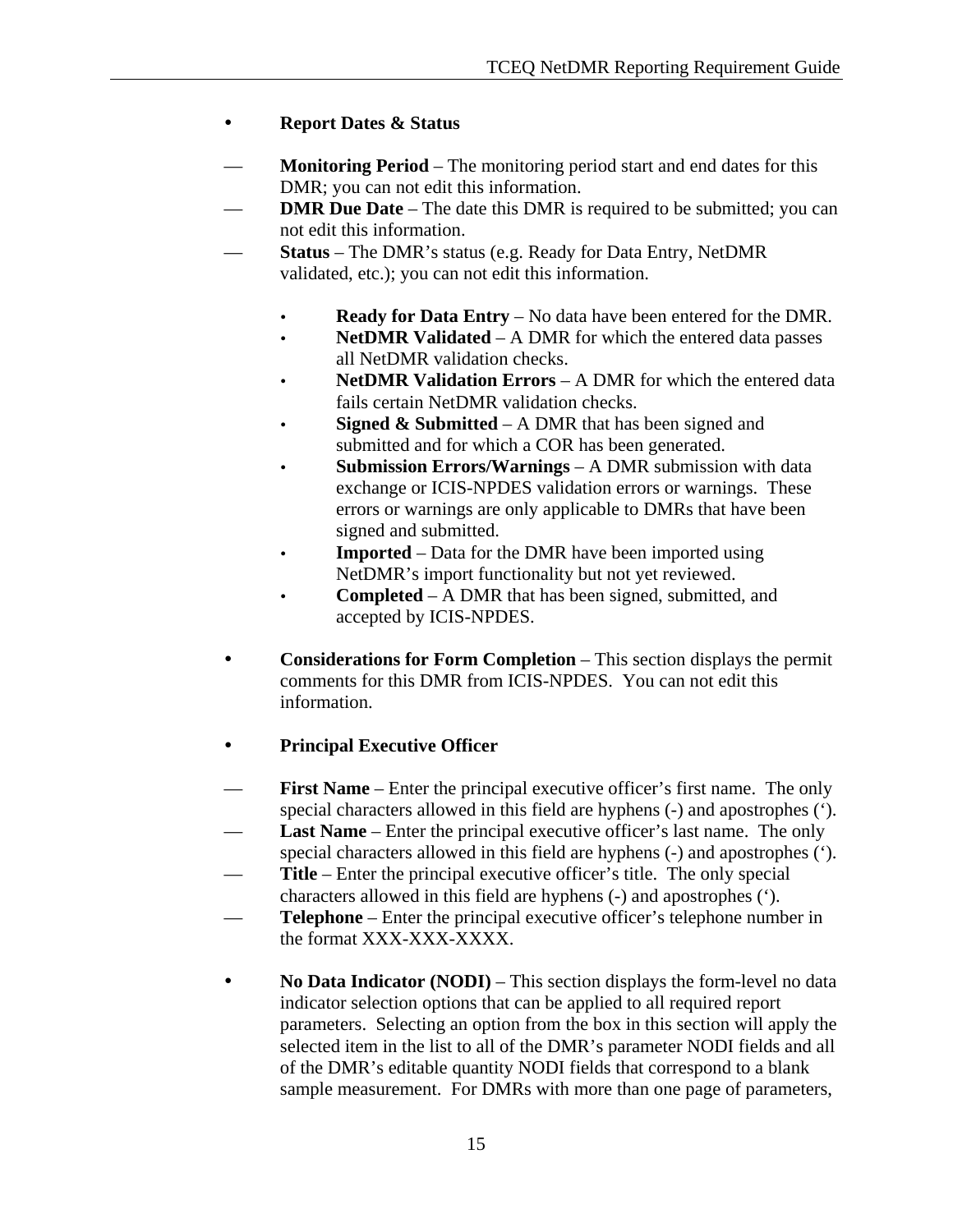### y **Report Dates & Status**

- **Monitoring Period** The monitoring period start and end dates for this DMR; you can not edit this information.
- **DMR Due Date** The date this DMR is required to be submitted; you can not edit this information.
- **Status** The DMR's status (e.g. Ready for Data Entry, NetDMR validated, etc.); you can not edit this information.
	- **Ready for Data Entry** No data have been entered for the DMR.
	- **NetDMR Validated** A DMR for which the entered data passes all NetDMR validation checks.
	- **NetDMR Validation Errors** A DMR for which the entered data fails certain NetDMR validation checks.
	- **Signed & Submitted** A DMR that has been signed and submitted and for which a COR has been generated.
	- **Submission Errors/Warnings** A DMR submission with data exchange or ICIS-NPDES validation errors or warnings. These errors or warnings are only applicable to DMRs that have been signed and submitted.
	- **Imported** Data for the DMR have been imported using NetDMR's import functionality but not yet reviewed.
	- **Completed** A DMR that has been signed, submitted, and accepted by ICIS-NPDES.
- **Considerations for Form Completion** This section displays the permit comments for this DMR from ICIS-NPDES. You can not edit this information.

### **Principal Executive Officer**

- **First Name** Enter the principal executive officer's first name. The only special characters allowed in this field are hyphens (-) and apostrophes (').
- **Last Name** Enter the principal executive officer's last name. The only special characters allowed in this field are hyphens (-) and apostrophes (').
- **Title** Enter the principal executive officer's title. The only special characters allowed in this field are hyphens (-) and apostrophes (').
- **Telephone** Enter the principal executive officer's telephone number in the format XXX-XXX-XXXX.
- No **Data Indicator (NODI)** This section displays the form-level no data indicator selection options that can be applied to all required report parameters. Selecting an option from the box in this section will apply the selected item in the list to all of the DMR's parameter NODI fields and all of the DMR's editable quantity NODI fields that correspond to a blank sample measurement. For DMRs with more than one page of parameters,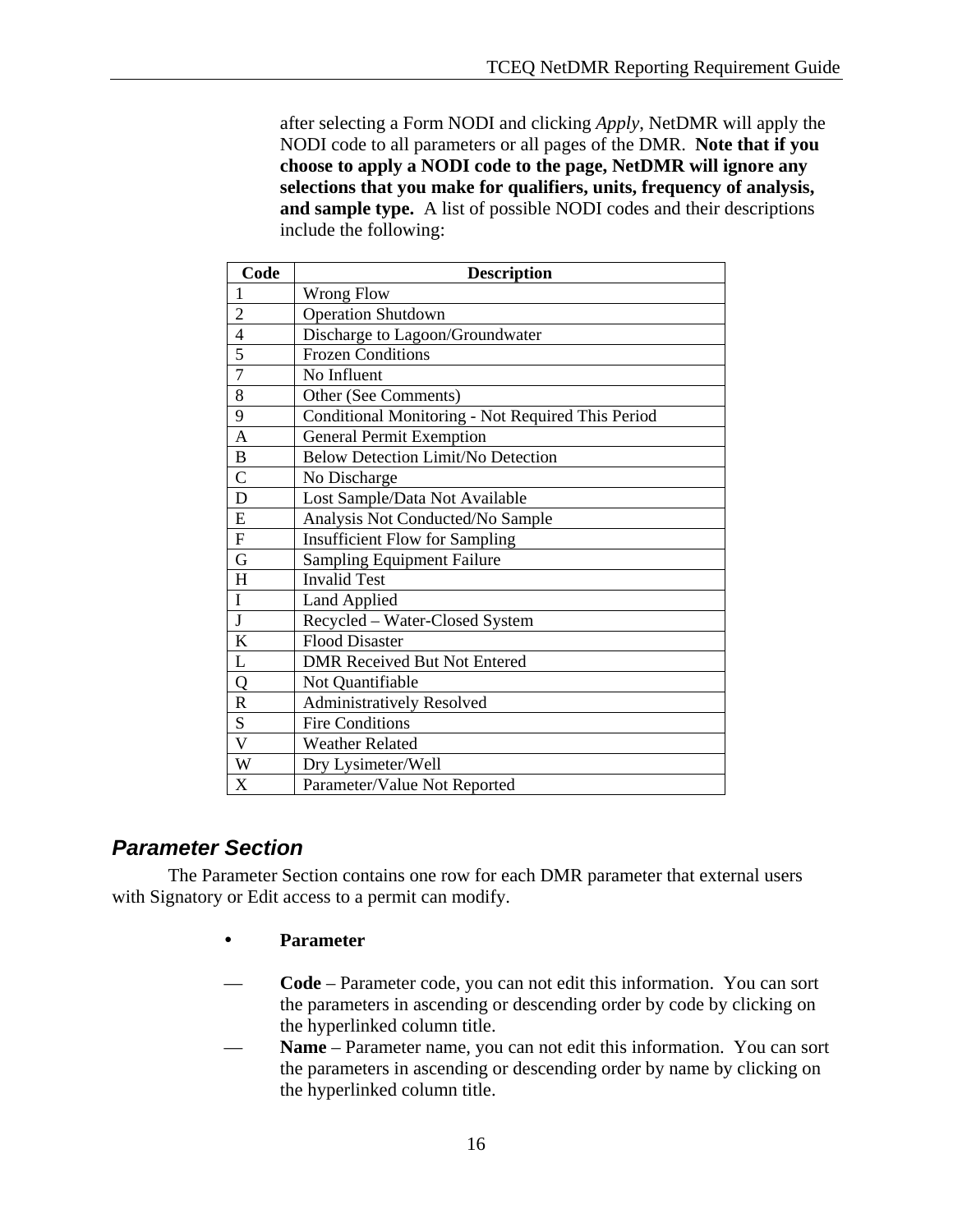after selecting a Form NODI and clicking *Apply*, NetDMR will apply the NODI code to all parameters or all pages of the DMR. **Note that if you choose to apply a NODI code to the page, NetDMR will ignore any selections that you make for qualifiers, units, frequency of analysis, and sample type.** A list of possible NODI codes and their descriptions include the following:

| Code                    | <b>Description</b>                                |  |  |  |  |
|-------------------------|---------------------------------------------------|--|--|--|--|
| $\mathbf{1}$            | <b>Wrong Flow</b>                                 |  |  |  |  |
| $\overline{2}$          | <b>Operation Shutdown</b>                         |  |  |  |  |
| $\overline{4}$          | Discharge to Lagoon/Groundwater                   |  |  |  |  |
| 5                       | <b>Frozen Conditions</b>                          |  |  |  |  |
| $\overline{7}$          | No Influent                                       |  |  |  |  |
| 8                       | Other (See Comments)                              |  |  |  |  |
| 9                       | Conditional Monitoring - Not Required This Period |  |  |  |  |
| $\overline{A}$          | <b>General Permit Exemption</b>                   |  |  |  |  |
| $\, {\bf B}$            | <b>Below Detection Limit/No Detection</b>         |  |  |  |  |
| $\overline{C}$          | No Discharge                                      |  |  |  |  |
| D                       | Lost Sample/Data Not Available                    |  |  |  |  |
| E                       | Analysis Not Conducted/No Sample                  |  |  |  |  |
| ${\bf F}$               | <b>Insufficient Flow for Sampling</b>             |  |  |  |  |
| G                       | <b>Sampling Equipment Failure</b>                 |  |  |  |  |
| H                       | <b>Invalid Test</b>                               |  |  |  |  |
| $\mathbf I$             | Land Applied                                      |  |  |  |  |
| $\overline{J}$          | Recycled - Water-Closed System                    |  |  |  |  |
| K                       | <b>Flood Disaster</b>                             |  |  |  |  |
| L                       | <b>DMR Received But Not Entered</b>               |  |  |  |  |
| $\overline{Q}$          | Not Quantifiable                                  |  |  |  |  |
| $\mathsf{R}$            | <b>Administratively Resolved</b>                  |  |  |  |  |
| S                       | <b>Fire Conditions</b>                            |  |  |  |  |
| $\overline{\mathsf{V}}$ | <b>Weather Related</b>                            |  |  |  |  |
| W                       | Dry Lysimeter/Well                                |  |  |  |  |
| X                       | Parameter/Value Not Reported                      |  |  |  |  |

# *Parameter Section*

 The Parameter Section contains one row for each DMR parameter that external users with Signatory or Edit access to a permit can modify.

- y **Parameter**
- **Code** Parameter code, you can not edit this information. You can sort the parameters in ascending or descending order by code by clicking on the hyperlinked column title.
- **Name** Parameter name, you can not edit this information. You can sort the parameters in ascending or descending order by name by clicking on the hyperlinked column title.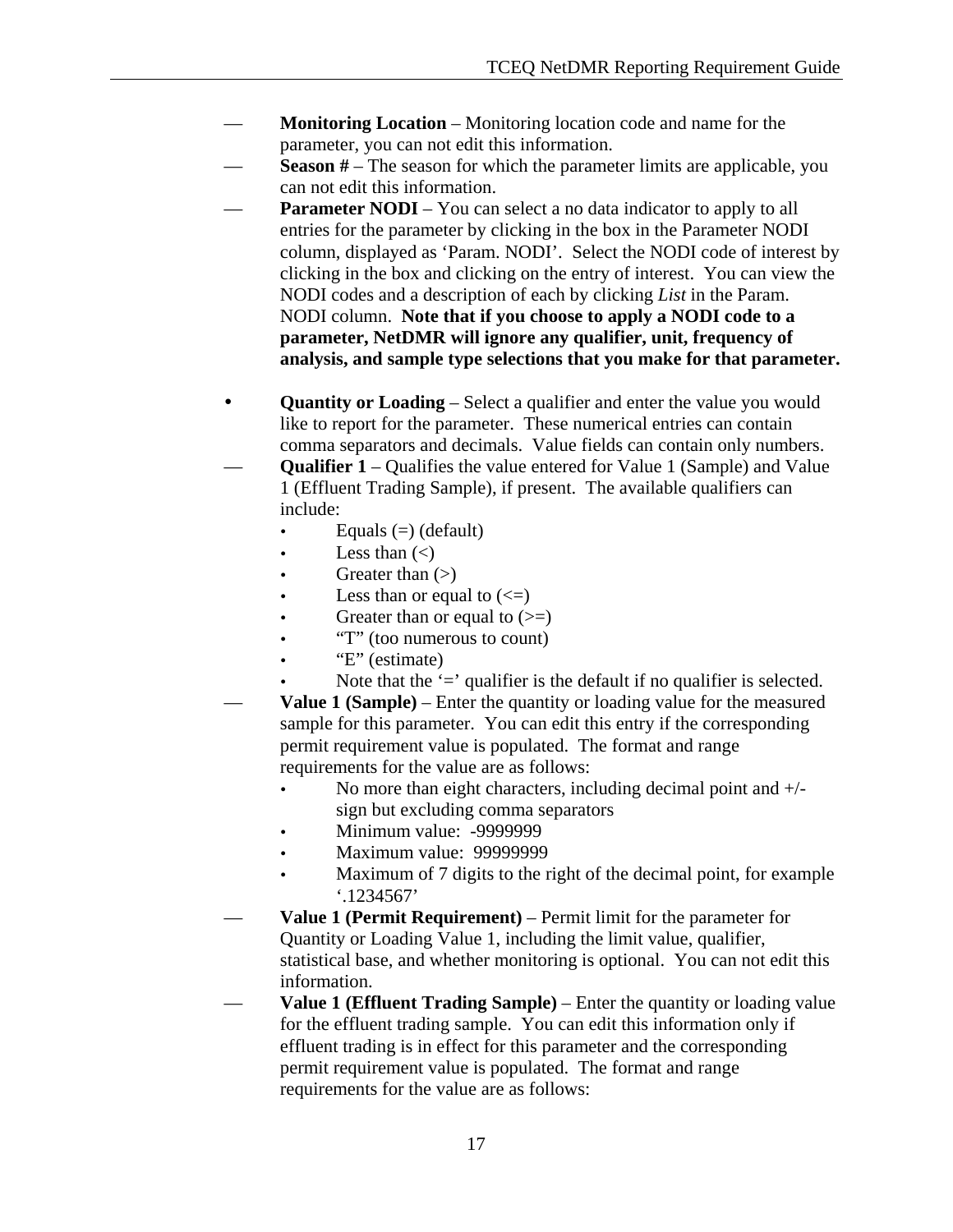- **Monitoring Location** Monitoring location code and name for the parameter, you can not edit this information.
- **Season #** The season for which the parameter limits are applicable, you can not edit this information.
- **Parameter NODI** You can select a no data indicator to apply to all entries for the parameter by clicking in the box in the Parameter NODI column, displayed as 'Param. NODI'. Select the NODI code of interest by clicking in the box and clicking on the entry of interest. You can view the NODI codes and a description of each by clicking *List* in the Param. NODI column. **Note that if you choose to apply a NODI code to a parameter, NetDMR will ignore any qualifier, unit, frequency of analysis, and sample type selections that you make for that parameter.**
- **Quantity or Loading** Select a qualifier and enter the value you would like to report for the parameter. These numerical entries can contain comma separators and decimals. Value fields can contain only numbers.
- **Qualifier 1** Qualifies the value entered for Value 1 (Sample) and Value 1 (Effluent Trading Sample), if present. The available qualifiers can include:
	- Equals  $(=)$  (default)
	- Less than  $(\le)$
	- Greater than  $(>)$
	- Less than or equal to  $(\leq)$
	- Greater than or equal to  $(>=)$
	- "T" (too numerous to count)
	- "E" (estimate)
	- Note that the  $\dot{ }$  = qualifier is the default if no qualifier is selected.
- **Value 1 (Sample)** Enter the quantity or loading value for the measured sample for this parameter. You can edit this entry if the corresponding permit requirement value is populated. The format and range requirements for the value are as follows:
	- No more than eight characters, including decimal point and  $+/$ sign but excluding comma separators
	- Minimum value: -9999999
	- Maximum value: 99999999
	- Maximum of 7 digits to the right of the decimal point, for example '.1234567'
- **Value 1 (Permit Requirement)** Permit limit for the parameter for Quantity or Loading Value 1, including the limit value, qualifier, statistical base, and whether monitoring is optional. You can not edit this information.
- **Value 1 (Effluent Trading Sample)** Enter the quantity or loading value for the effluent trading sample. You can edit this information only if effluent trading is in effect for this parameter and the corresponding permit requirement value is populated. The format and range requirements for the value are as follows: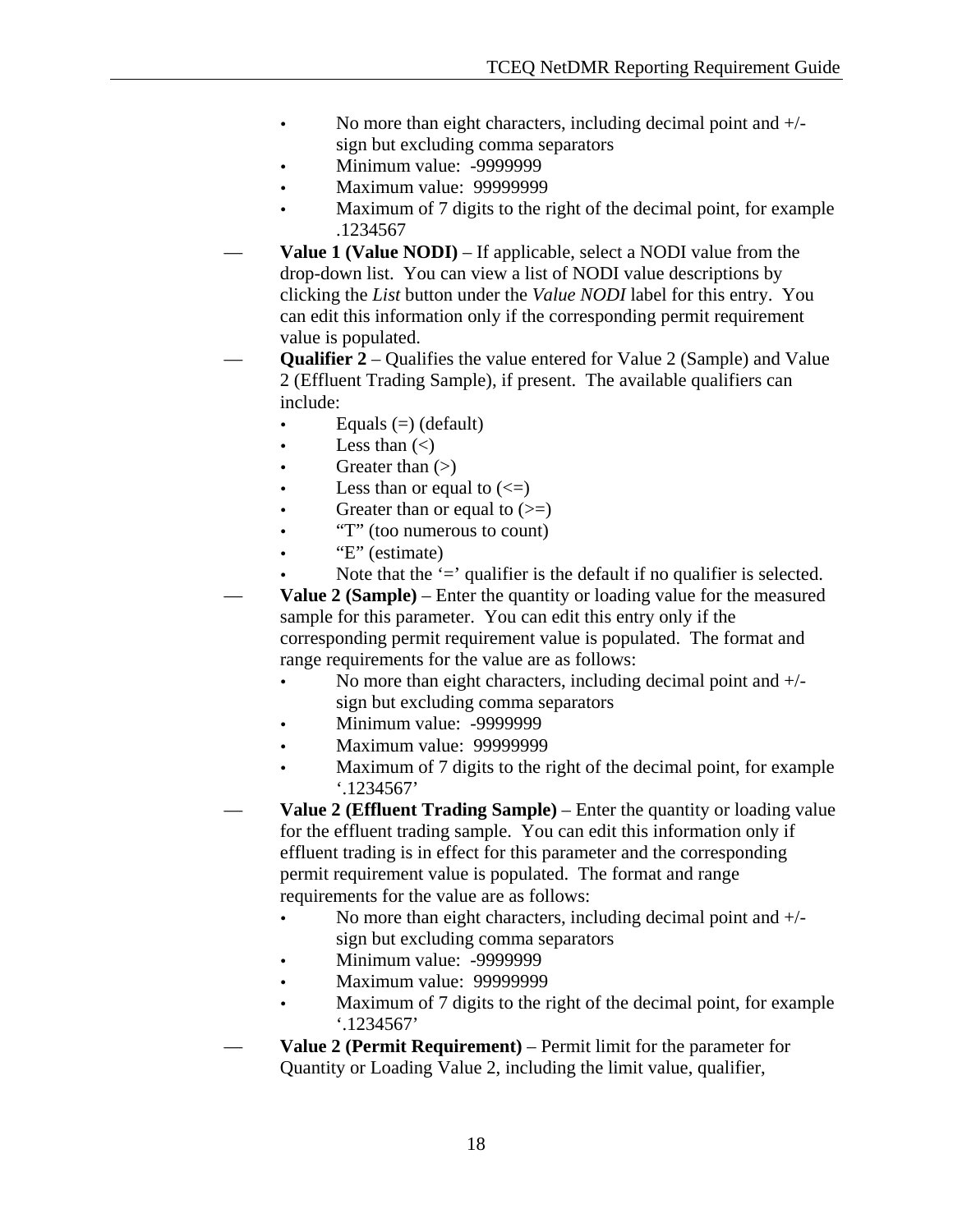- No more than eight characters, including decimal point and  $+/$ sign but excluding comma separators
- Minimum value: -9999999
- Maximum value: 99999999
- Maximum of 7 digits to the right of the decimal point, for example .1234567
- **Value 1 (Value NODI)** If applicable, select a NODI value from the drop-down list. You can view a list of NODI value descriptions by clicking the *List* button under the *Value NODI* label for this entry. You can edit this information only if the corresponding permit requirement value is populated.
- **Qualifier 2** Qualifies the value entered for Value 2 (Sample) and Value 2 (Effluent Trading Sample), if present. The available qualifiers can include:
	- Equals  $(=)$  (default)
	- Less than  $(\le)$
	- Greater than  $(>)$
	- Less than or equal to  $(\leq)$
	- Greater than or equal to  $(\geq)$
	- "T" (too numerous to count)
	- "E" (estimate)
	- Note that the  $\dot{ }$  =' qualifier is the default if no qualifier is selected.

— **Value 2 (Sample)** – Enter the quantity or loading value for the measured sample for this parameter. You can edit this entry only if the corresponding permit requirement value is populated. The format and range requirements for the value are as follows:

- No more than eight characters, including decimal point and  $+/$ sign but excluding comma separators
- Minimum value: -9999999
- Maximum value: 99999999
- Maximum of 7 digits to the right of the decimal point, for example '.1234567'
- **Value 2 (Effluent Trading Sample)** Enter the quantity or loading value for the effluent trading sample. You can edit this information only if effluent trading is in effect for this parameter and the corresponding permit requirement value is populated. The format and range requirements for the value are as follows:
	- No more than eight characters, including decimal point and  $+/$ sign but excluding comma separators
	- Minimum value: -9999999
	- Maximum value: 99999999
	- Maximum of 7 digits to the right of the decimal point, for example '.1234567'
- **Value 2 (Permit Requirement)** Permit limit for the parameter for Quantity or Loading Value 2, including the limit value, qualifier,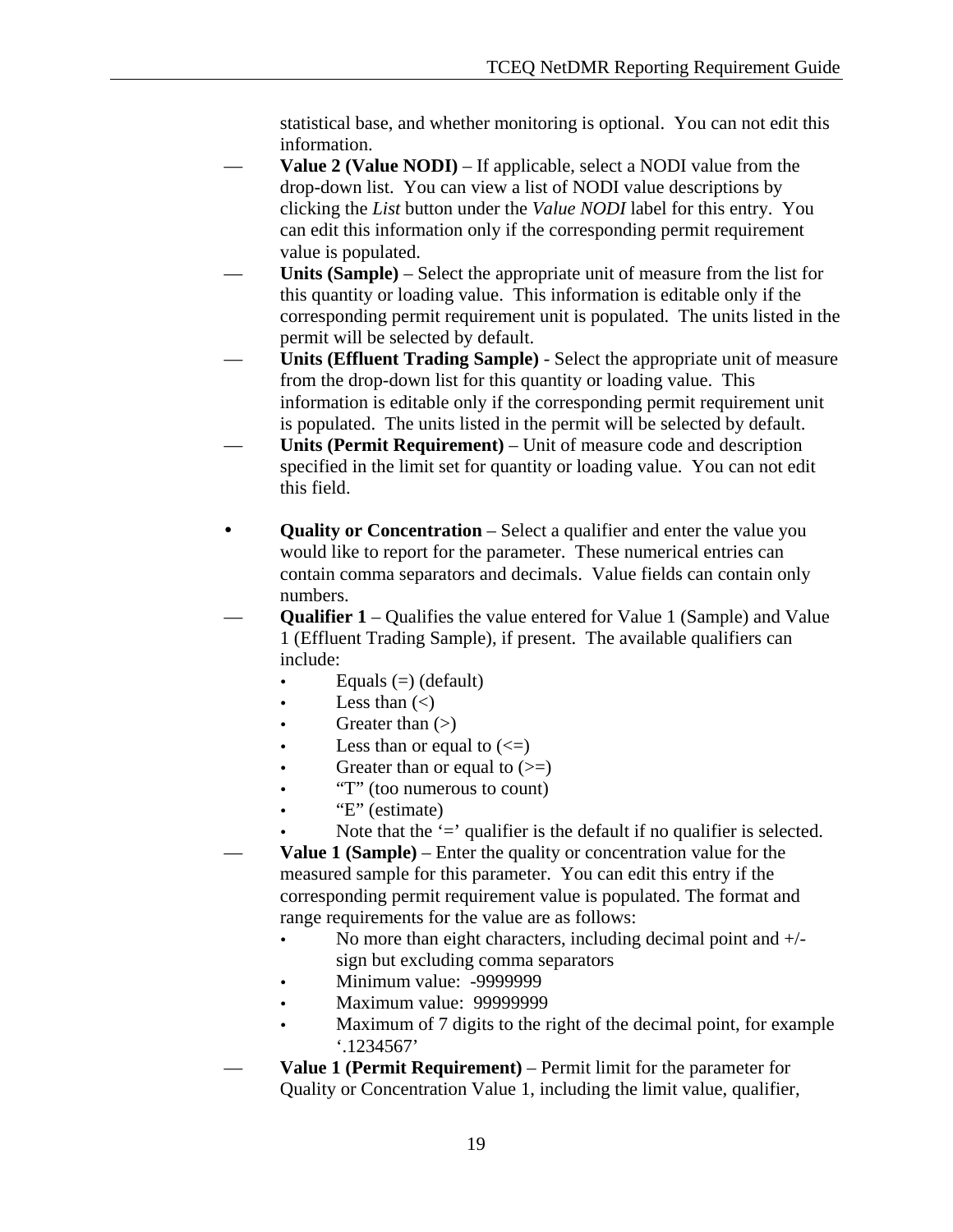statistical base, and whether monitoring is optional. You can not edit this information.

- **Value 2 (Value NODI)** If applicable, select a NODI value from the drop-down list. You can view a list of NODI value descriptions by clicking the *List* button under the *Value NODI* label for this entry. You can edit this information only if the corresponding permit requirement value is populated.
- **Units (Sample)** Select the appropriate unit of measure from the list for this quantity or loading value. This information is editable only if the corresponding permit requirement unit is populated. The units listed in the permit will be selected by default.
- **Units (Effluent Trading Sample)** Select the appropriate unit of measure from the drop-down list for this quantity or loading value. This information is editable only if the corresponding permit requirement unit is populated. The units listed in the permit will be selected by default.
- **Units (Permit Requirement)** Unit of measure code and description specified in the limit set for quantity or loading value. You can not edit this field.
- **Quality or Concentration** Select a qualifier and enter the value you would like to report for the parameter. These numerical entries can contain comma separators and decimals. Value fields can contain only numbers.
- **Qualifier 1** Qualifies the value entered for Value 1 (Sample) and Value 1 (Effluent Trading Sample), if present. The available qualifiers can include:
	- Equals  $(=)$  (default)
	- Less than  $(\le)$
	- Greater than  $(>)$
	- Less than or equal to  $(\leq)$
	- Greater than or equal to  $(\geq)$
	- "T" (too numerous to count)
	- "E" (estimate)
	- Note that the  $\dot{ }$  = qualifier is the default if no qualifier is selected.
- **Value 1 (Sample)** Enter the quality or concentration value for the measured sample for this parameter. You can edit this entry if the corresponding permit requirement value is populated. The format and range requirements for the value are as follows:
	- No more than eight characters, including decimal point and  $+/$ sign but excluding comma separators
	- Minimum value: -9999999
	- Maximum value: 99999999
	- Maximum of 7 digits to the right of the decimal point, for example '.1234567'
- **Value 1 (Permit Requirement)** Permit limit for the parameter for Quality or Concentration Value 1, including the limit value, qualifier,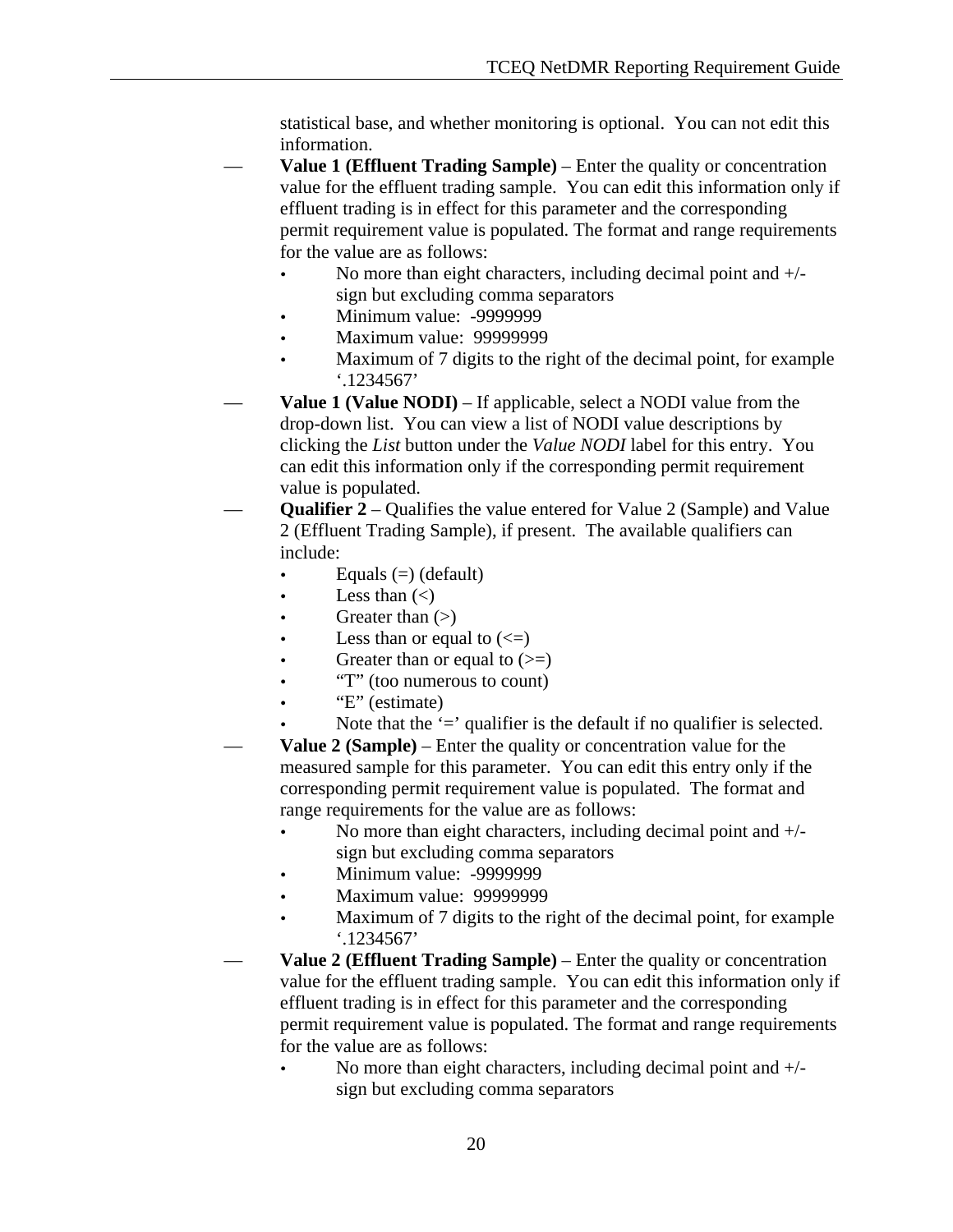statistical base, and whether monitoring is optional. You can not edit this information.

- **Value 1 (Effluent Trading Sample)** Enter the quality or concentration value for the effluent trading sample. You can edit this information only if effluent trading is in effect for this parameter and the corresponding permit requirement value is populated. The format and range requirements for the value are as follows:
	- No more than eight characters, including decimal point and  $+/$ sign but excluding comma separators
	- Minimum value: -9999999
	- Maximum value: 99999999
	- Maximum of 7 digits to the right of the decimal point, for example '.1234567'
- **Value 1 (Value NODI)** If applicable, select a NODI value from the drop-down list. You can view a list of NODI value descriptions by clicking the *List* button under the *Value NODI* label for this entry. You can edit this information only if the corresponding permit requirement value is populated.
- **Qualifier 2**  Qualifies the value entered for Value 2 (Sample) and Value 2 (Effluent Trading Sample), if present. The available qualifiers can include:
	- Equals  $(=)$  (default)
	- Less than  $(<)$
	- Greater than  $(>)$
	- Less than or equal to  $(\leq)$
	- Greater than or equal to  $(\geq)$
	- "T" (too numerous to count)
	- "E" (estimate)
	- Note that the  $\dot{ }$  = qualifier is the default if no qualifier is selected.
- **Value 2 (Sample)** Enter the quality or concentration value for the measured sample for this parameter. You can edit this entry only if the corresponding permit requirement value is populated. The format and range requirements for the value are as follows:
	- No more than eight characters, including decimal point and  $+/$ sign but excluding comma separators
	- Minimum value: -9999999
	- Maximum value: 99999999
	- Maximum of 7 digits to the right of the decimal point, for example '.1234567'
- **Value 2 (Effluent Trading Sample)** Enter the quality or concentration value for the effluent trading sample. You can edit this information only if effluent trading is in effect for this parameter and the corresponding permit requirement value is populated. The format and range requirements for the value are as follows:
	- No more than eight characters, including decimal point and +/sign but excluding comma separators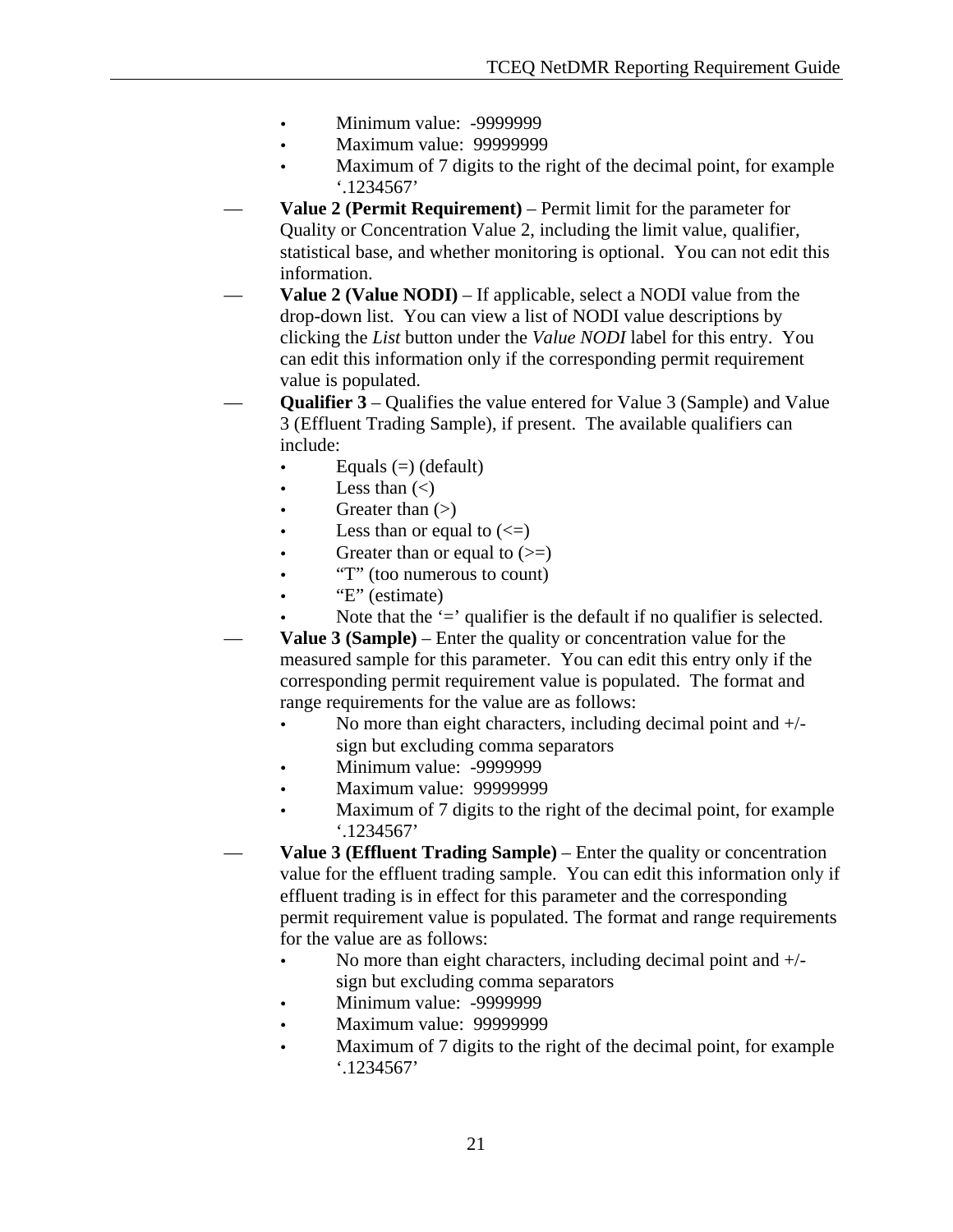- Minimum value: -9999999
- Maximum value: 99999999
- Maximum of 7 digits to the right of the decimal point, for example '.1234567'
- **Value 2 (Permit Requirement)** Permit limit for the parameter for Quality or Concentration Value 2, including the limit value, qualifier, statistical base, and whether monitoring is optional. You can not edit this information.
- **Value 2 (Value NODI)** If applicable, select a NODI value from the drop-down list. You can view a list of NODI value descriptions by clicking the *List* button under the *Value NODI* label for this entry. You can edit this information only if the corresponding permit requirement value is populated.
- **Qualifier 3**  Qualifies the value entered for Value 3 (Sample) and Value 3 (Effluent Trading Sample), if present. The available qualifiers can include:
	- Equals  $(=)$  (default)
	- Less than  $(\le)$
	- Greater than  $(>)$
	- Less than or equal to  $(\leq)$
	- Greater than or equal to  $(\geq)$
	- "T" (too numerous to count)
	- "E" (estimate)
		- Note that the  $\dot{ }$  = qualifier is the default if no qualifier is selected.
	- **Value 3 (Sample)** Enter the quality or concentration value for the measured sample for this parameter. You can edit this entry only if the corresponding permit requirement value is populated. The format and range requirements for the value are as follows:
		- No more than eight characters, including decimal point and  $+/$ sign but excluding comma separators
		- Minimum value: -9999999
		- Maximum value: 99999999
		- Maximum of 7 digits to the right of the decimal point, for example '.1234567'
- **Value 3 (Effluent Trading Sample)** Enter the quality or concentration value for the effluent trading sample. You can edit this information only if effluent trading is in effect for this parameter and the corresponding permit requirement value is populated. The format and range requirements for the value are as follows:
	- No more than eight characters, including decimal point and  $+/$ sign but excluding comma separators
	- Minimum value: -9999999
	- Maximum value: 99999999
	- Maximum of 7 digits to the right of the decimal point, for example '.1234567'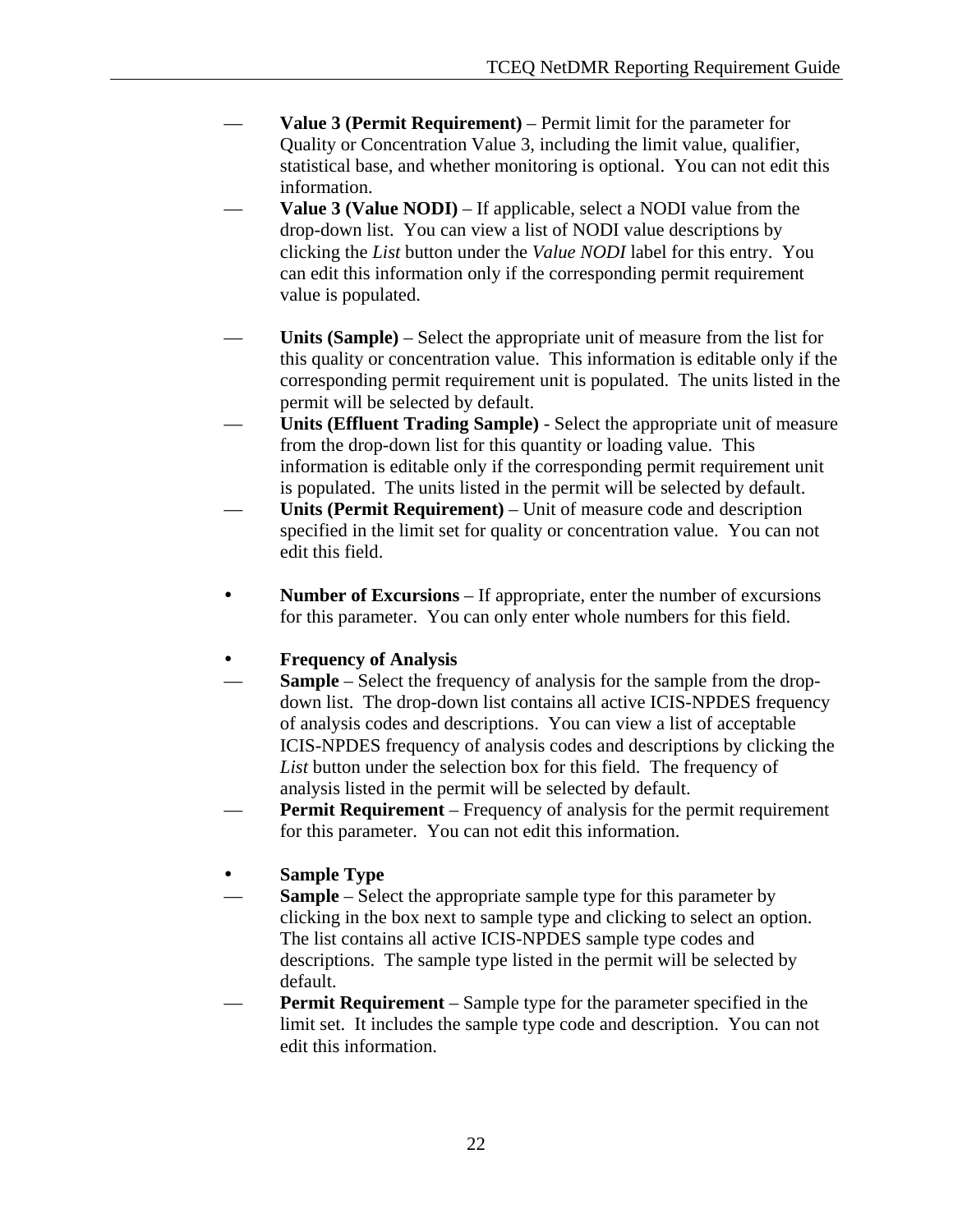- **Value 3 (Permit Requirement)** Permit limit for the parameter for Quality or Concentration Value 3, including the limit value, qualifier, statistical base, and whether monitoring is optional. You can not edit this information.
- **Value 3 (Value NODI)** If applicable, select a NODI value from the drop-down list. You can view a list of NODI value descriptions by clicking the *List* button under the *Value NODI* label for this entry. You can edit this information only if the corresponding permit requirement value is populated.
- **Units (Sample)** Select the appropriate unit of measure from the list for this quality or concentration value. This information is editable only if the corresponding permit requirement unit is populated. The units listed in the permit will be selected by default.
- **Units (Effluent Trading Sample)** Select the appropriate unit of measure from the drop-down list for this quantity or loading value. This information is editable only if the corresponding permit requirement unit is populated. The units listed in the permit will be selected by default.
- **Units (Permit Requirement)** Unit of measure code and description specified in the limit set for quality or concentration value. You can not edit this field.
- **Number of Excursions** If appropriate, enter the number of excursions for this parameter. You can only enter whole numbers for this field.

### y **Frequency of Analysis**

- **Sample** Select the frequency of analysis for the sample from the dropdown list. The drop-down list contains all active ICIS-NPDES frequency of analysis codes and descriptions. You can view a list of acceptable ICIS-NPDES frequency of analysis codes and descriptions by clicking the *List* button under the selection box for this field. The frequency of analysis listed in the permit will be selected by default.
- **Permit Requirement** Frequency of analysis for the permit requirement for this parameter. You can not edit this information.

### **Sample Type**

- Sample Select the appropriate sample type for this parameter by clicking in the box next to sample type and clicking to select an option. The list contains all active ICIS-NPDES sample type codes and descriptions. The sample type listed in the permit will be selected by default.
- **Permit Requirement** Sample type for the parameter specified in the limit set. It includes the sample type code and description. You can not edit this information.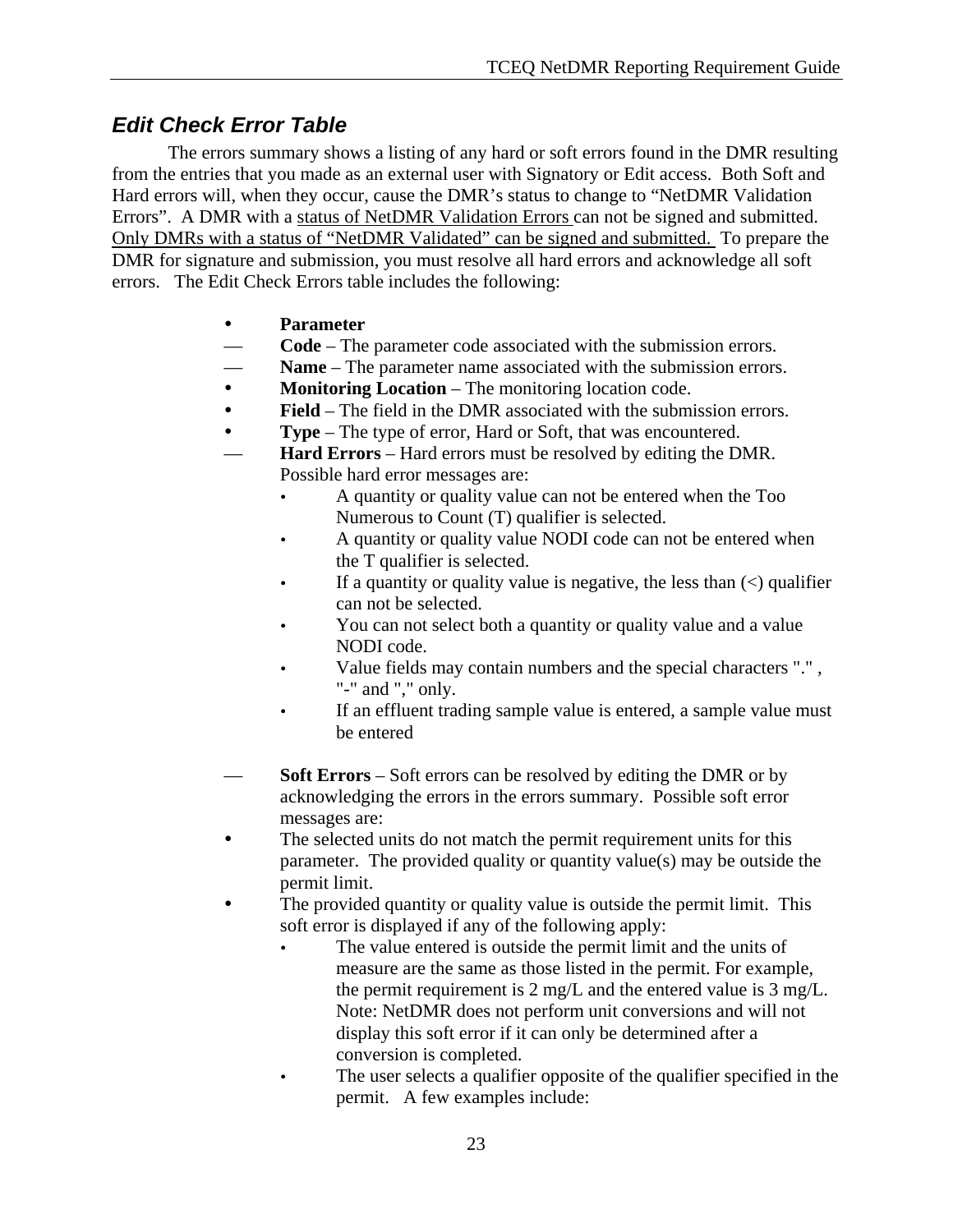# *Edit Check Error Table*

 The errors summary shows a listing of any hard or soft errors found in the DMR resulting from the entries that you made as an external user with Signatory or Edit access. Both Soft and Hard errors will, when they occur, cause the DMR's status to change to "NetDMR Validation Errors". A DMR with a status of NetDMR Validation Errors can not be signed and submitted. Only DMRs with a status of "NetDMR Validated" can be signed and submitted. To prepare the DMR for signature and submission, you must resolve all hard errors and acknowledge all soft errors. The Edit Check Errors table includes the following:

- **Parameter**
- **Code** The parameter code associated with the submission errors.
- **Name** The parameter name associated with the submission errors.
- **Monitoring Location** The monitoring location code.
- **Field** The field in the DMR associated with the submission errors.
- **Type** The type of error, Hard or Soft, that was encountered.
- **Hard Errors** Hard errors must be resolved by editing the DMR. Possible hard error messages are:
	- A quantity or quality value can not be entered when the Too Numerous to Count (T) qualifier is selected.
	- A quantity or quality value NODI code can not be entered when the T qualifier is selected.
	- If a quantity or quality value is negative, the less than  $\langle \rangle$  qualifier can not be selected.
	- You can not select both a quantity or quality value and a value NODI code.
	- Value fields may contain numbers and the special characters ".", "-" and "," only.
	- If an effluent trading sample value is entered, a sample value must be entered
- **Soft Errors** Soft errors can be resolved by editing the DMR or by acknowledging the errors in the errors summary. Possible soft error messages are:
- The selected units do not match the permit requirement units for this parameter. The provided quality or quantity value(s) may be outside the permit limit.
- The provided quantity or quality value is outside the permit limit. This soft error is displayed if any of the following apply:
	- The value entered is outside the permit limit and the units of measure are the same as those listed in the permit. For example, the permit requirement is 2 mg/L and the entered value is 3 mg/L. Note: NetDMR does not perform unit conversions and will not display this soft error if it can only be determined after a conversion is completed.
	- The user selects a qualifier opposite of the qualifier specified in the permit. A few examples include: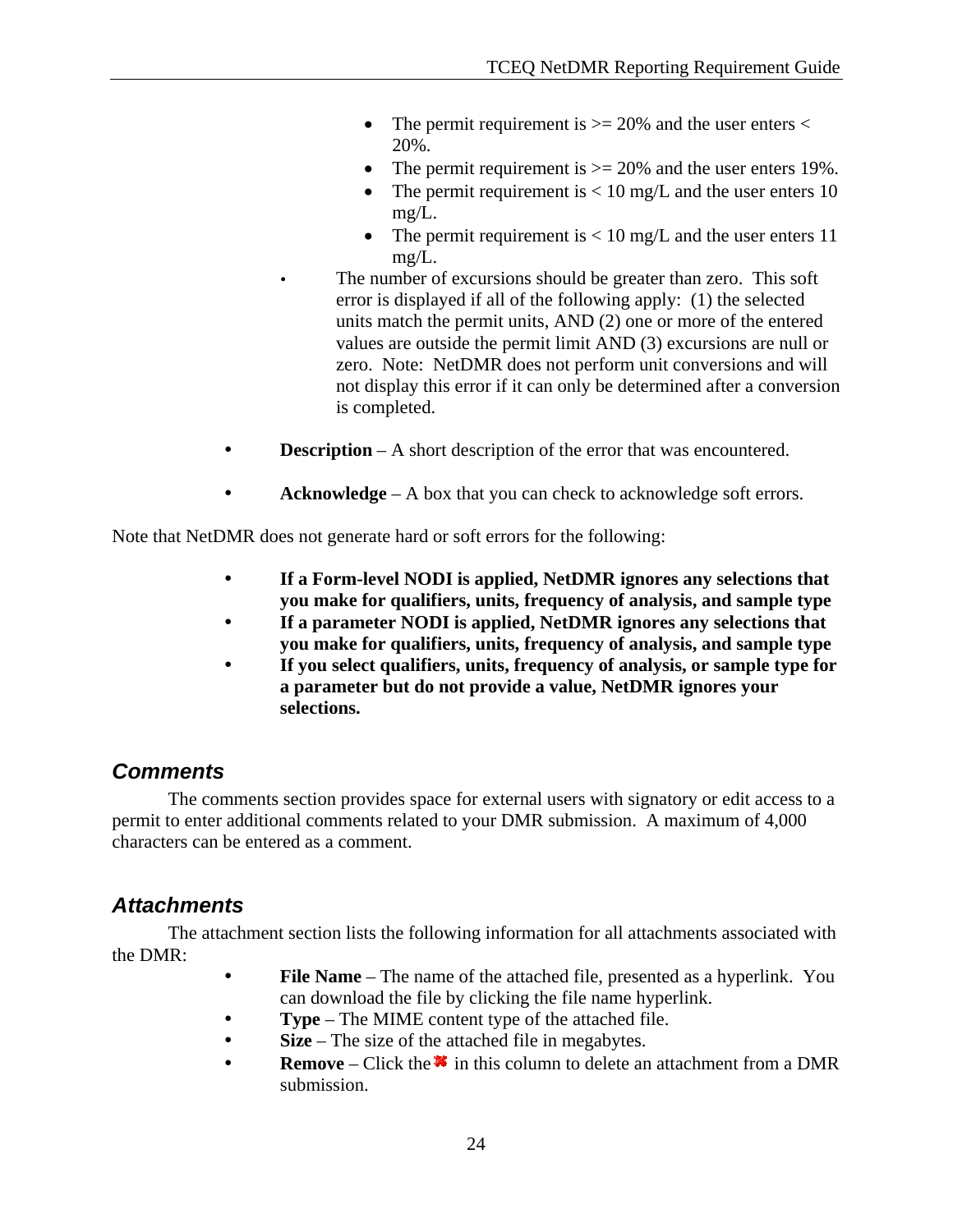- The permit requirement is  $>= 20\%$  and the user enters  $<$ 20%.
- The permit requirement is  $\geq$  20% and the user enters 19%.
- The permit requirement is  $< 10$  mg/L and the user enters 10 mg/L.
- The permit requirement is  $< 10$  mg/L and the user enters 11 mg/L.

The number of excursions should be greater than zero. This soft error is displayed if all of the following apply: (1) the selected units match the permit units, AND (2) one or more of the entered values are outside the permit limit AND (3) excursions are null or zero. Note: NetDMR does not perform unit conversions and will not display this error if it can only be determined after a conversion is completed.

- **Description** A short description of the error that was encountered.
- Acknowledge A box that you can check to acknowledge soft errors.

Note that NetDMR does not generate hard or soft errors for the following:

- y **If a Form-level NODI is applied, NetDMR ignores any selections that you make for qualifiers, units, frequency of analysis, and sample type**
- If a parameter NODI is applied, NetDMR ignores any selections that **you make for qualifiers, units, frequency of analysis, and sample type**
- If you select qualifiers, units, frequency of analysis, or sample type for **a parameter but do not provide a value, NetDMR ignores your selections.**

# *Comments*

 The comments section provides space for external users with signatory or edit access to a permit to enter additional comments related to your DMR submission. A maximum of 4,000 characters can be entered as a comment.

# *Attachments*

 The attachment section lists the following information for all attachments associated with the DMR:

- File Name The name of the attached file, presented as a hyperlink. You can download the file by clicking the file name hyperlink.
- **Type** The MIME content type of the attached file.
- **Size** The size of the attached file in megabytes.
- **Remove** Click the **\*** in this column to delete an attachment from a DMR submission.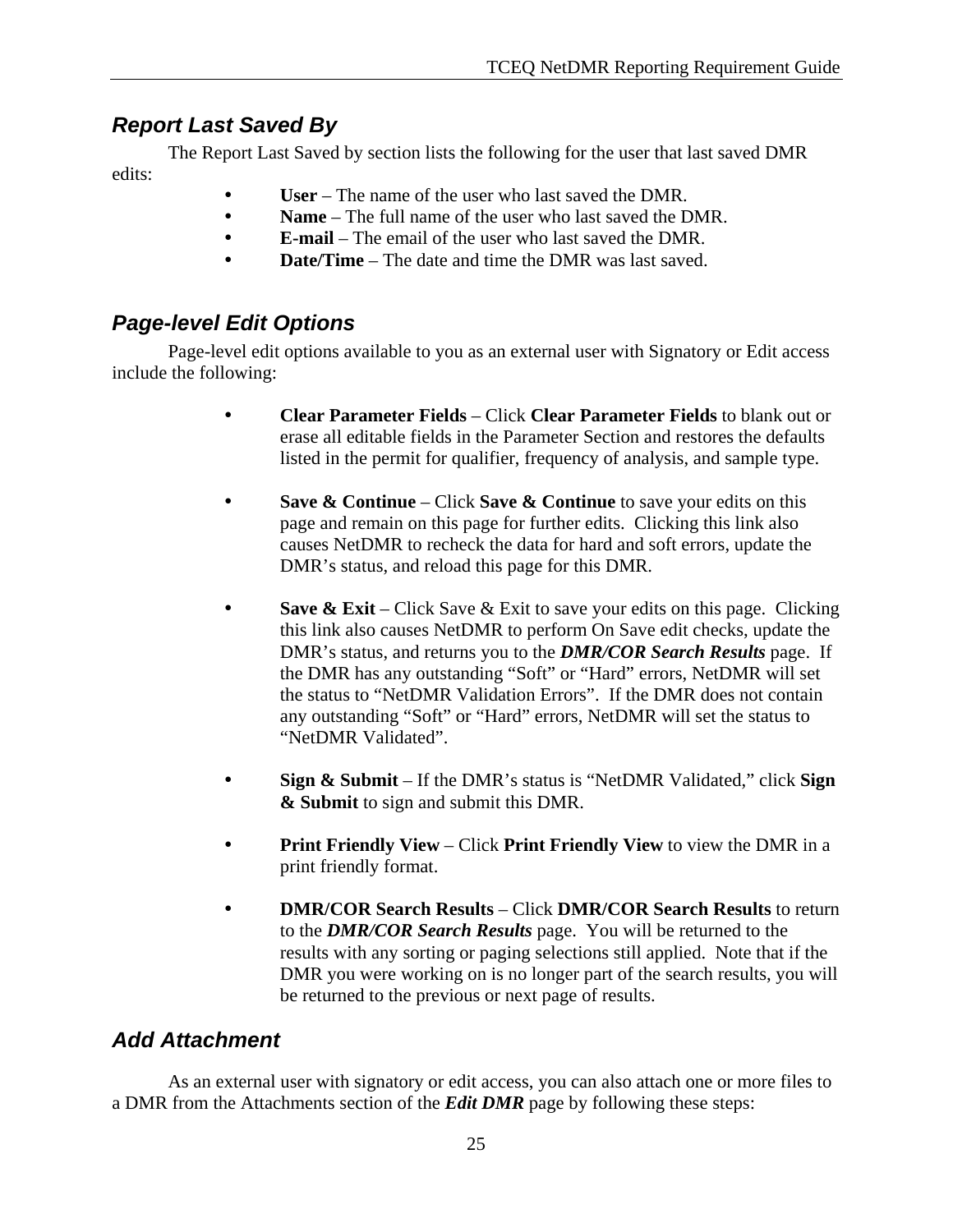# *Report Last Saved By*

 The Report Last Saved by section lists the following for the user that last saved DMR edits:

- User The name of the user who last saved the DMR.
- **Name** The full name of the user who last saved the DMR.
- y **E-mail** The email of the user who last saved the DMR.
- **Date/Time** The date and time the DMR was last saved.

# *Page-level Edit Options*

 Page-level edit options available to you as an external user with Signatory or Edit access include the following:

- y **Clear Parameter Fields** Click **Clear Parameter Fields** to blank out or erase all editable fields in the Parameter Section and restores the defaults listed in the permit for qualifier, frequency of analysis, and sample type.
- **Save & Continue** Click **Save & Continue** to save your edits on this page and remain on this page for further edits. Clicking this link also causes NetDMR to recheck the data for hard and soft errors, update the DMR's status, and reload this page for this DMR.
- **Save & Exit** Click Save & Exit to save your edits on this page. Clicking this link also causes NetDMR to perform On Save edit checks, update the DMR's status, and returns you to the *DMR/COR Search Results* page. If the DMR has any outstanding "Soft" or "Hard" errors, NetDMR will set the status to "NetDMR Validation Errors". If the DMR does not contain any outstanding "Soft" or "Hard" errors, NetDMR will set the status to "NetDMR Validated".
- y **Sign & Submit** If the DMR's status is "NetDMR Validated," click **Sign & Submit** to sign and submit this DMR.
- **Print Friendly View** Click **Print Friendly View** to view the DMR in a print friendly format.
- y **DMR/COR Search Results** Click **DMR/COR Search Results** to return to the *DMR/COR Search Results* page. You will be returned to the results with any sorting or paging selections still applied. Note that if the DMR you were working on is no longer part of the search results, you will be returned to the previous or next page of results.

# *Add Attachment*

 As an external user with signatory or edit access, you can also attach one or more files to a DMR from the Attachments section of the *Edit DMR* page by following these steps: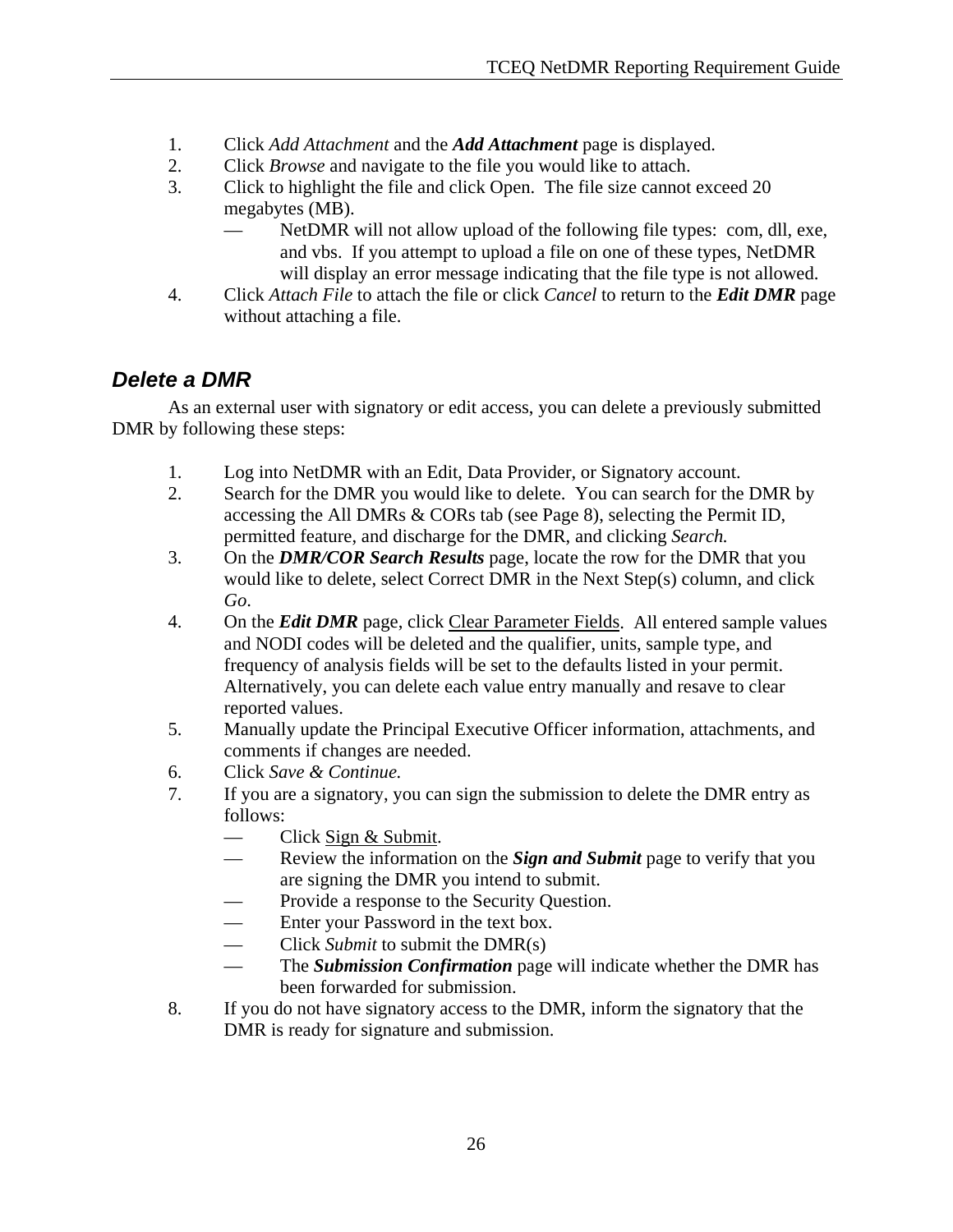- 1. Click *Add Attachment* and the *Add Attachment* page is displayed.
- 2. Click *Browse* and navigate to the file you would like to attach.
- 3. Click to highlight the file and click Open. The file size cannot exceed 20 megabytes (MB).
	- NetDMR will not allow upload of the following file types: com, dll, exe, and vbs. If you attempt to upload a file on one of these types, NetDMR will display an error message indicating that the file type is not allowed.
- 4. Click *Attach File* to attach the file or click *Cancel* to return to the *Edit DMR* page without attaching a file.

# *Delete a DMR*

 As an external user with signatory or edit access, you can delete a previously submitted DMR by following these steps:

- 1. Log into NetDMR with an Edit, Data Provider, or Signatory account.
- 2. Search for the DMR you would like to delete. You can search for the DMR by accessing the All DMRs & CORs tab (see Page 8), selecting the Permit ID, permitted feature, and discharge for the DMR, and clicking *Search.*
- 3. On the *DMR/COR Search Results* page, locate the row for the DMR that you would like to delete, select Correct DMR in the Next Step(s) column, and click *Go*.
- 4. On the *Edit DMR* page, click Clear Parameter Fields. All entered sample values and NODI codes will be deleted and the qualifier, units, sample type, and frequency of analysis fields will be set to the defaults listed in your permit. Alternatively, you can delete each value entry manually and resave to clear reported values.
- 5. Manually update the Principal Executive Officer information, attachments, and comments if changes are needed.
- 6. Click *Save & Continue.*
- 7. If you are a signatory, you can sign the submission to delete the DMR entry as follows:
	- Click Sign & Submit.
	- Review the information on the *Sign and Submit* page to verify that you are signing the DMR you intend to submit.
	- Provide a response to the Security Question.
	- Enter your Password in the text box.
	- Click *Submit* to submit the DMR(s)
	- The *Submission Confirmation* page will indicate whether the DMR has been forwarded for submission.
- 8. If you do not have signatory access to the DMR, inform the signatory that the DMR is ready for signature and submission.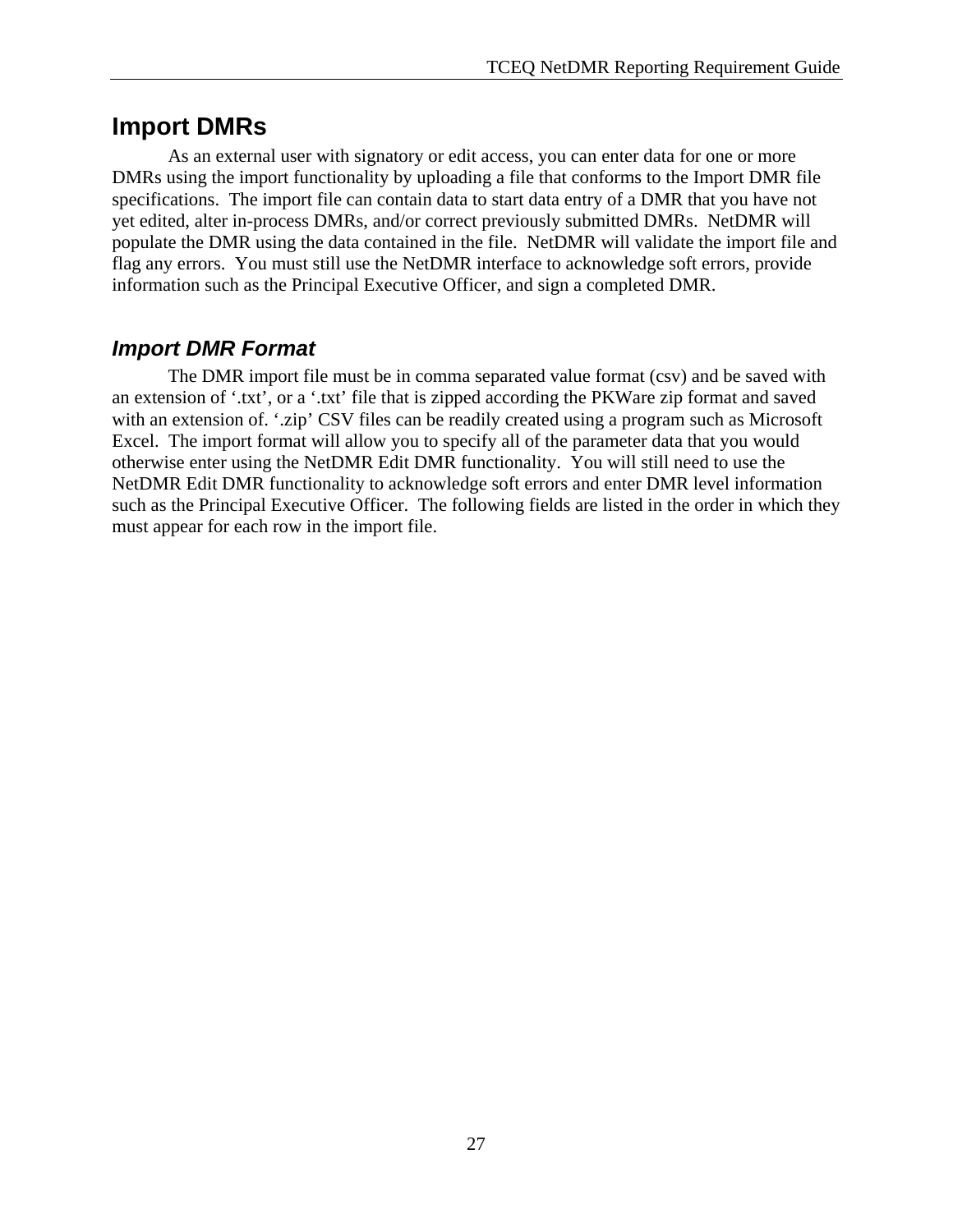# **Import DMRs**

 As an external user with signatory or edit access, you can enter data for one or more DMRs using the import functionality by uploading a file that conforms to the Import DMR file specifications. The import file can contain data to start data entry of a DMR that you have not yet edited, alter in-process DMRs, and/or correct previously submitted DMRs. NetDMR will populate the DMR using the data contained in the file. NetDMR will validate the import file and flag any errors. You must still use the NetDMR interface to acknowledge soft errors, provide information such as the Principal Executive Officer, and sign a completed DMR.

# *Import DMR Format*

 The DMR import file must be in comma separated value format (csv) and be saved with an extension of '.txt', or a '.txt' file that is zipped according the PKWare zip format and saved with an extension of. '.zip' CSV files can be readily created using a program such as Microsoft Excel. The import format will allow you to specify all of the parameter data that you would otherwise enter using the NetDMR Edit DMR functionality. You will still need to use the NetDMR Edit DMR functionality to acknowledge soft errors and enter DMR level information such as the Principal Executive Officer. The following fields are listed in the order in which they must appear for each row in the import file.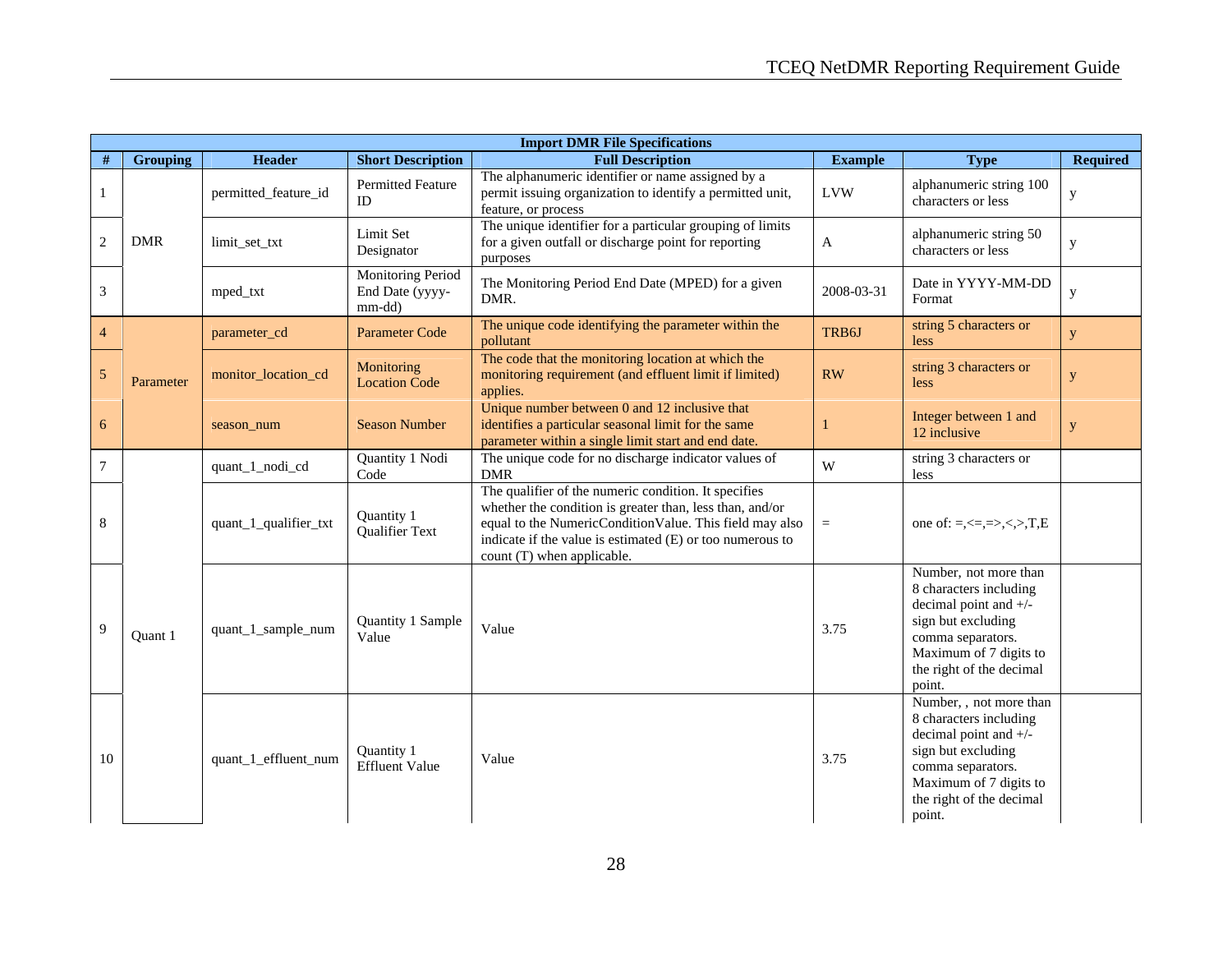|                | <b>Import DMR File Specifications</b> |                       |                                                |                                                                                                                                                                                                                                                                        |                |                                                                                                                                                                                       |                 |  |
|----------------|---------------------------------------|-----------------------|------------------------------------------------|------------------------------------------------------------------------------------------------------------------------------------------------------------------------------------------------------------------------------------------------------------------------|----------------|---------------------------------------------------------------------------------------------------------------------------------------------------------------------------------------|-----------------|--|
| $\#$           | <b>Grouping</b>                       | <b>Header</b>         | <b>Short Description</b>                       | <b>Full Description</b>                                                                                                                                                                                                                                                | <b>Example</b> | <b>Type</b>                                                                                                                                                                           | <b>Required</b> |  |
| 1              |                                       | permitted_feature_id  | <b>Permitted Feature</b><br>ID                 | The alphanumeric identifier or name assigned by a<br>permit issuing organization to identify a permitted unit,<br>feature, or process                                                                                                                                  | <b>LVW</b>     | alphanumeric string 100<br>characters or less                                                                                                                                         | у               |  |
| 2              | <b>DMR</b>                            | limit_set_txt         | Limit Set<br>Designator                        | The unique identifier for a particular grouping of limits<br>for a given outfall or discharge point for reporting<br>purposes                                                                                                                                          | A              | alphanumeric string 50<br>characters or less                                                                                                                                          | $\mathbf y$     |  |
| 3              |                                       | mped_txt              | Monitoring Period<br>End Date (yyyy-<br>mm-dd) | The Monitoring Period End Date (MPED) for a given<br>DMR.                                                                                                                                                                                                              | 2008-03-31     | Date in YYYY-MM-DD<br>Format                                                                                                                                                          | $\mathbf{y}$    |  |
| $\overline{4}$ |                                       | parameter_cd          | <b>Parameter Code</b>                          | The unique code identifying the parameter within the<br>pollutant                                                                                                                                                                                                      | TRB6J          | string 5 characters or<br>less                                                                                                                                                        | $\mathbf{y}$    |  |
| $\sqrt{5}$     | Parameter                             | monitor_location_cd   | Monitoring<br><b>Location Code</b>             | The code that the monitoring location at which the<br>monitoring requirement (and effluent limit if limited)<br>applies.                                                                                                                                               | RW             | string 3 characters or<br>less                                                                                                                                                        | $\mathbf{y}$    |  |
| $\sqrt{6}$     |                                       | season_num            | <b>Season Number</b>                           | Unique number between 0 and 12 inclusive that<br>identifies a particular seasonal limit for the same<br>parameter within a single limit start and end date.                                                                                                            |                | Integer between 1 and<br>12 inclusive                                                                                                                                                 | $\mathbf y$     |  |
| $\tau$         |                                       | quant_1_nodi_cd       | Quantity 1 Nodi<br>Code                        | The unique code for no discharge indicator values of<br><b>DMR</b>                                                                                                                                                                                                     | W              | string 3 characters or<br>less                                                                                                                                                        |                 |  |
| 8              |                                       | quant_1_qualifier_txt | Quantity 1<br><b>Qualifier Text</b>            | The qualifier of the numeric condition. It specifies<br>whether the condition is greater than, less than, and/or<br>equal to the NumericConditionValue. This field may also<br>indicate if the value is estimated (E) or too numerous to<br>count (T) when applicable. | $=$            | one of: $=, \leq, =>, \leq, >, T, E$                                                                                                                                                  |                 |  |
| 9              | Ouant 1                               | quant_1_sample_num    | Quantity 1 Sample<br>Value                     | Value                                                                                                                                                                                                                                                                  | 3.75           | Number, not more than<br>8 characters including<br>decimal point and +/-<br>sign but excluding<br>comma separators.<br>Maximum of 7 digits to<br>the right of the decimal<br>point.   |                 |  |
| 10             |                                       | quant_1_effluent_num  | Quantity 1<br><b>Effluent Value</b>            | Value                                                                                                                                                                                                                                                                  | 3.75           | Number, , not more than<br>8 characters including<br>decimal point and +/-<br>sign but excluding<br>comma separators.<br>Maximum of 7 digits to<br>the right of the decimal<br>point. |                 |  |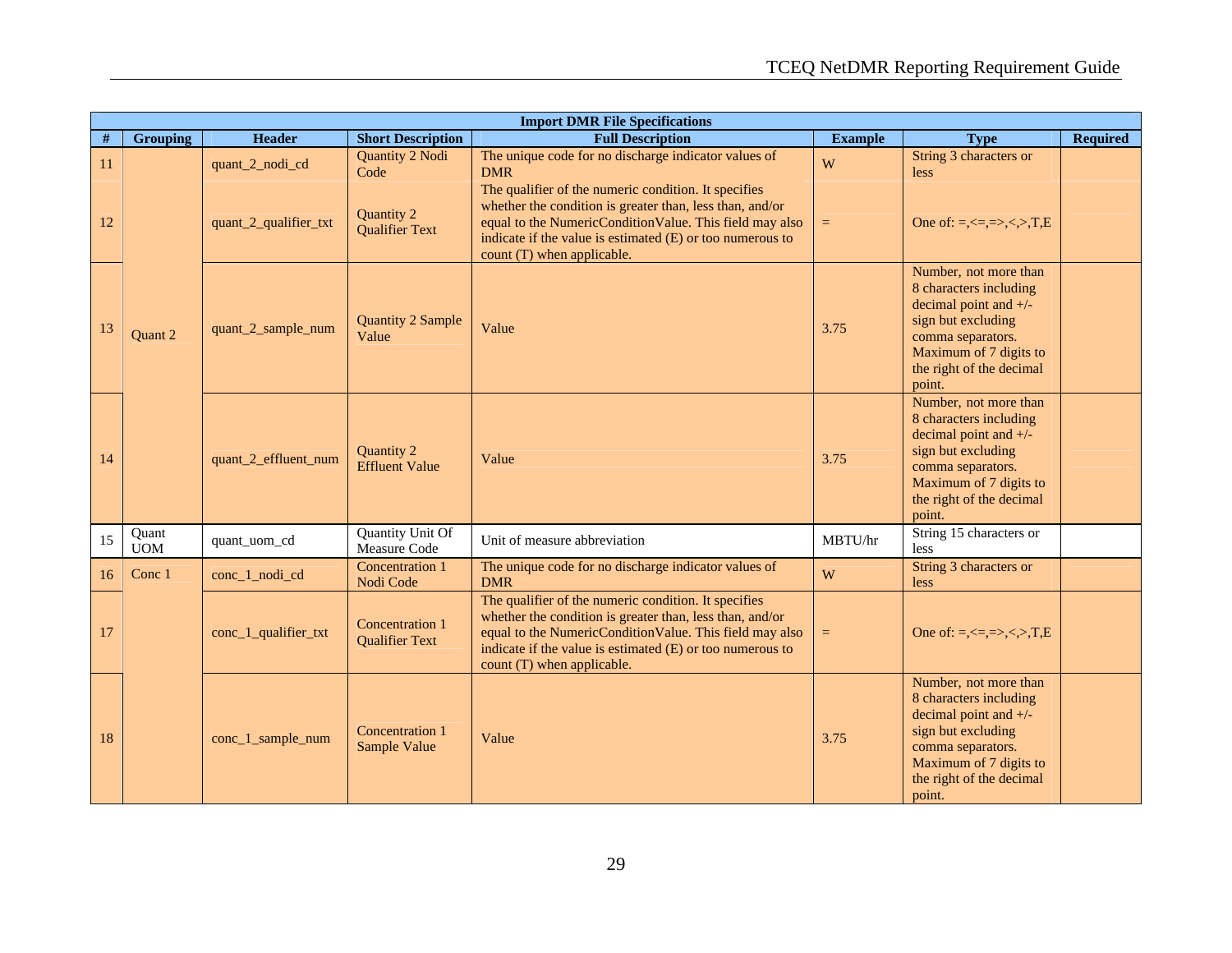|      | <b>Import DMR File Specifications</b> |                       |                                                 |                                                                                                                                                                                                                                                                        |                |                                                                                                                                                                                       |                 |  |
|------|---------------------------------------|-----------------------|-------------------------------------------------|------------------------------------------------------------------------------------------------------------------------------------------------------------------------------------------------------------------------------------------------------------------------|----------------|---------------------------------------------------------------------------------------------------------------------------------------------------------------------------------------|-----------------|--|
| $\#$ | <b>Grouping</b>                       | <b>Header</b>         | <b>Short Description</b>                        | <b>Full Description</b>                                                                                                                                                                                                                                                | <b>Example</b> | <b>Type</b>                                                                                                                                                                           | <b>Required</b> |  |
| 11   |                                       | quant_2_nodi_cd       | Quantity 2 Nodi<br>Code                         | The unique code for no discharge indicator values of<br><b>DMR</b>                                                                                                                                                                                                     | W              | String 3 characters or<br>less                                                                                                                                                        |                 |  |
| 12   |                                       | quant_2_qualifier_txt | Quantity 2<br><b>Qualifier Text</b>             | The qualifier of the numeric condition. It specifies<br>whether the condition is greater than, less than, and/or<br>equal to the NumericConditionValue. This field may also<br>indicate if the value is estimated (E) or too numerous to<br>count (T) when applicable. | $=$            | One of: =, $\le$ =, =>, $\le$ , >, T, E                                                                                                                                               |                 |  |
| 13   | Quant 2                               | quant_2_sample_num    | <b>Quantity 2 Sample</b><br>Value               | Value                                                                                                                                                                                                                                                                  | 3.75           | Number, not more than<br>8 characters including<br>decimal point and $+/-$<br>sign but excluding<br>comma separators.<br>Maximum of 7 digits to<br>the right of the decimal<br>point. |                 |  |
| 14   |                                       | quant_2_effluent_num  | Quantity 2<br><b>Effluent Value</b>             | Value                                                                                                                                                                                                                                                                  | 3.75           | Number, not more than<br>8 characters including<br>decimal point and $+/-$<br>sign but excluding<br>comma separators.<br>Maximum of 7 digits to<br>the right of the decimal<br>point. |                 |  |
| 15   | Quant<br><b>UOM</b>                   | quant uom cd          | Quantity Unit Of<br>Measure Code                | Unit of measure abbreviation                                                                                                                                                                                                                                           | MBTU/hr        | String 15 characters or<br>less                                                                                                                                                       |                 |  |
| 16   | Conc 1                                | conc_1_nodi_cd        | Concentration 1<br>Nodi Code                    | The unique code for no discharge indicator values of<br><b>DMR</b>                                                                                                                                                                                                     | W              | String 3 characters or<br>less                                                                                                                                                        |                 |  |
| 17   |                                       | conc_1_qualifier_txt  | <b>Concentration 1</b><br><b>Qualifier Text</b> | The qualifier of the numeric condition. It specifies<br>whether the condition is greater than, less than, and/or<br>equal to the NumericConditionValue. This field may also<br>indicate if the value is estimated (E) or too numerous to<br>count (T) when applicable. | $\equiv$       | One of: =, $\le$ =, =>, $\lt$ , >, T, E                                                                                                                                               |                 |  |
| 18   |                                       | conc_1_sample_num     | Concentration 1<br>Sample Value                 | Value                                                                                                                                                                                                                                                                  | 3.75           | Number, not more than<br>8 characters including<br>decimal point and $+/-$<br>sign but excluding<br>comma separators.<br>Maximum of 7 digits to<br>the right of the decimal<br>point. |                 |  |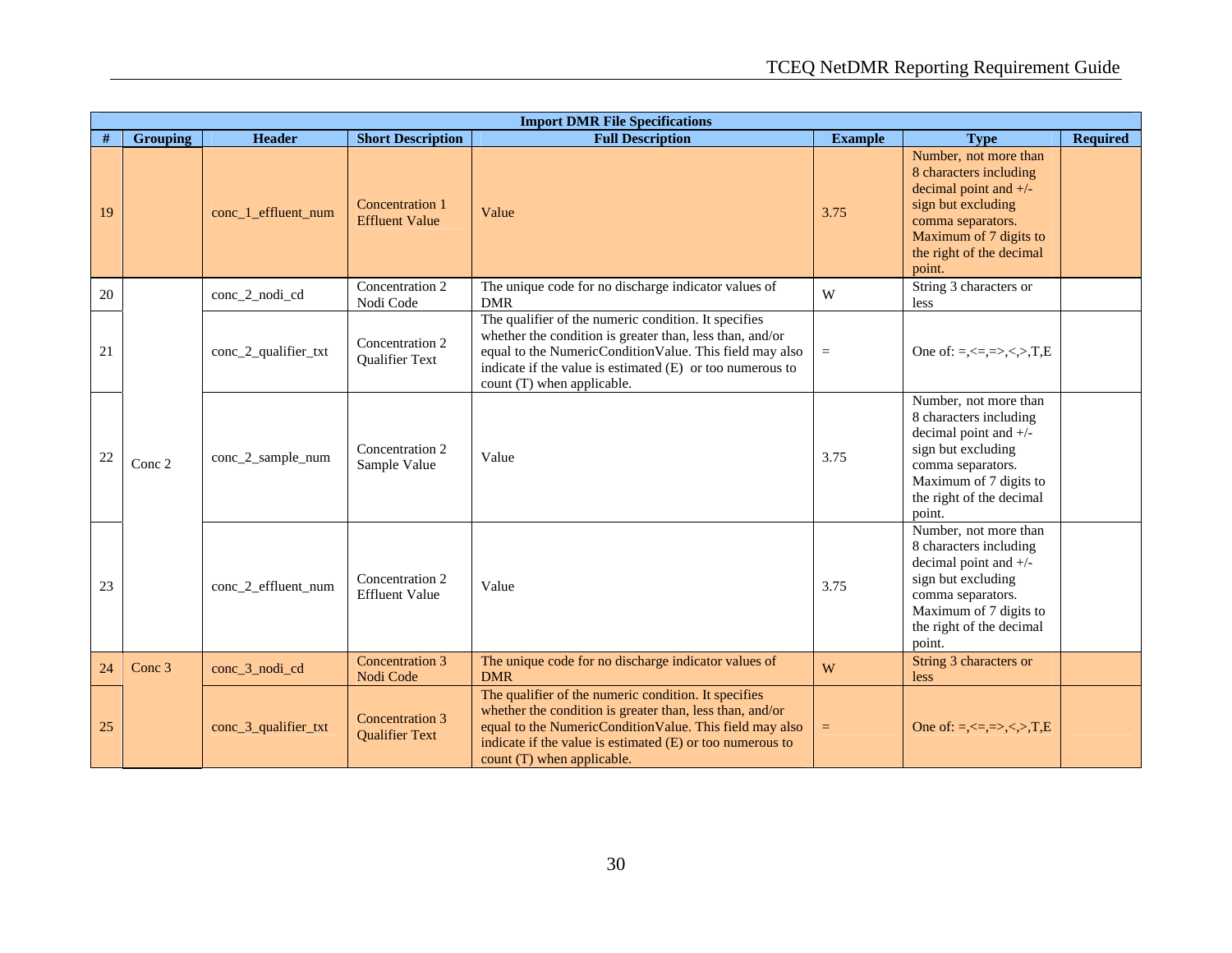|      | <b>Import DMR File Specifications</b> |                      |                                          |                                                                                                                                                                                                                                                                        |                |                                                                                                                                                                                       |                 |
|------|---------------------------------------|----------------------|------------------------------------------|------------------------------------------------------------------------------------------------------------------------------------------------------------------------------------------------------------------------------------------------------------------------|----------------|---------------------------------------------------------------------------------------------------------------------------------------------------------------------------------------|-----------------|
| $\#$ | <b>Grouping</b>                       | <b>Header</b>        | <b>Short Description</b>                 | <b>Full Description</b>                                                                                                                                                                                                                                                | <b>Example</b> | <b>Type</b>                                                                                                                                                                           | <b>Required</b> |
| 19   |                                       | conc_1_effluent_num  | Concentration 1<br><b>Effluent Value</b> | Value                                                                                                                                                                                                                                                                  | 3.75           | Number, not more than<br>8 characters including<br>decimal point and $+/-$<br>sign but excluding<br>comma separators.<br>Maximum of 7 digits to<br>the right of the decimal<br>point. |                 |
| 20   |                                       | conc_2_nodi_cd       | Concentration 2<br>Nodi Code             | The unique code for no discharge indicator values of<br><b>DMR</b>                                                                                                                                                                                                     | W              | String 3 characters or<br>less                                                                                                                                                        |                 |
| 21   |                                       | conc_2_qualifier_txt | Concentration 2<br>Qualifier Text        | The qualifier of the numeric condition. It specifies<br>whether the condition is greater than, less than, and/or<br>equal to the NumericConditionValue. This field may also<br>indicate if the value is estimated (E) or too numerous to<br>count (T) when applicable. | $\equiv$       | One of: $=, \leq, =, >, >, T, E$                                                                                                                                                      |                 |
| 22   | Conc 2                                | conc_2_sample_num    | Concentration 2<br>Sample Value          | Value                                                                                                                                                                                                                                                                  | 3.75           | Number, not more than<br>8 characters including<br>decimal point and +/-<br>sign but excluding<br>comma separators.<br>Maximum of 7 digits to<br>the right of the decimal<br>point.   |                 |
| 23   |                                       | conc_2_effluent_num  | Concentration 2<br><b>Effluent Value</b> | Value                                                                                                                                                                                                                                                                  | 3.75           | Number, not more than<br>8 characters including<br>decimal point and +/-<br>sign but excluding<br>comma separators.<br>Maximum of 7 digits to<br>the right of the decimal<br>point.   |                 |
| 24   | Conc 3                                | conc_3_nodi_cd       | Concentration 3<br>Nodi Code             | The unique code for no discharge indicator values of<br><b>DMR</b>                                                                                                                                                                                                     | W              | String 3 characters or<br>less                                                                                                                                                        |                 |
| 25   |                                       | conc_3_qualifier_txt | Concentration 3<br><b>Qualifier Text</b> | The qualifier of the numeric condition. It specifies<br>whether the condition is greater than, less than, and/or<br>equal to the NumericConditionValue. This field may also<br>indicate if the value is estimated (E) or too numerous to<br>count (T) when applicable. | $\equiv$       | One of: =, $\le$ =, =>, $\le$ , >, T, E                                                                                                                                               |                 |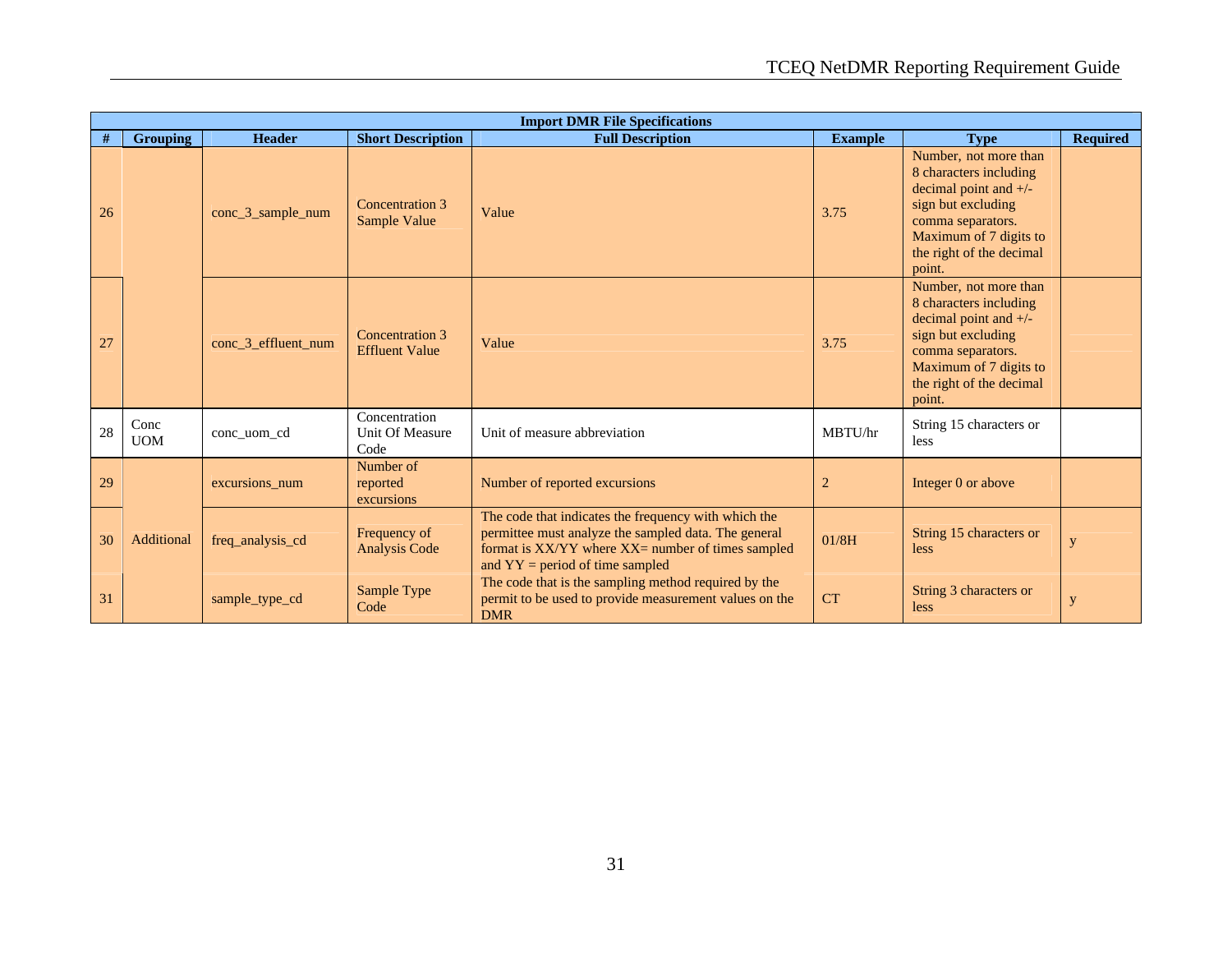|    | <b>Import DMR File Specifications</b> |                     |                                          |                                                                                                                                                                                                        |                |                                                                                                                                                                                       |                 |  |  |  |
|----|---------------------------------------|---------------------|------------------------------------------|--------------------------------------------------------------------------------------------------------------------------------------------------------------------------------------------------------|----------------|---------------------------------------------------------------------------------------------------------------------------------------------------------------------------------------|-----------------|--|--|--|
| #  | <b>Grouping</b>                       | <b>Header</b>       | <b>Short Description</b>                 | <b>Full Description</b>                                                                                                                                                                                | <b>Example</b> | <b>Type</b>                                                                                                                                                                           | <b>Required</b> |  |  |  |
| 26 |                                       | conc_3_sample_num   | Concentration 3<br>Sample Value          | Value                                                                                                                                                                                                  | 3.75           | Number, not more than<br>8 characters including<br>decimal point and $+/-$<br>sign but excluding<br>comma separators.<br>Maximum of 7 digits to<br>the right of the decimal<br>point. |                 |  |  |  |
| 27 |                                       | conc 3 effluent num | Concentration 3<br><b>Effluent Value</b> | Value                                                                                                                                                                                                  | 3.75           | Number, not more than<br>8 characters including<br>decimal point and $+/-$<br>sign but excluding<br>comma separators.<br>Maximum of 7 digits to<br>the right of the decimal<br>point. |                 |  |  |  |
| 28 | Conc<br><b>UOM</b>                    | conc uom cd         | Concentration<br>Unit Of Measure<br>Code | Unit of measure abbreviation                                                                                                                                                                           | MBTU/hr        | String 15 characters or<br>less                                                                                                                                                       |                 |  |  |  |
| 29 |                                       | excursions_num      | Number of<br>reported<br>excursions      | Number of reported excursions                                                                                                                                                                          | $\overline{2}$ | Integer 0 or above                                                                                                                                                                    |                 |  |  |  |
| 30 | Additional                            | freq_analysis_cd    | Frequency of<br><b>Analysis Code</b>     | The code that indicates the frequency with which the<br>permittee must analyze the sampled data. The general<br>format is XX/YY where XX= number of times sampled<br>and $YY = period$ of time sampled | 01/8H          | String 15 characters or<br>less                                                                                                                                                       | y               |  |  |  |
| 31 |                                       | sample_type_cd      | Sample Type<br>Code                      | The code that is the sampling method required by the<br>permit to be used to provide measurement values on the<br><b>DMR</b>                                                                           | <b>CT</b>      | String 3 characters or<br>less                                                                                                                                                        | ${\bf y}$       |  |  |  |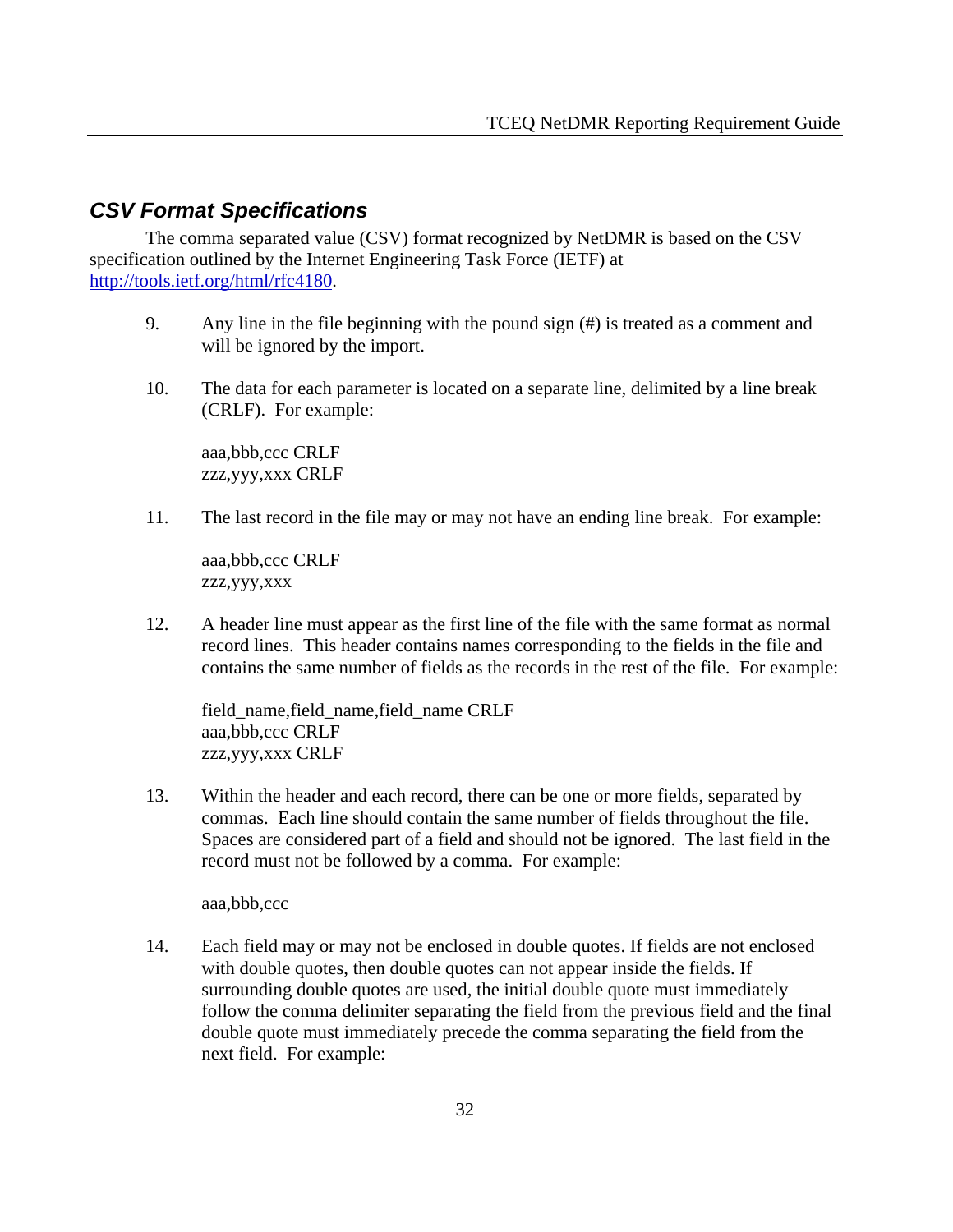### *CSV Format Specifications*

 The comma separated value (CSV) format recognized by NetDMR is based on the CSV specification outlined by the Internet Engineering Task Force (IETF) at http://tools.ietf.org/html/rfc4180.

- 9. Any line in the file beginning with the pound sign (#) is treated as a comment and will be ignored by the import.
- 10. The data for each parameter is located on a separate line, delimited by a line break (CRLF). For example:

aaa,bbb,ccc CRLF zzz,yyy,xxx CRLF

11. The last record in the file may or may not have an ending line break. For example:

aaa,bbb,ccc CRLF zzz,yyy,xxx

12. A header line must appear as the first line of the file with the same format as normal record lines. This header contains names corresponding to the fields in the file and contains the same number of fields as the records in the rest of the file. For example:

field\_name,field\_name,field\_name CRLF aaa,bbb,ccc CRLF zzz,yyy,xxx CRLF

13. Within the header and each record, there can be one or more fields, separated by commas. Each line should contain the same number of fields throughout the file. Spaces are considered part of a field and should not be ignored. The last field in the record must not be followed by a comma. For example:

aaa,bbb,ccc

14. Each field may or may not be enclosed in double quotes. If fields are not enclosed with double quotes, then double quotes can not appear inside the fields. If surrounding double quotes are used, the initial double quote must immediately follow the comma delimiter separating the field from the previous field and the final double quote must immediately precede the comma separating the field from the next field. For example: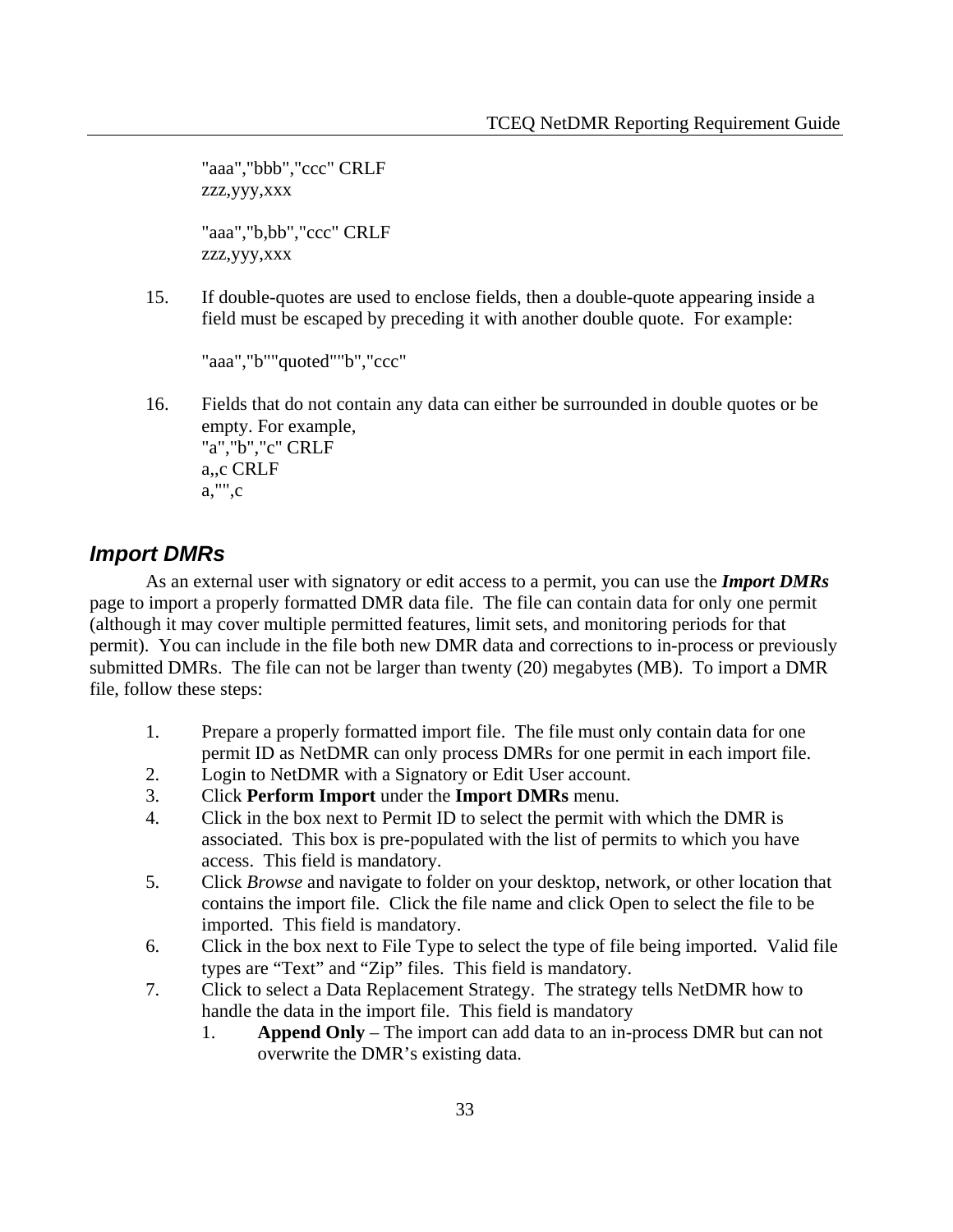"aaa","bbb","ccc" CRLF zzz,yyy,xxx

"aaa","b,bb","ccc" CRLF zzz,yyy,xxx

15. If double-quotes are used to enclose fields, then a double-quote appearing inside a field must be escaped by preceding it with another double quote. For example:

"aaa","b""quoted""b","ccc"

16. Fields that do not contain any data can either be surrounded in double quotes or be empty. For example,

"a","b","c" CRLF a,,c CRLF a,"",c

### *Import DMRs*

 As an external user with signatory or edit access to a permit, you can use the *Import DMRs* page to import a properly formatted DMR data file. The file can contain data for only one permit (although it may cover multiple permitted features, limit sets, and monitoring periods for that permit). You can include in the file both new DMR data and corrections to in-process or previously submitted DMRs. The file can not be larger than twenty (20) megabytes (MB). To import a DMR file, follow these steps:

- 1. Prepare a properly formatted import file. The file must only contain data for one permit ID as NetDMR can only process DMRs for one permit in each import file.
- 2. Login to NetDMR with a Signatory or Edit User account.
- 3. Click **Perform Import** under the **Import DMRs** menu.
- 4. Click in the box next to Permit ID to select the permit with which the DMR is associated. This box is pre-populated with the list of permits to which you have access. This field is mandatory.
- 5. Click *Browse* and navigate to folder on your desktop, network, or other location that contains the import file. Click the file name and click Open to select the file to be imported. This field is mandatory.
- 6. Click in the box next to File Type to select the type of file being imported. Valid file types are "Text" and "Zip" files. This field is mandatory.
- 7. Click to select a Data Replacement Strategy. The strategy tells NetDMR how to handle the data in the import file. This field is mandatory
	- 1. **Append Only** The import can add data to an in-process DMR but can not overwrite the DMR's existing data.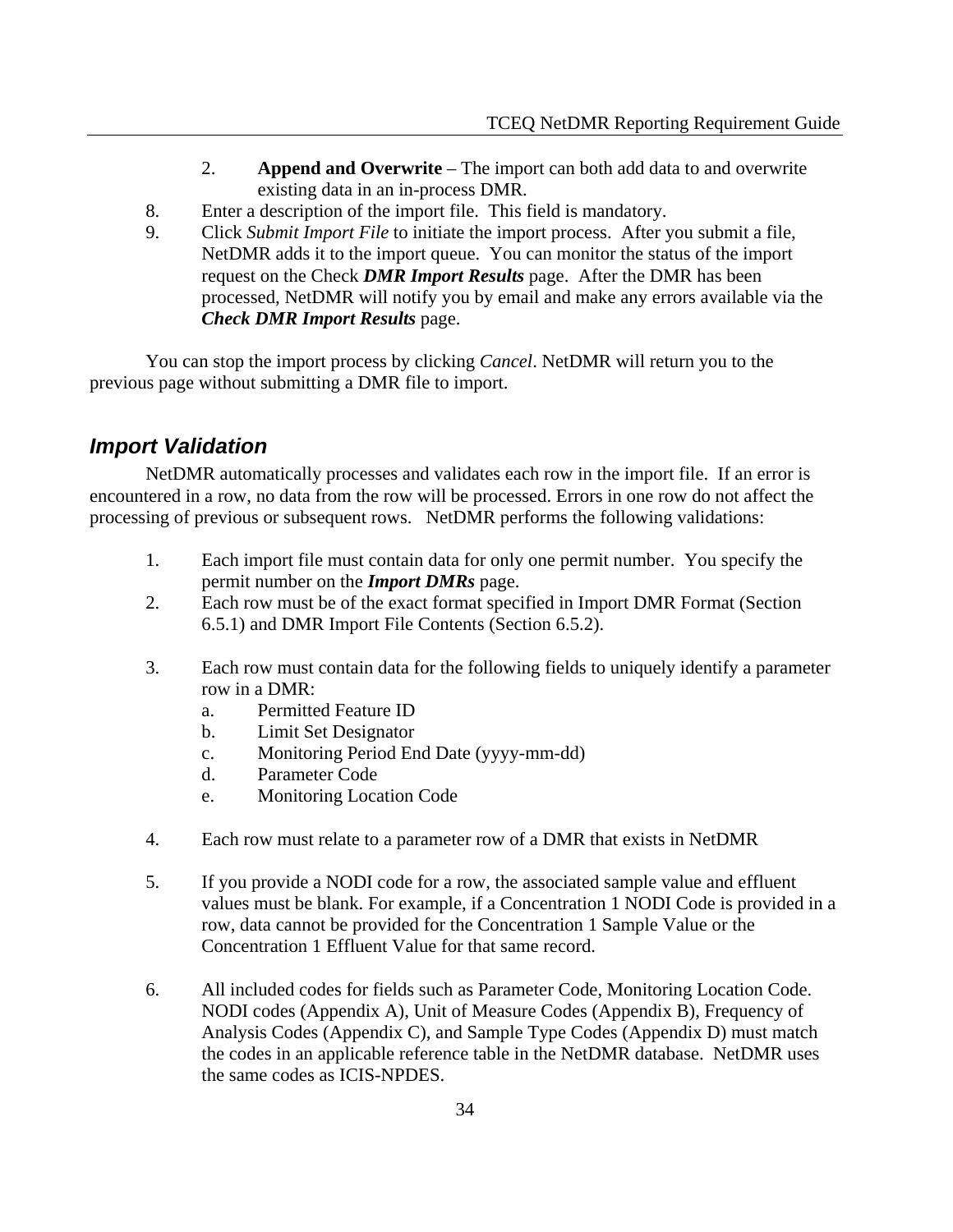- 2. **Append and Overwrite** The import can both add data to and overwrite existing data in an in-process DMR.
- 8. Enter a description of the import file. This field is mandatory.
- 9. Click *Submit Import File* to initiate the import process. After you submit a file, NetDMR adds it to the import queue. You can monitor the status of the import request on the Check *DMR Import Results* page. After the DMR has been processed, NetDMR will notify you by email and make any errors available via the *Check DMR Import Results* page.

 You can stop the import process by clicking *Cancel*. NetDMR will return you to the previous page without submitting a DMR file to import.

### *Import Validation*

 NetDMR automatically processes and validates each row in the import file. If an error is encountered in a row, no data from the row will be processed. Errors in one row do not affect the processing of previous or subsequent rows. NetDMR performs the following validations:

- 1. Each import file must contain data for only one permit number. You specify the permit number on the *Import DMRs* page.
- 2. Each row must be of the exact format specified in Import DMR Format (Section 6.5.1) and DMR Import File Contents (Section 6.5.2).
- 3. Each row must contain data for the following fields to uniquely identify a parameter row in a DMR:
	- a. Permitted Feature ID
	- b. Limit Set Designator
	- c. Monitoring Period End Date (yyyy-mm-dd)
	- d. Parameter Code
	- e. Monitoring Location Code
- 4. Each row must relate to a parameter row of a DMR that exists in NetDMR
- 5. If you provide a NODI code for a row, the associated sample value and effluent values must be blank. For example, if a Concentration 1 NODI Code is provided in a row, data cannot be provided for the Concentration 1 Sample Value or the Concentration 1 Effluent Value for that same record.
- 6. All included codes for fields such as Parameter Code, Monitoring Location Code. NODI codes (Appendix A), Unit of Measure Codes (Appendix B), Frequency of Analysis Codes (Appendix C), and Sample Type Codes (Appendix D) must match the codes in an applicable reference table in the NetDMR database. NetDMR uses the same codes as ICIS-NPDES.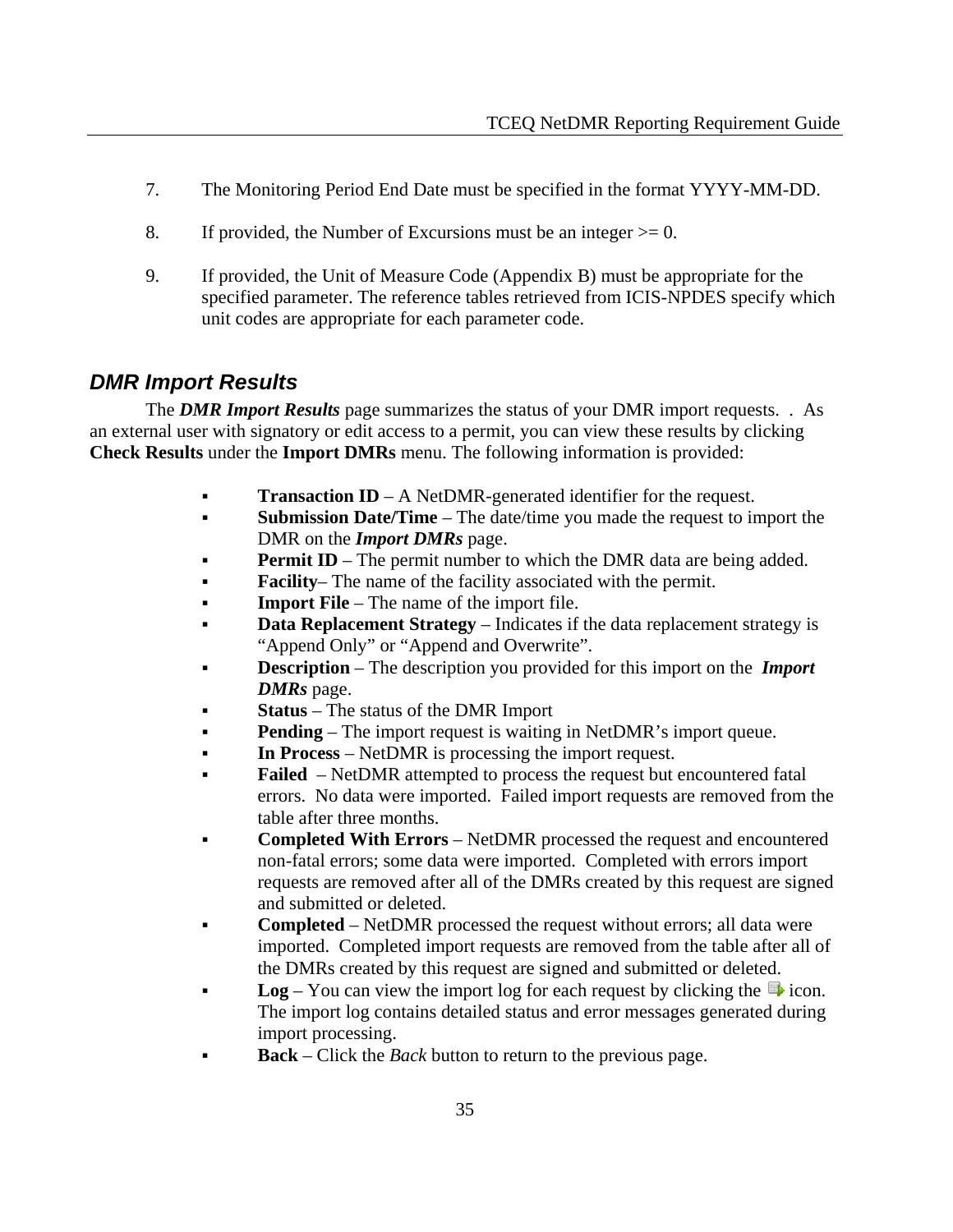- 7. The Monitoring Period End Date must be specified in the format YYYY-MM-DD.
- 8. If provided, the Number of Excursions must be an integer  $> = 0$ .
- 9. If provided, the Unit of Measure Code (Appendix B) must be appropriate for the specified parameter. The reference tables retrieved from ICIS-NPDES specify which unit codes are appropriate for each parameter code.

# *DMR Import Results*

 The *DMR Import Results* page summarizes the status of your DMR import requests. . As an external user with signatory or edit access to a permit, you can view these results by clicking **Check Results** under the **Import DMRs** menu. The following information is provided:

- **Transaction ID** A NetDMR-generated identifier for the request.
- **Submission Date/Time** The date/time you made the request to import the DMR on the *Import DMRs* page.
- **Permit ID** The permit number to which the DMR data are being added.
- **Facility** The name of the facility associated with the permit.
- **Import File** The name of the import file.
- **Data Replacement Strategy** Indicates if the data replacement strategy is "Append Only" or "Append and Overwrite".
- **Description** The description you provided for this import on the *Import DMRs* page.
- **Status** The status of the DMR Import
- **Pending** The import request is waiting in NetDMR's import queue.
- **In Process** NetDMR is processing the import request.
- **Failed**  NetDMR attempted to process the request but encountered fatal errors. No data were imported. Failed import requests are removed from the table after three months.
- **Completed With Errors** NetDMR processed the request and encountered non-fatal errors; some data were imported. Completed with errors import requests are removed after all of the DMRs created by this request are signed and submitted or deleted.
- **Completed** NetDMR processed the request without errors; all data were imported. Completed import requests are removed from the table after all of the DMRs created by this request are signed and submitted or deleted.
- **Log** You can view the import log for each request by clicking the  $\mathbb{F}$  icon. The import log contains detailed status and error messages generated during import processing.
- **Back** Click the *Back* button to return to the previous page.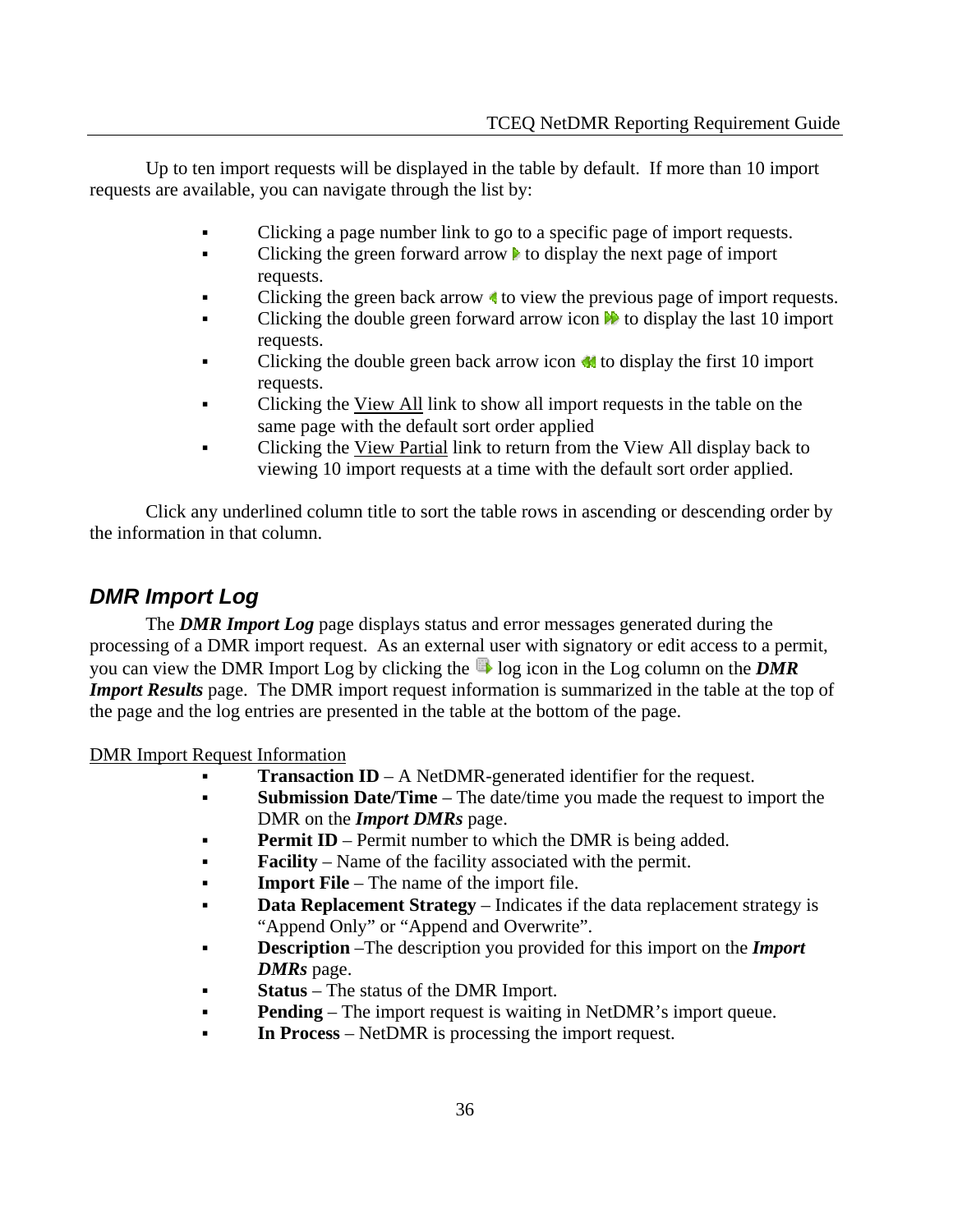Up to ten import requests will be displayed in the table by default. If more than 10 import requests are available, you can navigate through the list by:

- Clicking a page number link to go to a specific page of import requests.
- Clicking the green forward arrow  $\blacktriangleright$  to display the next page of import requests.
- Clicking the green back arrow  $\triangleleft$  to view the previous page of import requests.
- Clicking the double green forward arrow icon  $\blacksquare$  to display the last 10 import requests.
- Clicking the double green back arrow icon  $\blacksquare$  to display the first 10 import requests.
- Clicking the View All link to show all import requests in the table on the same page with the default sort order applied
- Clicking the View Partial link to return from the View All display back to viewing 10 import requests at a time with the default sort order applied.

 Click any underlined column title to sort the table rows in ascending or descending order by the information in that column.

# *DMR Import Log*

 The *DMR Import Log* page displays status and error messages generated during the processing of a DMR import request. As an external user with signatory or edit access to a permit, you can view the DMR Import Log by clicking the log icon in the Log column on the *DMR Import Results* page. The DMR import request information is summarized in the table at the top of the page and the log entries are presented in the table at the bottom of the page.

DMR Import Request Information

- **Transaction ID** A NetDMR-generated identifier for the request.
- **Submission Date/Time** The date/time you made the request to import the DMR on the *Import DMRs* page.
- **Permit ID** Permit number to which the DMR is being added.
- **Facility** Name of the facility associated with the permit.
- **Import File** The name of the import file.
- **Data Replacement Strategy** Indicates if the data replacement strategy is "Append Only" or "Append and Overwrite".
- **Description** –The description you provided for this import on the *Import DMRs* page.
- **Status** The status of the DMR Import.
- **Pending** The import request is waiting in NetDMR's import queue.
- **In Process** NetDMR is processing the import request.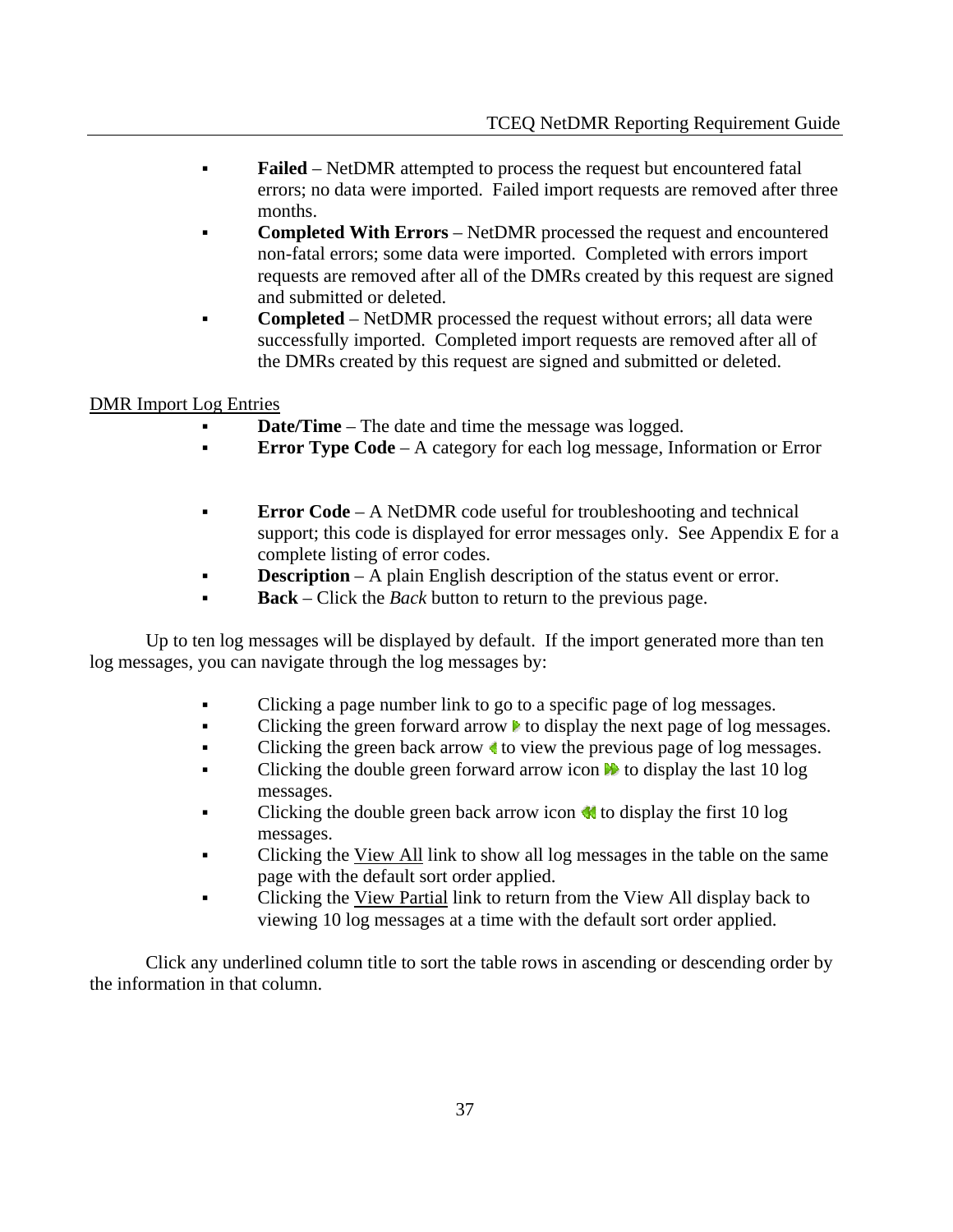- **Failed** NetDMR attempted to process the request but encountered fatal errors; no data were imported. Failed import requests are removed after three months.
- **Completed With Errors** NetDMR processed the request and encountered non-fatal errors; some data were imported. Completed with errors import requests are removed after all of the DMRs created by this request are signed and submitted or deleted.
- **Completed** NetDMR processed the request without errors; all data were successfully imported. Completed import requests are removed after all of the DMRs created by this request are signed and submitted or deleted.

#### DMR Import Log Entries

- **Date/Time** The date and time the message was logged.
- **Error Type Code** A category for each log message, Information or Error
- **Error Code** A NetDMR code useful for troubleshooting and technical support; this code is displayed for error messages only. See Appendix E for a complete listing of error codes.
- **Description** A plain English description of the status event or error.
- **Back** Click the *Back* button to return to the previous page.

 Up to ten log messages will be displayed by default. If the import generated more than ten log messages, you can navigate through the log messages by:

- Clicking a page number link to go to a specific page of log messages.
- Clicking the green forward arrow  $\blacktriangleright$  to display the next page of log messages.
- Clicking the green back arrow  $\triangleleft$  to view the previous page of log messages.
- Clicking the double green forward arrow icon  $\mathbb{N}$  to display the last 10 log messages.
- Clicking the double green back arrow icon  $\triangleleft$  to display the first 10 log messages.
- Clicking the View All link to show all log messages in the table on the same page with the default sort order applied.
- Clicking the View Partial link to return from the View All display back to viewing 10 log messages at a time with the default sort order applied.

 Click any underlined column title to sort the table rows in ascending or descending order by the information in that column.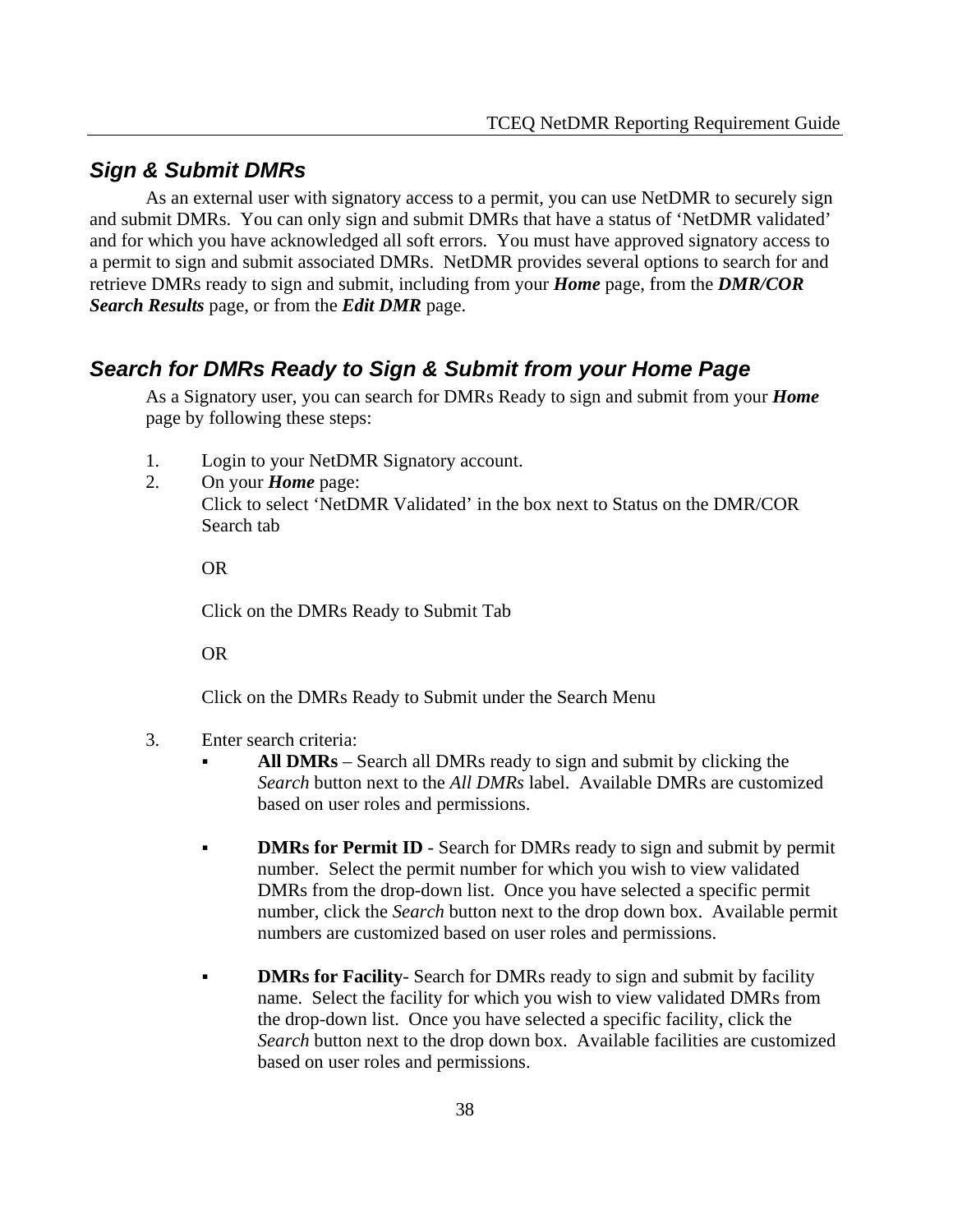#### *Sign & Submit DMRs*

 As an external user with signatory access to a permit, you can use NetDMR to securely sign and submit DMRs. You can only sign and submit DMRs that have a status of 'NetDMR validated' and for which you have acknowledged all soft errors. You must have approved signatory access to a permit to sign and submit associated DMRs. NetDMR provides several options to search for and retrieve DMRs ready to sign and submit, including from your *Home* page, from the *DMR/COR Search Results* page, or from the *Edit DMR* page.

#### *Search for DMRs Ready to Sign & Submit from your Home Page*

As a Signatory user, you can search for DMRs Ready to sign and submit from your *Home* page by following these steps:

- 1. Login to your NetDMR Signatory account.
- 2. On your *Home* page: Click to select 'NetDMR Validated' in the box next to Status on the DMR/COR Search tab

OR

Click on the DMRs Ready to Submit Tab

OR

Click on the DMRs Ready to Submit under the Search Menu

- 3. Enter search criteria:
	- **All DMRs** Search all DMRs ready to sign and submit by clicking the *Search* button next to the *All DMRs* label. Available DMRs are customized based on user roles and permissions.
	- **DMRs for Permit ID** Search for DMRs ready to sign and submit by permit number. Select the permit number for which you wish to view validated DMRs from the drop-down list. Once you have selected a specific permit number, click the *Search* button next to the drop down box. Available permit numbers are customized based on user roles and permissions.
	- **DMRs for Facility** Search for DMRs ready to sign and submit by facility name. Select the facility for which you wish to view validated DMRs from the drop-down list. Once you have selected a specific facility, click the *Search* button next to the drop down box. Available facilities are customized based on user roles and permissions.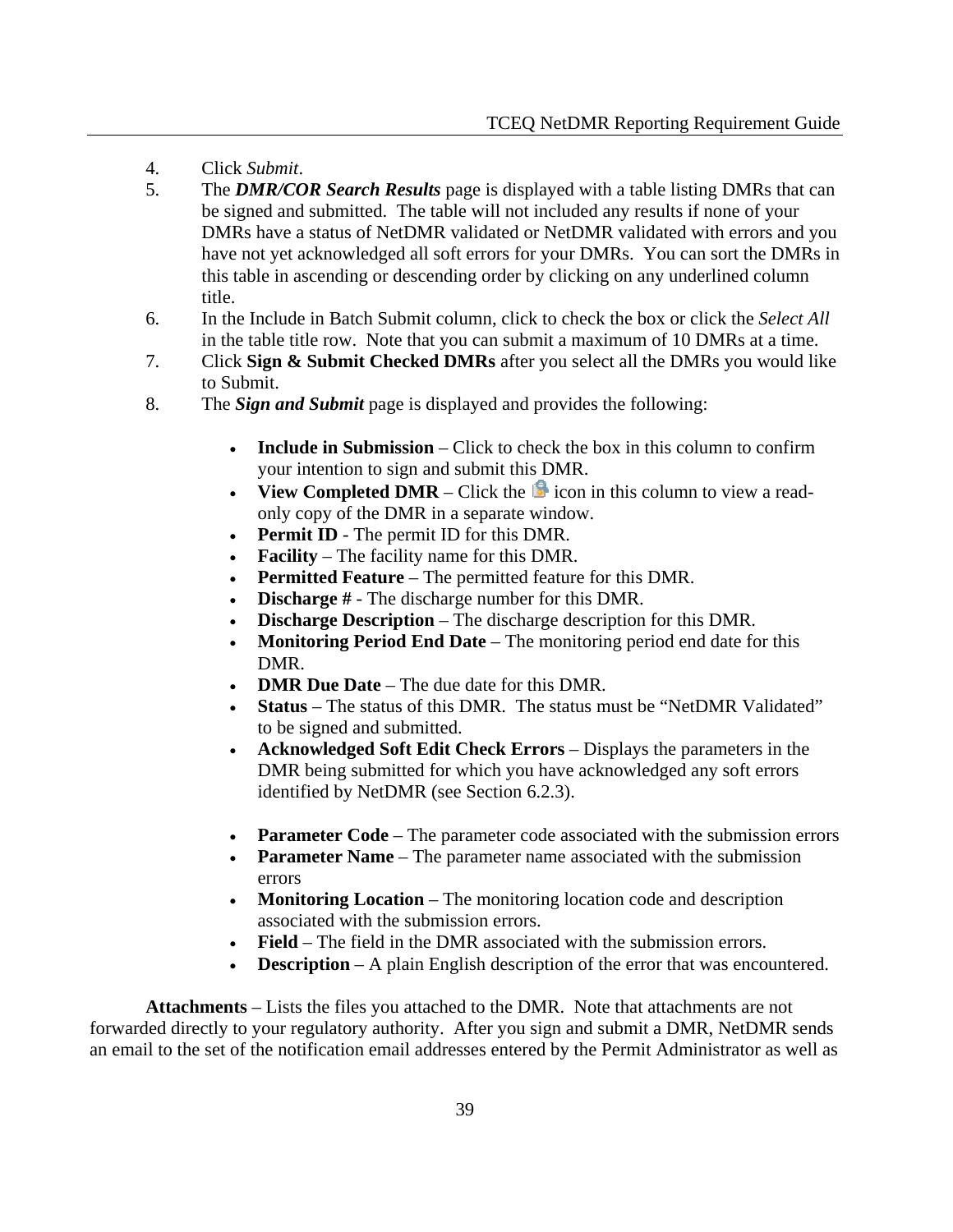- 4. Click *Submit*.
- 5. The *DMR/COR Search Results* page is displayed with a table listing DMRs that can be signed and submitted. The table will not included any results if none of your DMRs have a status of NetDMR validated or NetDMR validated with errors and you have not yet acknowledged all soft errors for your DMRs. You can sort the DMRs in this table in ascending or descending order by clicking on any underlined column title.
- 6. In the Include in Batch Submit column, click to check the box or click the *Select All* in the table title row. Note that you can submit a maximum of 10 DMRs at a time.
- 7. Click **Sign & Submit Checked DMRs** after you select all the DMRs you would like to Submit.
- 8. The *Sign and Submit* page is displayed and provides the following:
	- **Include in Submission** Click to check the box in this column to confirm your intention to sign and submit this DMR.
	- **View Completed DMR** Click the  $\mathbb{R}$  icon in this column to view a readonly copy of the DMR in a separate window.
	- **Permit ID** The permit ID for this DMR.
	- **Facility** The facility name for this DMR.
	- **Permitted Feature** The permitted feature for this DMR.
	- **Discharge #** The discharge number for this DMR.
	- **Discharge Description** The discharge description for this DMR.
	- **Monitoring Period End Date** The monitoring period end date for this DMR.
	- **DMR Due Date** The due date for this DMR.
	- **Status** The status of this DMR. The status must be "NetDMR Validated" to be signed and submitted.
	- **Acknowledged Soft Edit Check Errors** Displays the parameters in the DMR being submitted for which you have acknowledged any soft errors identified by NetDMR (see Section 6.2.3).
	- **Parameter Code** The parameter code associated with the submission errors
	- **Parameter Name** The parameter name associated with the submission errors
	- **Monitoring Location** The monitoring location code and description associated with the submission errors.
	- **Field** The field in the DMR associated with the submission errors.
	- **Description** A plain English description of the error that was encountered.

 **Attachments** – Lists the files you attached to the DMR. Note that attachments are not forwarded directly to your regulatory authority. After you sign and submit a DMR, NetDMR sends an email to the set of the notification email addresses entered by the Permit Administrator as well as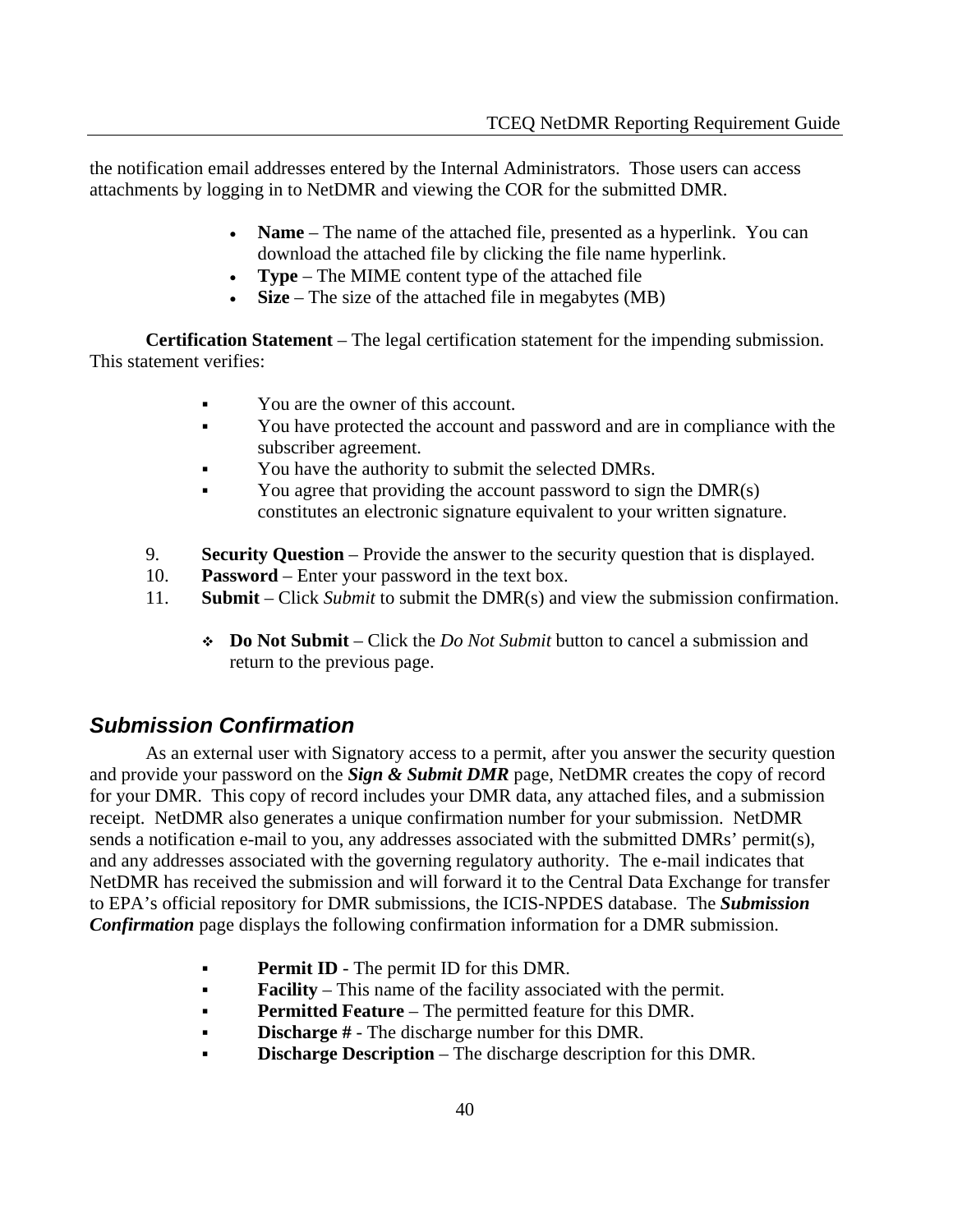the notification email addresses entered by the Internal Administrators. Those users can access attachments by logging in to NetDMR and viewing the COR for the submitted DMR.

- **Name** The name of the attached file, presented as a hyperlink. You can download the attached file by clicking the file name hyperlink.
- **Type** The MIME content type of the attached file
- **Size** The size of the attached file in megabytes (MB)

**Certification Statement** – The legal certification statement for the impending submission. This statement verifies:

- You are the owner of this account.
- You have protected the account and password and are in compliance with the subscriber agreement.
- You have the authority to submit the selected DMRs.
- You agree that providing the account password to sign the DMR(s) constitutes an electronic signature equivalent to your written signature.
- 9. **Security Question** Provide the answer to the security question that is displayed.
- 10. **Password** Enter your password in the text box.
- 11. **Submit** Click *Submit* to submit the DMR(s) and view the submission confirmation.
	- **Do Not Submit** Click the *Do Not Submit* button to cancel a submission and return to the previous page.

# *Submission Confirmation*

 As an external user with Signatory access to a permit, after you answer the security question and provide your password on the *Sign & Submit DMR* page, NetDMR creates the copy of record for your DMR. This copy of record includes your DMR data, any attached files, and a submission receipt. NetDMR also generates a unique confirmation number for your submission. NetDMR sends a notification e-mail to you, any addresses associated with the submitted DMRs' permit(s), and any addresses associated with the governing regulatory authority. The e-mail indicates that NetDMR has received the submission and will forward it to the Central Data Exchange for transfer to EPA's official repository for DMR submissions, the ICIS-NPDES database. The *Submission Confirmation* page displays the following confirmation information for a DMR submission.

- **Permit ID** The permit ID for this DMR.
- **Facility** This name of the facility associated with the permit.
- **Permitted Feature** The permitted feature for this DMR.
- **Discharge** # The discharge number for this DMR.
- **Discharge Description** The discharge description for this DMR.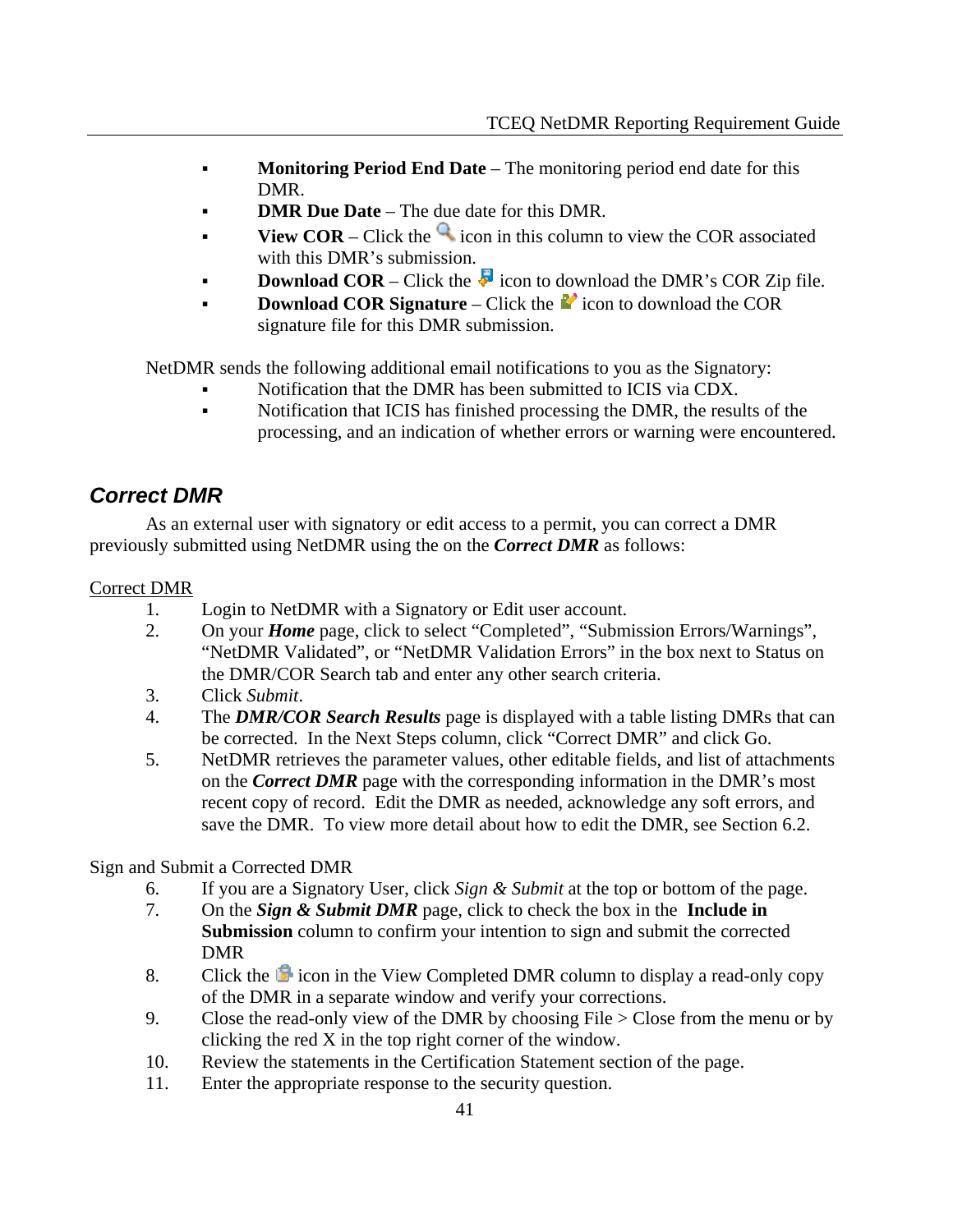- **Monitoring Period End Date** The monitoring period end date for this DMR.
- **DMR Due Date** The due date for this DMR.
- **View COR** Click the  $\alpha$  icon in this column to view the COR associated with this DMR's submission.
- **Download COR** Click the  $\overline{\bullet}$  icon to download the DMR's COR Zip file.
- **Download COR Signature** Click the **ignal** to download the COR signature file for this DMR submission.

NetDMR sends the following additional email notifications to you as the Signatory:

- Notification that the DMR has been submitted to ICIS via CDX.
- Notification that ICIS has finished processing the DMR, the results of the processing, and an indication of whether errors or warning were encountered.

# *Correct DMR*

 As an external user with signatory or edit access to a permit, you can correct a DMR previously submitted using NetDMR using the on the *Correct DMR* as follows:

#### Correct DMR

- 1. Login to NetDMR with a Signatory or Edit user account.
- 2. On your *Home* page, click to select "Completed", "Submission Errors/Warnings", "NetDMR Validated", or "NetDMR Validation Errors" in the box next to Status on the DMR/COR Search tab and enter any other search criteria.
- 3. Click *Submit*.
- 4. The *DMR/COR Search Results* page is displayed with a table listing DMRs that can be corrected. In the Next Steps column, click "Correct DMR" and click Go.
- 5. NetDMR retrieves the parameter values, other editable fields, and list of attachments on the *Correct DMR* page with the corresponding information in the DMR's most recent copy of record. Edit the DMR as needed, acknowledge any soft errors, and save the DMR. To view more detail about how to edit the DMR, see Section 6.2.

### Sign and Submit a Corrected DMR

- 6. If you are a Signatory User, click *Sign & Submit* at the top or bottom of the page.
- 7. On the *Sign & Submit DMR* page, click to check the box in the **Include in Submission** column to confirm your intention to sign and submit the corrected DMR
- 8. Click the  $\blacksquare$  icon in the View Completed DMR column to display a read-only copy of the DMR in a separate window and verify your corrections.
- 9. Close the read-only view of the DMR by choosing File > Close from the menu or by clicking the red X in the top right corner of the window.
- 10. Review the statements in the Certification Statement section of the page.
- 11. Enter the appropriate response to the security question.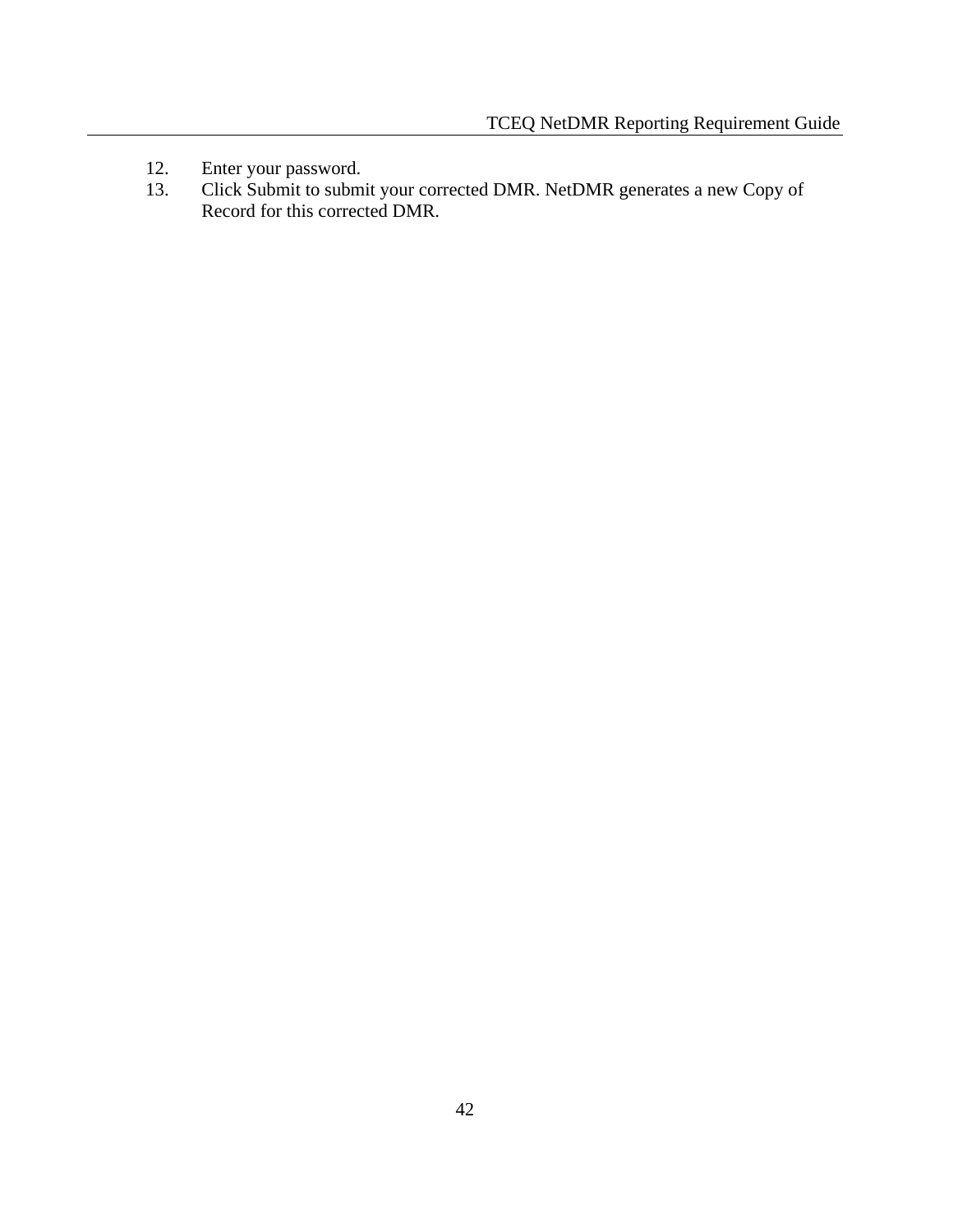- 12. Enter your password.<br>13. Click Submit to subm
- 13. Click Submit to submit your corrected DMR. NetDMR generates a new Copy of Record for this corrected DMR.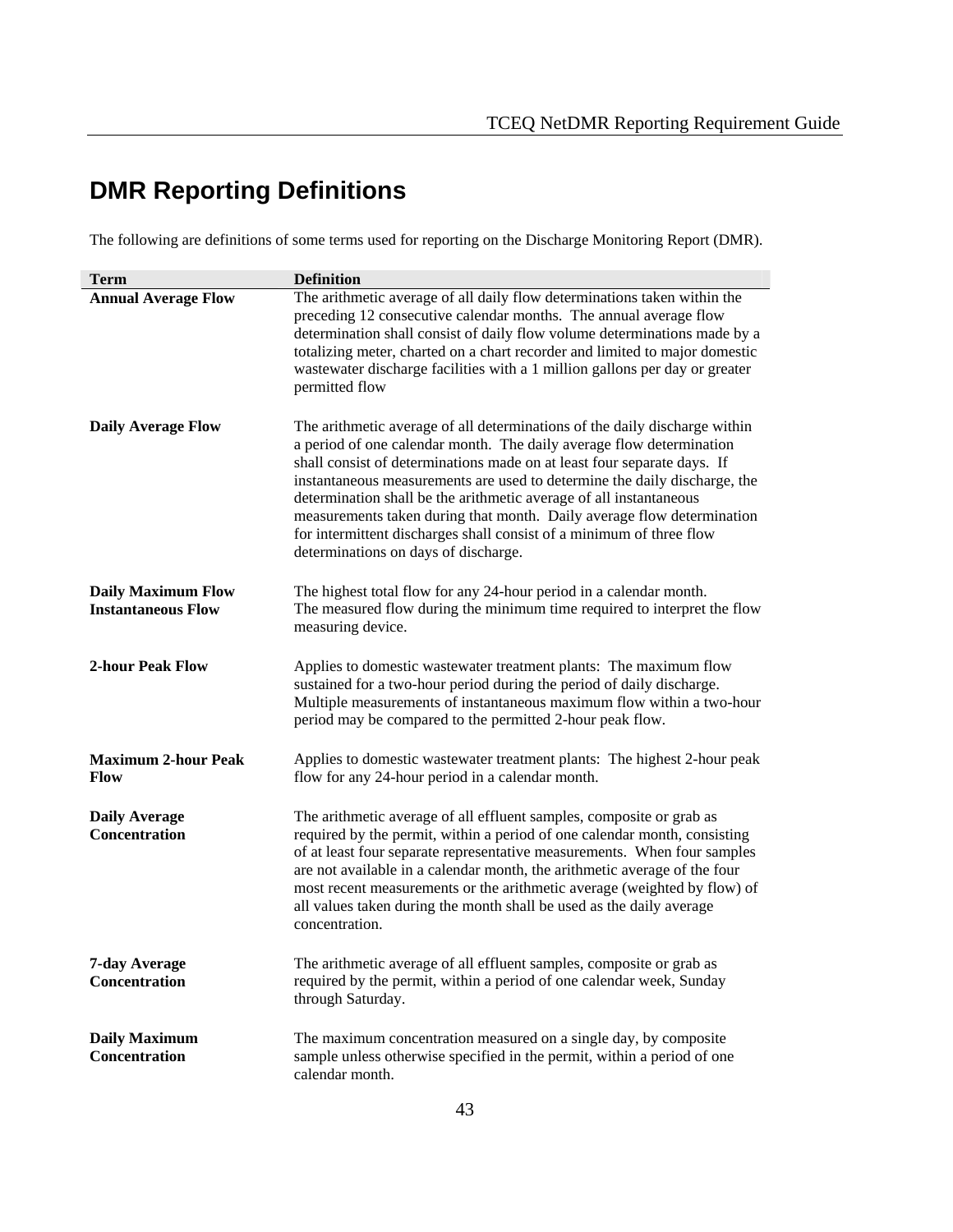# **DMR Reporting Definitions**

The following are definitions of some terms used for reporting on the Discharge Monitoring Report (DMR).

| <b>Term</b>                                            | <b>Definition</b>                                                                                                                                                                                                                                                                                                                                                                                                                                                                                                                                                          |  |
|--------------------------------------------------------|----------------------------------------------------------------------------------------------------------------------------------------------------------------------------------------------------------------------------------------------------------------------------------------------------------------------------------------------------------------------------------------------------------------------------------------------------------------------------------------------------------------------------------------------------------------------------|--|
| <b>Annual Average Flow</b>                             | The arithmetic average of all daily flow determinations taken within the<br>preceding 12 consecutive calendar months. The annual average flow<br>determination shall consist of daily flow volume determinations made by a<br>totalizing meter, charted on a chart recorder and limited to major domestic<br>wastewater discharge facilities with a 1 million gallons per day or greater<br>permitted flow                                                                                                                                                                 |  |
| <b>Daily Average Flow</b>                              | The arithmetic average of all determinations of the daily discharge within<br>a period of one calendar month. The daily average flow determination<br>shall consist of determinations made on at least four separate days. If<br>instantaneous measurements are used to determine the daily discharge, the<br>determination shall be the arithmetic average of all instantaneous<br>measurements taken during that month. Daily average flow determination<br>for intermittent discharges shall consist of a minimum of three flow<br>determinations on days of discharge. |  |
| <b>Daily Maximum Flow</b><br><b>Instantaneous Flow</b> | The highest total flow for any 24-hour period in a calendar month.<br>The measured flow during the minimum time required to interpret the flow<br>measuring device.                                                                                                                                                                                                                                                                                                                                                                                                        |  |
| <b>2-hour Peak Flow</b>                                | Applies to domestic wastewater treatment plants: The maximum flow<br>sustained for a two-hour period during the period of daily discharge.<br>Multiple measurements of instantaneous maximum flow within a two-hour<br>period may be compared to the permitted 2-hour peak flow.                                                                                                                                                                                                                                                                                           |  |
| <b>Maximum 2-hour Peak</b><br><b>Flow</b>              | Applies to domestic wastewater treatment plants: The highest 2-hour peak<br>flow for any 24-hour period in a calendar month.                                                                                                                                                                                                                                                                                                                                                                                                                                               |  |
| <b>Daily Average</b><br><b>Concentration</b>           | The arithmetic average of all effluent samples, composite or grab as<br>required by the permit, within a period of one calendar month, consisting<br>of at least four separate representative measurements. When four samples<br>are not available in a calendar month, the arithmetic average of the four<br>most recent measurements or the arithmetic average (weighted by flow) of<br>all values taken during the month shall be used as the daily average<br>concentration.                                                                                           |  |
| 7-day Average<br>Concentration                         | The arithmetic average of all effluent samples, composite or grab as<br>required by the permit, within a period of one calendar week, Sunday<br>through Saturday.                                                                                                                                                                                                                                                                                                                                                                                                          |  |
| <b>Daily Maximum</b><br>Concentration                  | The maximum concentration measured on a single day, by composite<br>sample unless otherwise specified in the permit, within a period of one<br>calendar month.                                                                                                                                                                                                                                                                                                                                                                                                             |  |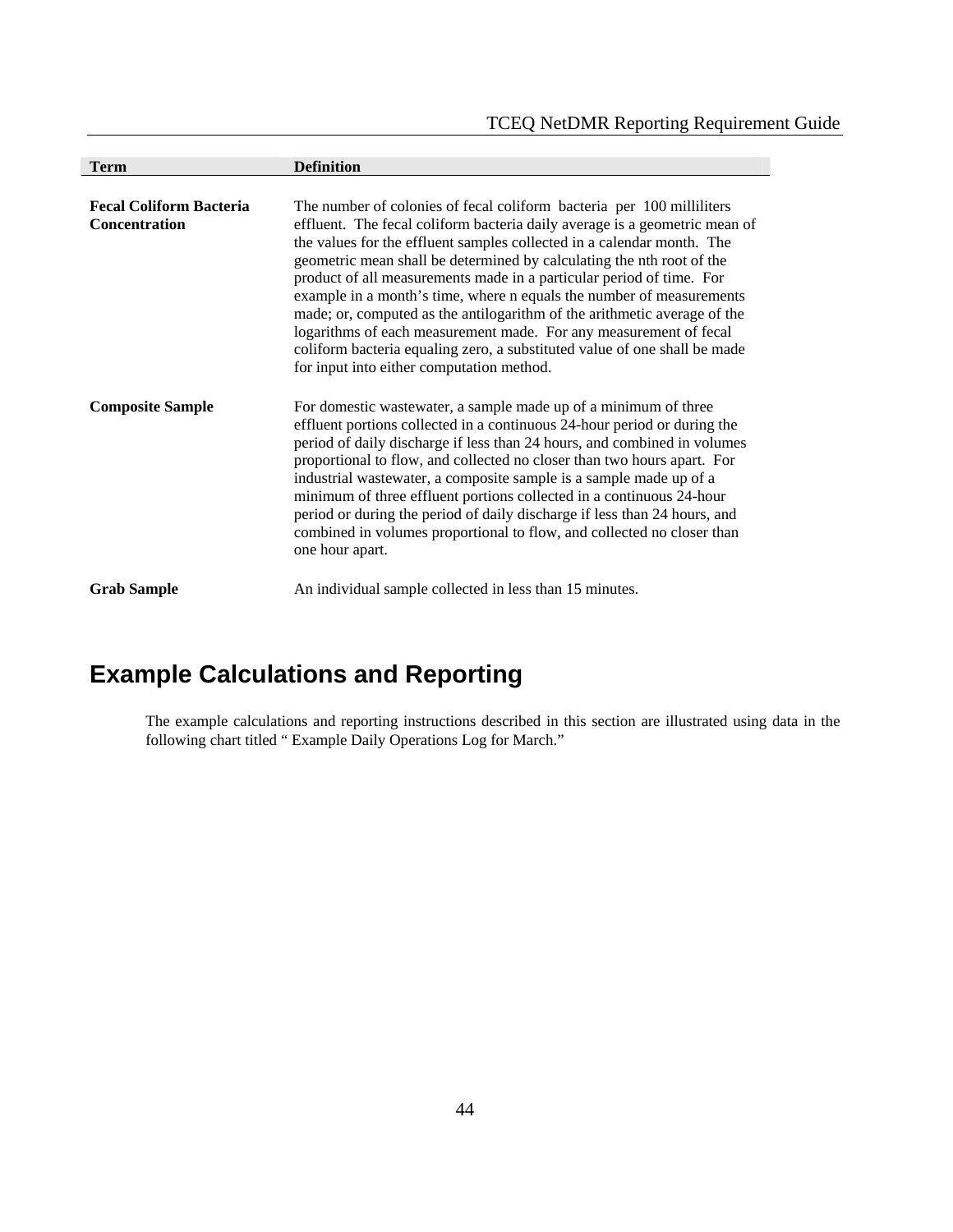| <b>Term</b>                                            | <b>Definition</b>                                                                                                                                                                                                                                                                                                                                                                                                                                                                                                                                                                                                                                                                                                                 |
|--------------------------------------------------------|-----------------------------------------------------------------------------------------------------------------------------------------------------------------------------------------------------------------------------------------------------------------------------------------------------------------------------------------------------------------------------------------------------------------------------------------------------------------------------------------------------------------------------------------------------------------------------------------------------------------------------------------------------------------------------------------------------------------------------------|
|                                                        |                                                                                                                                                                                                                                                                                                                                                                                                                                                                                                                                                                                                                                                                                                                                   |
| <b>Fecal Coliform Bacteria</b><br><b>Concentration</b> | The number of colonies of fecal coliform bacteria per 100 milliliters<br>effluent. The fecal coliform bacteria daily average is a geometric mean of<br>the values for the effluent samples collected in a calendar month. The<br>geometric mean shall be determined by calculating the nth root of the<br>product of all measurements made in a particular period of time. For<br>example in a month's time, where n equals the number of measurements<br>made; or, computed as the antilogarithm of the arithmetic average of the<br>logarithms of each measurement made. For any measurement of fecal<br>coliform bacteria equaling zero, a substituted value of one shall be made<br>for input into either computation method. |
| <b>Composite Sample</b>                                | For domestic was tewater, a sample made up of a minimum of three<br>effluent portions collected in a continuous 24-hour period or during the<br>period of daily discharge if less than 24 hours, and combined in volumes<br>proportional to flow, and collected no closer than two hours apart. For<br>industrial wastewater, a composite sample is a sample made up of a<br>minimum of three effluent portions collected in a continuous 24-hour<br>period or during the period of daily discharge if less than 24 hours, and<br>combined in volumes proportional to flow, and collected no closer than<br>one hour apart.                                                                                                       |
| <b>Grab Sample</b>                                     | An individual sample collected in less than 15 minutes.                                                                                                                                                                                                                                                                                                                                                                                                                                                                                                                                                                                                                                                                           |

# **Example Calculations and Reporting**

The example calculations and reporting instructions described in this section are illustrated using data in the following chart titled " Example Daily Operations Log for March."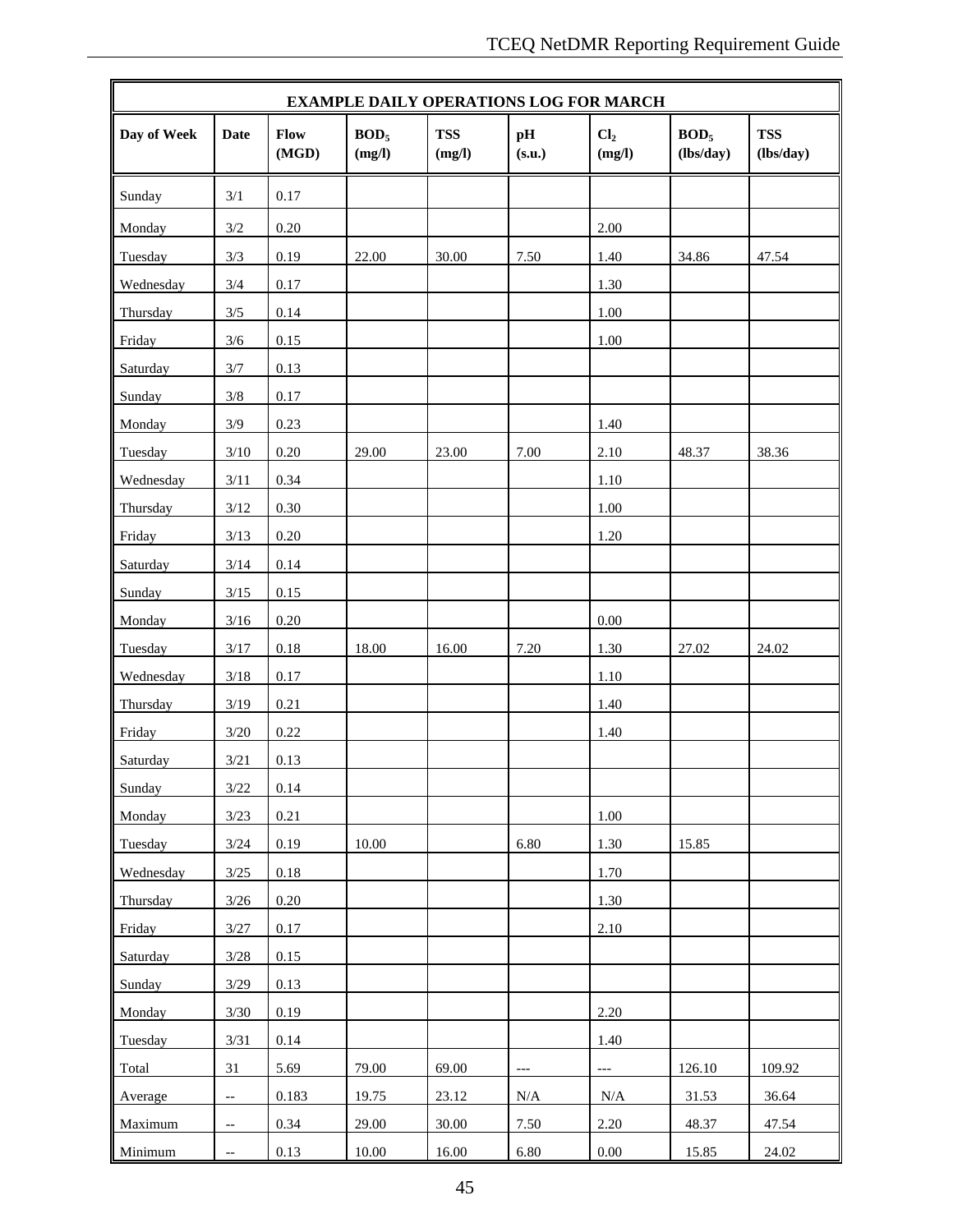| <b>EXAMPLE DAILY OPERATIONS LOG FOR MARCH</b> |                          |               |                            |                      |              |                           |                               |                         |
|-----------------------------------------------|--------------------------|---------------|----------------------------|----------------------|--------------|---------------------------|-------------------------------|-------------------------|
| Day of Week                                   | <b>Date</b>              | Flow<br>(MGD) | BOD <sub>5</sub><br>(mg/l) | <b>TSS</b><br>(mg/l) | pH<br>(s.u.) | Cl <sub>2</sub><br>(mg/l) | BOD <sub>5</sub><br>(lbs/day) | <b>TSS</b><br>(lbs/day) |
| Sunday                                        | 3/1                      | 0.17          |                            |                      |              |                           |                               |                         |
| Monday                                        | 3/2                      | 0.20          |                            |                      |              | 2.00                      |                               |                         |
| Tuesday                                       | 3/3                      | 0.19          | 22.00                      | 30.00                | 7.50         | 1.40                      | 34.86                         | 47.54                   |
| Wednesday                                     | 3/4                      | 0.17          |                            |                      |              | 1.30                      |                               |                         |
| Thursday                                      | 3/5                      | 0.14          |                            |                      |              | 1.00                      |                               |                         |
| Friday                                        | $3/6$                    | 0.15          |                            |                      |              | 1.00                      |                               |                         |
| Saturday                                      | 3/7                      | 0.13          |                            |                      |              |                           |                               |                         |
| Sunday                                        | 3/8                      | 0.17          |                            |                      |              |                           |                               |                         |
| Monday                                        | 3/9                      | 0.23          |                            |                      |              | 1.40                      |                               |                         |
| Tuesday                                       | $3/10$                   | 0.20          | 29.00                      | 23.00                | 7.00         | 2.10                      | 48.37                         | 38.36                   |
| Wednesday                                     | 3/11                     | 0.34          |                            |                      |              | 1.10                      |                               |                         |
| Thursday                                      | $3/12$                   | 0.30          |                            |                      |              | 1.00                      |                               |                         |
| Friday                                        | 3/13                     | 0.20          |                            |                      |              | 1.20                      |                               |                         |
| Saturday                                      | 3/14                     | 0.14          |                            |                      |              |                           |                               |                         |
| Sunday                                        | $3/15$                   | 0.15          |                            |                      |              |                           |                               |                         |
| Monday                                        | $3/16$                   | $0.20\,$      |                            |                      |              | 0.00                      |                               |                         |
| Tuesday                                       | 3/17                     | $0.18\,$      | 18.00                      | 16.00                | 7.20         | 1.30                      | 27.02                         | 24.02                   |
| Wednesday                                     | $3/18$                   | 0.17          |                            |                      |              | 1.10                      |                               |                         |
| Thursday                                      | 3/19                     | 0.21          |                            |                      |              | 1.40                      |                               |                         |
| Friday                                        | $3/20$                   | 0.22          |                            |                      |              | 1.40                      |                               |                         |
| Saturday                                      | 3/21                     | 0.13          |                            |                      |              |                           |                               |                         |
| Sunday                                        | $3/22$                   | 0.14          |                            |                      |              |                           |                               |                         |
| Monday                                        | 3/23                     | 0.21          |                            |                      |              | 1.00                      |                               |                         |
| Tuesday                                       | $3/24$                   | 0.19          | 10.00                      |                      | 6.80         | 1.30                      | 15.85                         |                         |
| Wednesday                                     | $3/25$                   | $0.18\,$      |                            |                      |              | 1.70                      |                               |                         |
| Thursday                                      | 3/26                     | 0.20          |                            |                      |              | 1.30                      |                               |                         |
| Friday                                        | 3/27                     | 0.17          |                            |                      |              | 2.10                      |                               |                         |
| Saturday                                      | 3/28                     | 0.15          |                            |                      |              |                           |                               |                         |
| Sunday                                        | $3/29$                   | 0.13          |                            |                      |              |                           |                               |                         |
| Monday                                        | 3/30                     | 0.19          |                            |                      |              | 2.20                      |                               |                         |
| Tuesday                                       | 3/31                     | 0.14          |                            |                      |              | 1.40                      |                               |                         |
| Total                                         | 31                       | 5.69          | 79.00                      | 69.00                | $---$        | $\overline{\phantom{a}}$  | 126.10                        | 109.92                  |
| Average                                       | $-\hbox{--}$             | 0.183         | 19.75                      | 23.12                | $\rm N/A$    | N/A                       | 31.53                         | 36.64                   |
| Maximum                                       | $\overline{\phantom{a}}$ | 0.34          | 29.00                      | 30.00                | 7.50         | 2.20                      | 48.37                         | 47.54                   |
| Minimum                                       | $\qquad \qquad -$        | 0.13          | 10.00                      | 16.00                | 6.80         | $0.00\,$                  | 15.85                         | 24.02                   |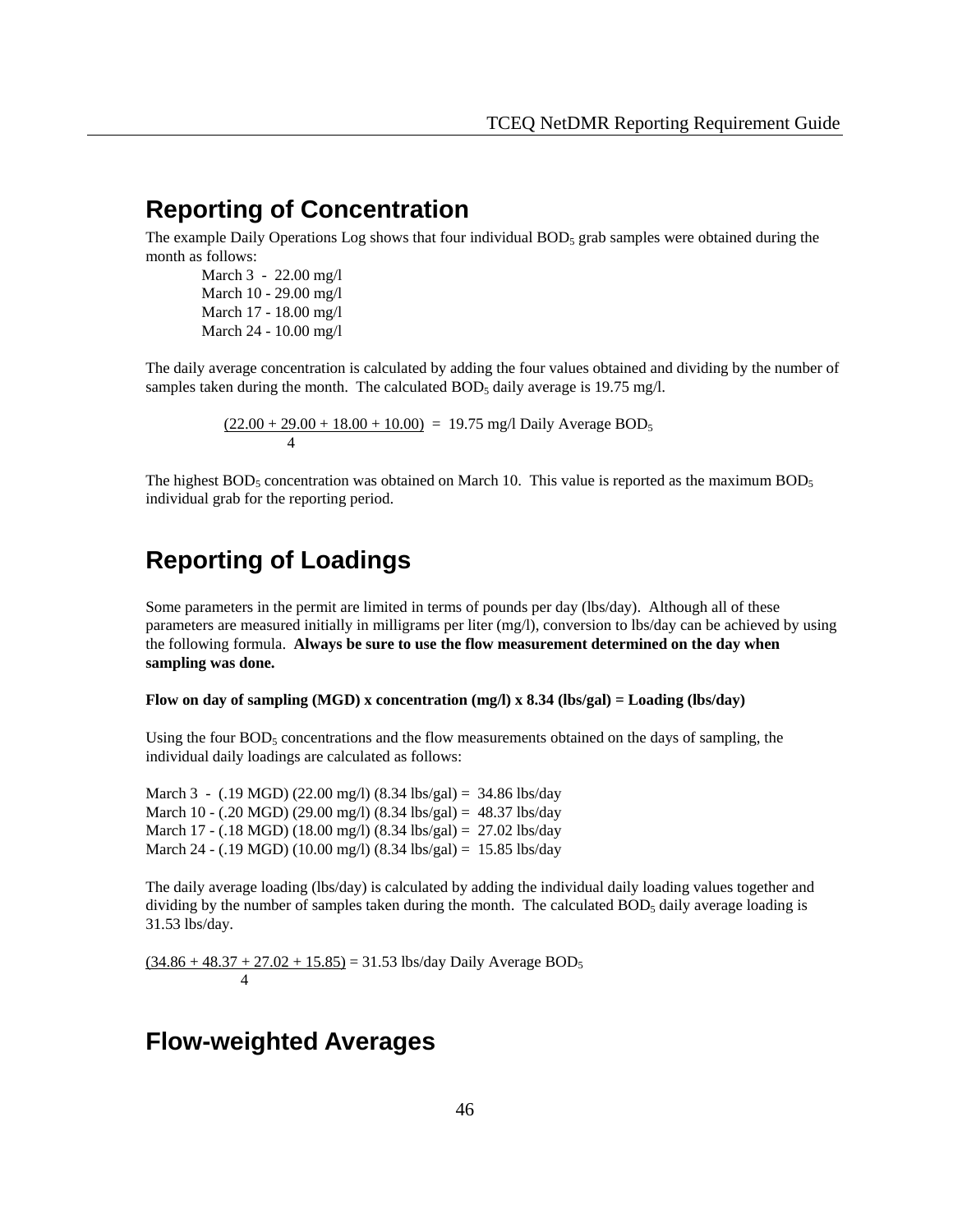# **Reporting of Concentration**

The example Daily Operations Log shows that four individual  $BOD<sub>5</sub>$  grab samples were obtained during the month as follows:

 March 3 - 22.00 mg/l March 10 - 29.00 mg/l March 17 - 18.00 mg/l March 24 - 10.00 mg/l

 The daily average concentration is calculated by adding the four values obtained and dividing by the number of samples taken during the month. The calculated  $BOD<sub>5</sub>$  daily average is 19.75 mg/l.

 $(22.00 + 29.00 + 18.00 + 10.00) = 19.75$  mg/l Daily Average BOD<sub>5</sub> 4

The highest  $BOD_5$  concentration was obtained on March 10. This value is reported as the maximum  $BOD_5$ individual grab for the reporting period.

# **Reporting of Loadings**

Some parameters in the permit are limited in terms of pounds per day (lbs/day). Although all of these parameters are measured initially in milligrams per liter (mg/l), conversion to lbs/day can be achieved by using the following formula. **Always be sure to use the flow measurement determined on the day when sampling was done.** 

**Flow on day of sampling (MGD) x concentration (mg/l) x 8.34 (lbs/gal) = Loading (lbs/day)**

Using the four  $BOD<sub>5</sub>$  concentrations and the flow measurements obtained on the days of sampling, the individual daily loadings are calculated as follows:

March 3 - (.19 MGD) (22.00 mg/l) (8.34 lbs/gal) = 34.86 lbs/day March 10 - (.20 MGD) (29.00 mg/l) (8.34 lbs/gal) = 48.37 lbs/day March 17 - (.18 MGD) (18.00 mg/l) (8.34 lbs/gal) = 27.02 lbs/day March 24 - (.19 MGD) (10.00 mg/l) (8.34 lbs/gal) = 15.85 lbs/day

The daily average loading (lbs/day) is calculated by adding the individual daily loading values together and dividing by the number of samples taken during the month. The calculated  $BOD<sub>5</sub>$  daily average loading is 31.53 lbs/day.

 $(34.86 + 48.37 + 27.02 + 15.85) = 31.53$  lbs/day Daily Average BOD<sub>5</sub> 4

# **Flow-weighted Averages**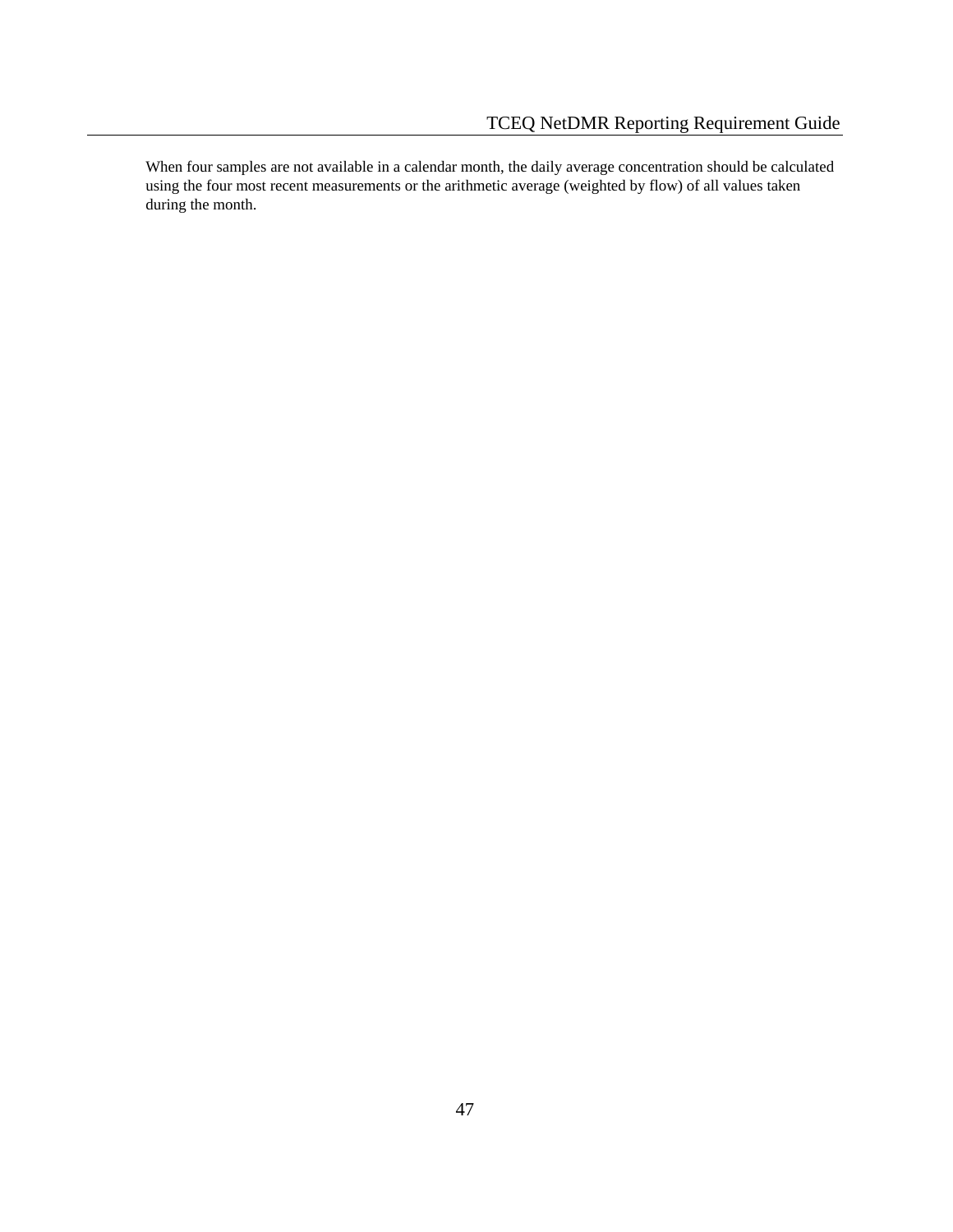When four samples are not available in a calendar month, the daily average concentration should be calculated using the four most recent measurements or the arithmetic average (weighted by flow) of all values taken during the month.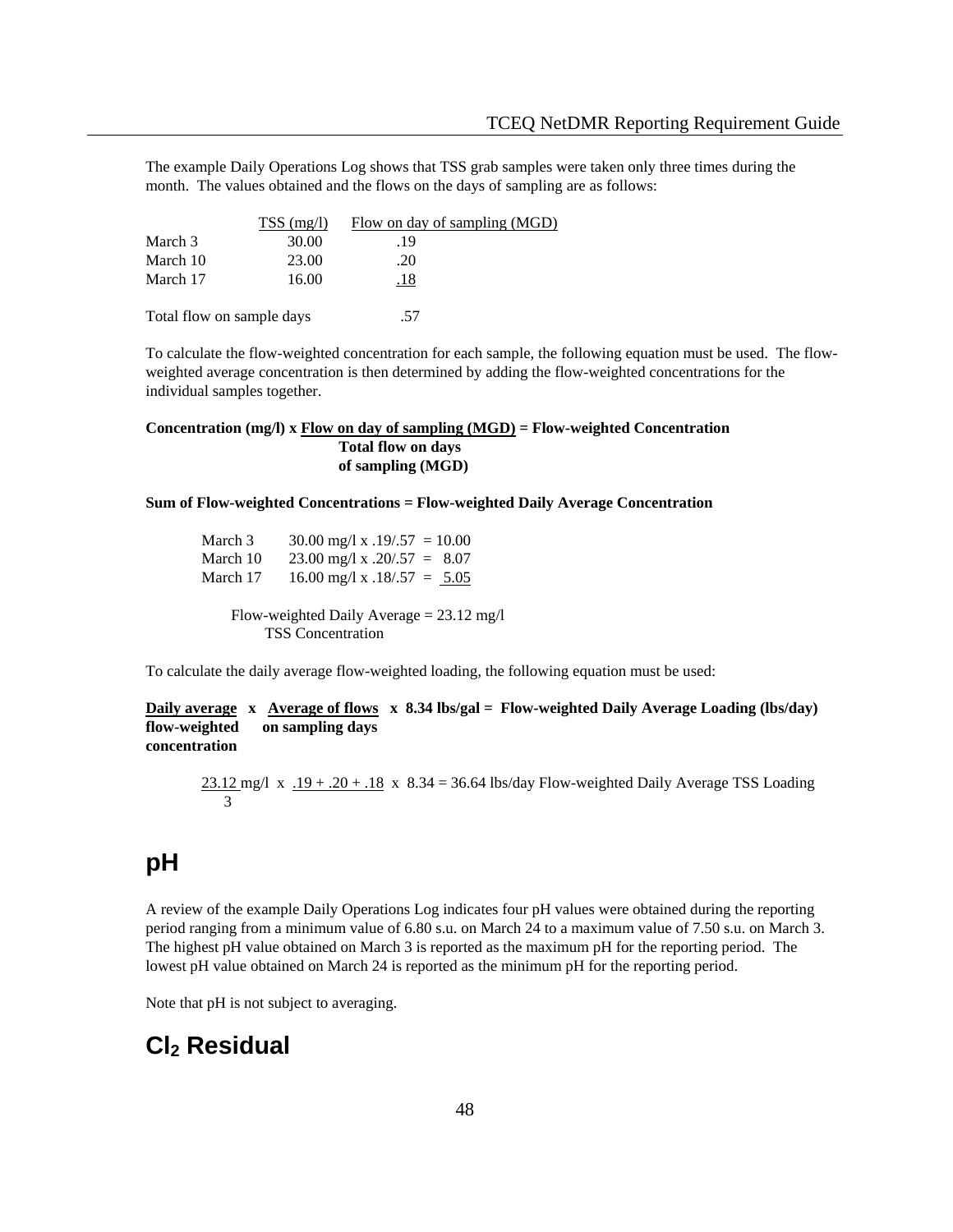The example Daily Operations Log shows that TSS grab samples were taken only three times during the month. The values obtained and the flows on the days of sampling are as follows:

|                           | $TSS$ (mg/l) | Flow on day of sampling (MGD) |  |
|---------------------------|--------------|-------------------------------|--|
| March 3                   | 30.00        | .19                           |  |
| March 10                  | 23.00        | .20                           |  |
| March 17                  | 16.00        | .18                           |  |
|                           |              |                               |  |
| Total flow on sample days |              | .57                           |  |

To calculate the flow-weighted concentration for each sample, the following equation must be used. The flowweighted average concentration is then determined by adding the flow-weighted concentrations for the individual samples together.

#### **Concentration (mg/l) x Flow on day of sampling (MGD) = Flow-weighted Concentration Total flow on days of sampling (MGD)**

#### **Sum of Flow-weighted Concentrations = Flow-weighted Daily Average Concentration**

March 3  $30.00$  mg/l x  $.19/0.57 = 10.00$ March 10  $23.00 \text{ mg/l x}$ .  $20/.57 = 8.07$ March 17 16.00 mg/l x  $.18/0.57 = 5.05$ Flow-weighted Daily Average = 23.12 mg/l

TSS Concentration

To calculate the daily average flow-weighted loading, the following equation must be used:

**Daily average x Average of flows x 8.34 lbs/gal = Flow-weighted Daily Average Loading (lbs/day) flow-weighted on sampling days concentration** 

 $23.12 \text{ mg/l} \times .19 + .20 + .18 \times 8.34 = 36.64 \text{ lbs/day}$  Flow-weighted Daily Average TSS Loading 3

# **pH**

A review of the example Daily Operations Log indicates four pH values were obtained during the reporting period ranging from a minimum value of 6.80 s.u. on March 24 to a maximum value of 7.50 s.u. on March 3. The highest pH value obtained on March 3 is reported as the maximum pH for the reporting period. The lowest pH value obtained on March 24 is reported as the minimum pH for the reporting period.

Note that pH is not subject to averaging.

# **Cl2 Residual**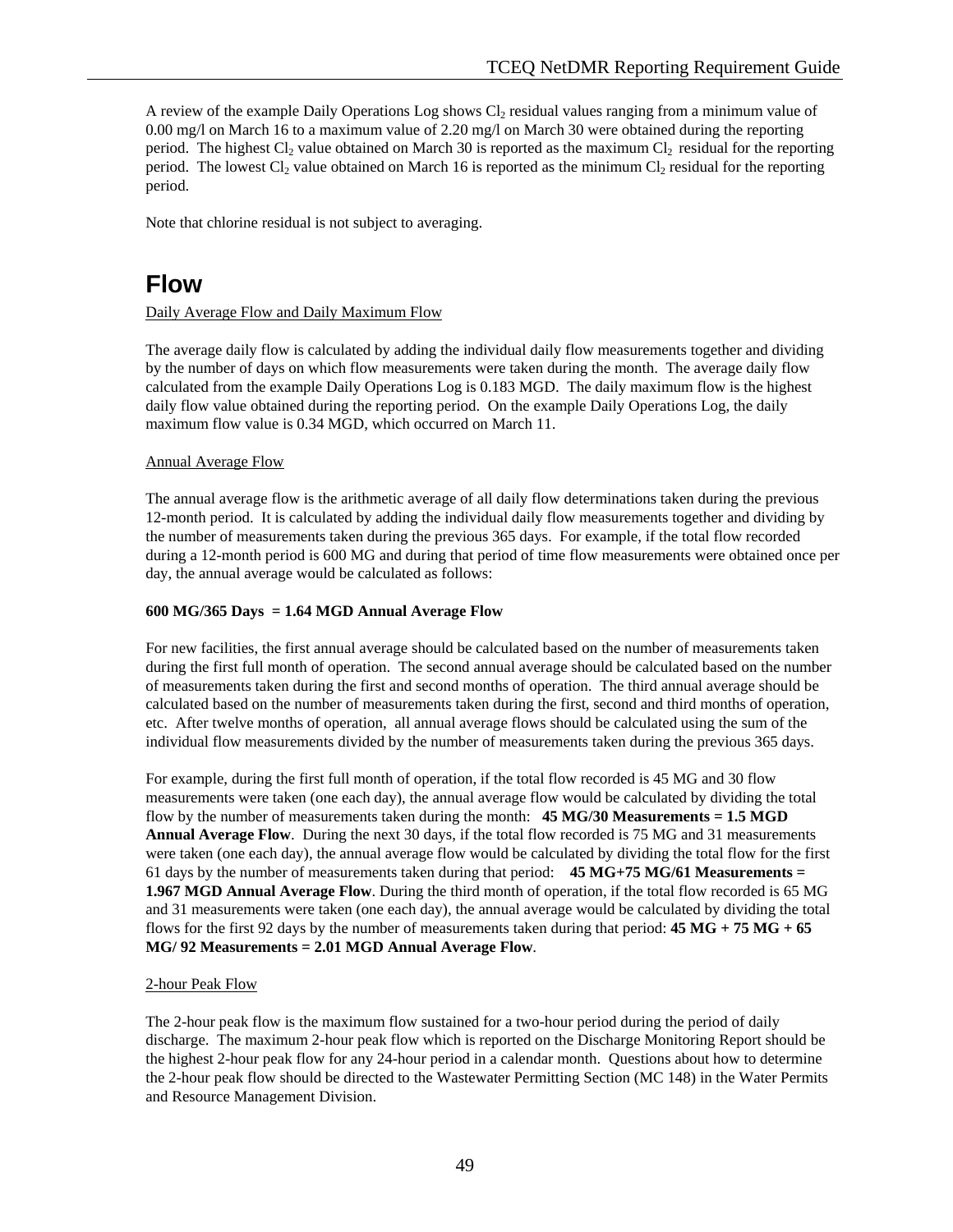A review of the example Daily Operations Log shows  $Cl_2$  residual values ranging from a minimum value of 0.00 mg/l on March 16 to a maximum value of 2.20 mg/l on March 30 were obtained during the reporting period. The highest  $Cl_2$  value obtained on March 30 is reported as the maximum  $Cl_2$  residual for the reporting period. The lowest  $Cl_2$  value obtained on March 16 is reported as the minimum  $Cl_2$  residual for the reporting period.

Note that chlorine residual is not subject to averaging.

# **Flow**

#### Daily Average Flow and Daily Maximum Flow

The average daily flow is calculated by adding the individual daily flow measurements together and dividing by the number of days on which flow measurements were taken during the month. The average daily flow calculated from the example Daily Operations Log is 0.183 MGD. The daily maximum flow is the highest daily flow value obtained during the reporting period. On the example Daily Operations Log, the daily maximum flow value is 0.34 MGD, which occurred on March 11.

#### Annual Average Flow

The annual average flow is the arithmetic average of all daily flow determinations taken during the previous 12-month period. It is calculated by adding the individual daily flow measurements together and dividing by the number of measurements taken during the previous 365 days. For example, if the total flow recorded during a 12-month period is 600 MG and during that period of time flow measurements were obtained once per day, the annual average would be calculated as follows:

#### **600 MG/365 Days = 1.64 MGD Annual Average Flow**

For new facilities, the first annual average should be calculated based on the number of measurements taken during the first full month of operation. The second annual average should be calculated based on the number of measurements taken during the first and second months of operation. The third annual average should be calculated based on the number of measurements taken during the first, second and third months of operation, etc. After twelve months of operation, all annual average flows should be calculated using the sum of the individual flow measurements divided by the number of measurements taken during the previous 365 days.

For example, during the first full month of operation, if the total flow recorded is 45 MG and 30 flow measurements were taken (one each day), the annual average flow would be calculated by dividing the total flow by the number of measurements taken during the month: **45 MG/30 Measurements = 1.5 MGD Annual Average Flow**. During the next 30 days, if the total flow recorded is 75 MG and 31 measurements were taken (one each day), the annual average flow would be calculated by dividing the total flow for the first 61 days by the number of measurements taken during that period: **45 MG+75 MG/61 Measurements = 1.967 MGD Annual Average Flow**. During the third month of operation, if the total flow recorded is 65 MG and 31 measurements were taken (one each day), the annual average would be calculated by dividing the total flows for the first 92 days by the number of measurements taken during that period:  $45 \text{ MG} + 75 \text{ MG} + 65$ **MG/ 92 Measurements = 2.01 MGD Annual Average Flow**.

#### 2-hour Peak Flow

The 2-hour peak flow is the maximum flow sustained for a two-hour period during the period of daily discharge. The maximum 2-hour peak flow which is reported on the Discharge Monitoring Report should be the highest 2-hour peak flow for any 24-hour period in a calendar month. Questions about how to determine the 2-hour peak flow should be directed to the Wastewater Permitting Section (MC 148) in the Water Permits and Resource Management Division.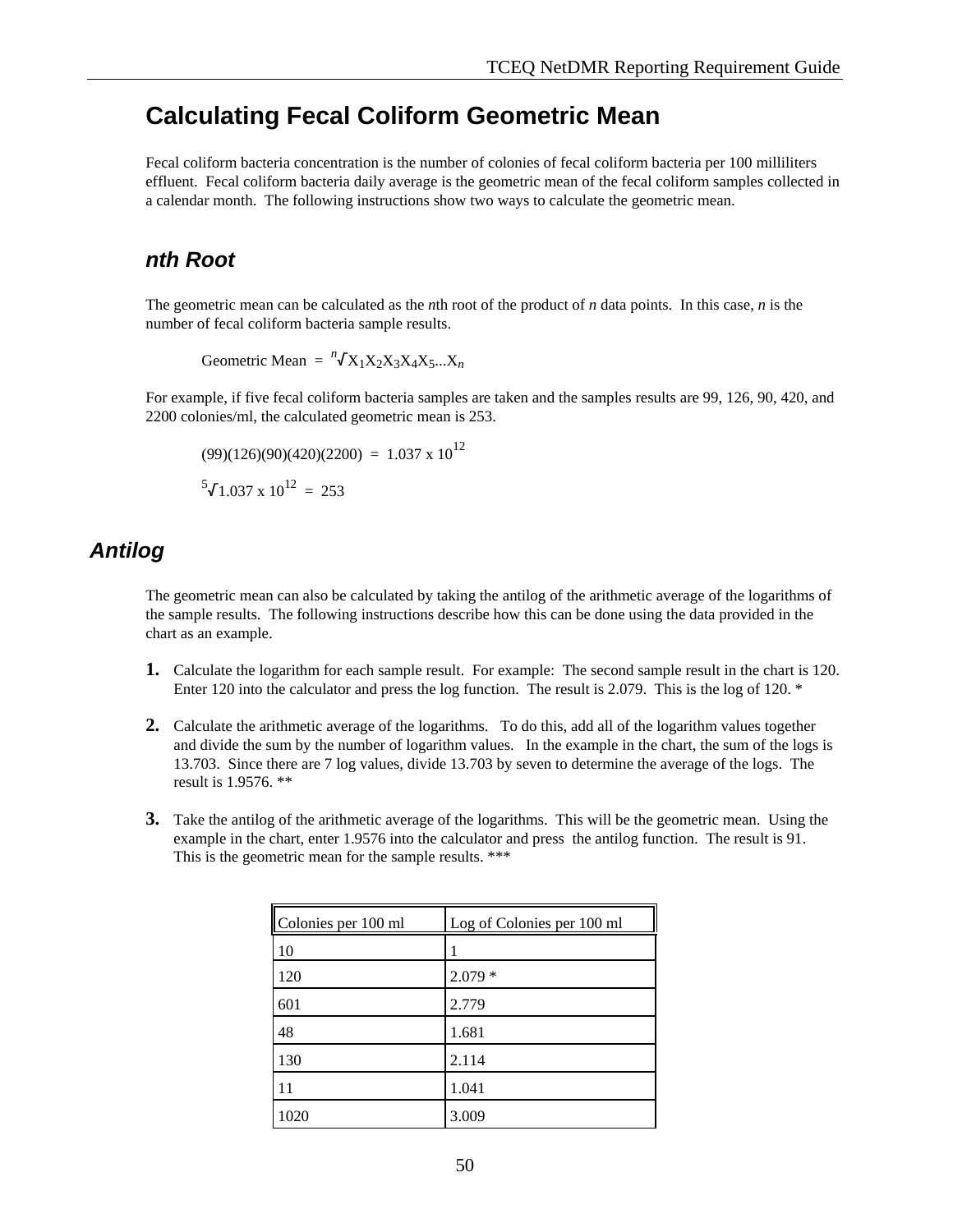# **Calculating Fecal Coliform Geometric Mean**

Fecal coliform bacteria concentration is the number of colonies of fecal coliform bacteria per 100 milliliters effluent. Fecal coliform bacteria daily average is the geometric mean of the fecal coliform samples collected in a calendar month. The following instructions show two ways to calculate the geometric mean.

# *nth Root*

The geometric mean can be calculated as the *n*th root of the product of *n* data points. In this case, *n* is the number of fecal coliform bacteria sample results.

Geometric Mean =  ${}^n\sqrt{X_1X_2X_3X_4X_5...X_n}$ 

For example, if five fecal coliform bacteria samples are taken and the samples results are 99, 126, 90, 420, and 2200 colonies/ml, the calculated geometric mean is 253.

$$
(99)(126)(90)(420)(2200) = 1.037 \times 10^{12}
$$
  
<sup>5</sup> $\sqrt{1.037} \times 10^{12} = 253$ 

# *Antilog*

The geometric mean can also be calculated by taking the antilog of the arithmetic average of the logarithms of the sample results. The following instructions describe how this can be done using the data provided in the chart as an example.

- **1.** Calculate the logarithm for each sample result. For example: The second sample result in the chart is 120. Enter 120 into the calculator and press the log function. The result is 2.079. This is the log of 120. \*
- **2.** Calculate the arithmetic average of the logarithms. To do this, add all of the logarithm values together and divide the sum by the number of logarithm values. In the example in the chart, the sum of the logs is 13.703. Since there are 7 log values, divide 13.703 by seven to determine the average of the logs. The result is 1.9576. \*\*
- **3.** Take the antilog of the arithmetic average of the logarithms. This will be the geometric mean. Using the example in the chart, enter 1.9576 into the calculator and press the antilog function. The result is 91. This is the geometric mean for the sample results. \*\*\*

| Colonies per 100 ml | Log of Colonies per 100 ml |
|---------------------|----------------------------|
| 10                  |                            |
| 120                 | $2.079*$                   |
| 601                 | 2.779                      |
| 48                  | 1.681                      |
| 130                 | 2.114                      |
| 11                  | 1.041                      |
| 1020                | 3.009                      |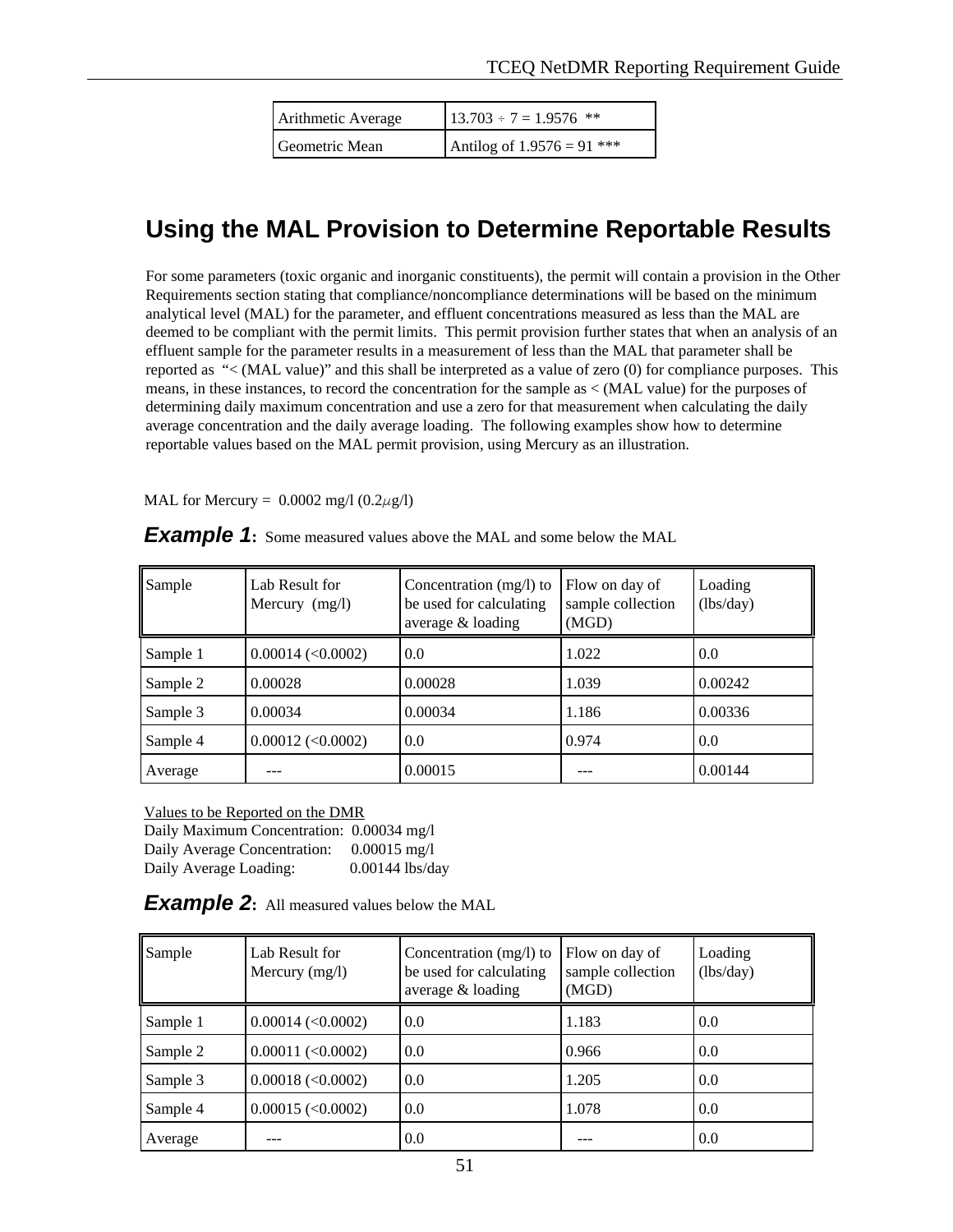| Arithmetic Average | $13.703 \div 7 = 1.9576$ **  |
|--------------------|------------------------------|
| Geometric Mean     | Antilog of $1.9576 = 91$ *** |

# **Using the MAL Provision to Determine Reportable Results**

For some parameters (toxic organic and inorganic constituents), the permit will contain a provision in the Other Requirements section stating that compliance/noncompliance determinations will be based on the minimum analytical level (MAL) for the parameter, and effluent concentrations measured as less than the MAL are deemed to be compliant with the permit limits. This permit provision further states that when an analysis of an effluent sample for the parameter results in a measurement of less than the MAL that parameter shall be reported as "< (MAL value)" and this shall be interpreted as a value of zero (0) for compliance purposes. This means, in these instances, to record the concentration for the sample as < (MAL value) for the purposes of determining daily maximum concentration and use a zero for that measurement when calculating the daily average concentration and the daily average loading. The following examples show how to determine reportable values based on the MAL permit provision, using Mercury as an illustration.

MAL for Mercury =  $0.0002$  mg/l  $(0.2\mu$ g/l)

| Sample   | Lab Result for<br>Mercury $(mg/l)$ | Concentration (mg/l) to<br>be used for calculating<br>average & loading | Flow on day of<br>sample collection<br>(MGD) | Loading<br>(lbs/day) |
|----------|------------------------------------|-------------------------------------------------------------------------|----------------------------------------------|----------------------|
| Sample 1 | $0.00014$ (<0.0002)                | 0.0                                                                     | 1.022                                        | 0.0                  |
| Sample 2 | 0.00028                            | 0.00028                                                                 | 1.039                                        | 0.00242              |
| Sample 3 | 0.00034                            | 0.00034                                                                 | 1.186                                        | 0.00336              |
| Sample 4 | $0.00012$ (<0.0002)                | 0.0                                                                     | 0.974                                        | 0.0                  |
| Average  |                                    | 0.00015                                                                 |                                              | 0.00144              |

Values to be Reported on the DMR

 Daily Maximum Concentration: 0.00034 mg/l Daily Average Concentration: 0.00015 mg/l Daily Average Loading: 0.00144 lbs/day

**Example 2:** All measured values below the MAL

| Sample   | Lab Result for<br>Mercury $(mg/l)$ | Concentration $(mg/l)$ to<br>be used for calculating<br>average & loading | Flow on day of<br>sample collection<br>(MGD) | Loading<br>(lbs/day) |
|----------|------------------------------------|---------------------------------------------------------------------------|----------------------------------------------|----------------------|
| Sample 1 | $0.00014$ (<0.0002)                | 0.0                                                                       | 1.183                                        | 0.0                  |
| Sample 2 | $0.00011$ (<0.0002)                | 0.0                                                                       | 0.966                                        | 0.0                  |
| Sample 3 | $0.00018$ (< $0.0002$ )            | 0.0                                                                       | 1.205                                        | 0.0                  |
| Sample 4 | $0.00015$ (< $0.0002$ )            | 0.0                                                                       | 1.078                                        | 0.0                  |
| Average  |                                    | 0.0                                                                       |                                              | 0.0                  |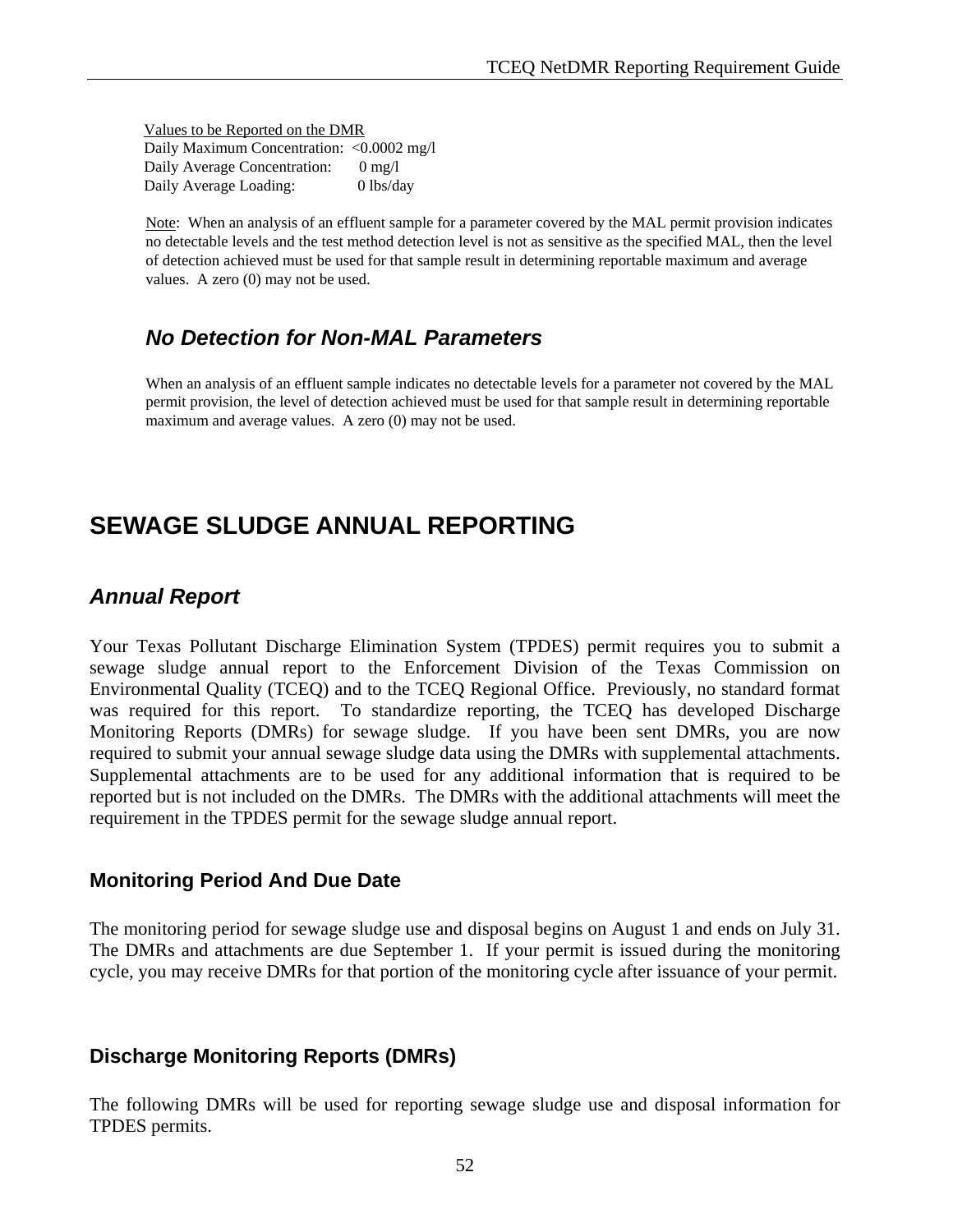Values to be Reported on the DMR Daily Maximum Concentration: <0.0002 mg/l Daily Average Concentration: 0 mg/l Daily Average Loading: 0 lbs/day

Note: When an analysis of an effluent sample for a parameter covered by the MAL permit provision indicates no detectable levels and the test method detection level is not as sensitive as the specified MAL, then the level of detection achieved must be used for that sample result in determining reportable maximum and average values. A zero (0) may not be used.

# *No Detection for Non-MAL Parameters*

When an analysis of an effluent sample indicates no detectable levels for a parameter not covered by the MAL permit provision, the level of detection achieved must be used for that sample result in determining reportable maximum and average values. A zero (0) may not be used.

# **SEWAGE SLUDGE ANNUAL REPORTING**

# *Annual Report*

Your Texas Pollutant Discharge Elimination System (TPDES) permit requires you to submit a sewage sludge annual report to the Enforcement Division of the Texas Commission on Environmental Quality (TCEQ) and to the TCEQ Regional Office. Previously, no standard format was required for this report. To standardize reporting, the TCEQ has developed Discharge Monitoring Reports (DMRs) for sewage sludge. If you have been sent DMRs, you are now required to submit your annual sewage sludge data using the DMRs with supplemental attachments. Supplemental attachments are to be used for any additional information that is required to be reported but is not included on the DMRs. The DMRs with the additional attachments will meet the requirement in the TPDES permit for the sewage sludge annual report.

### **Monitoring Period And Due Date**

The monitoring period for sewage sludge use and disposal begins on August 1 and ends on July 31. The DMRs and attachments are due September 1. If your permit is issued during the monitoring cycle, you may receive DMRs for that portion of the monitoring cycle after issuance of your permit.

# **Discharge Monitoring Reports (DMRs)**

The following DMRs will be used for reporting sewage sludge use and disposal information for TPDES permits.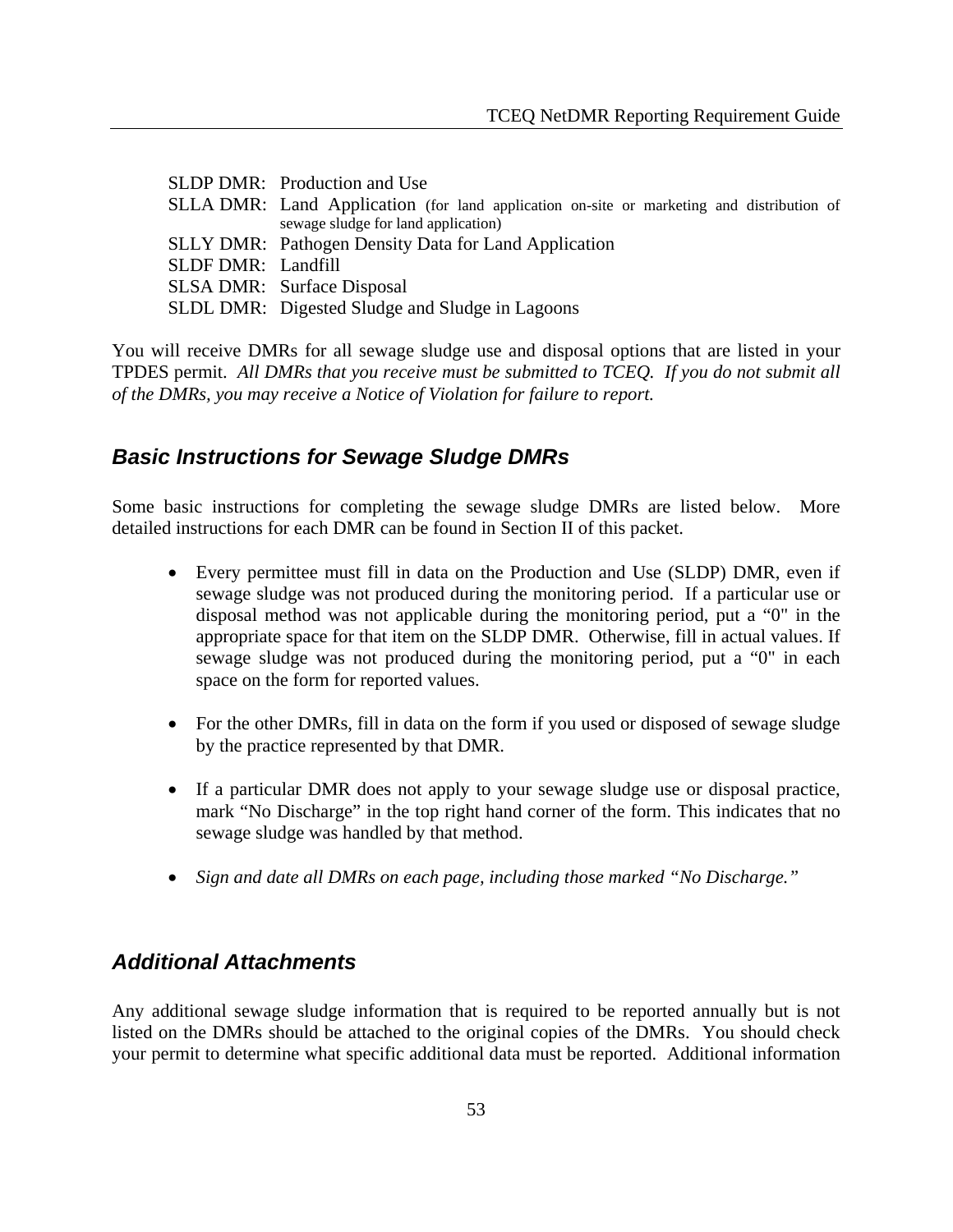|                           | SLDP DMR: Production and Use                                                              |
|---------------------------|-------------------------------------------------------------------------------------------|
|                           | SLLA DMR: Land Application (for land application on-site or marketing and distribution of |
|                           | sewage sludge for land application)                                                       |
|                           | <b>SLLY DMR:</b> Pathogen Density Data for Land Application                               |
| <b>SLDF DMR:</b> Landfill |                                                                                           |
|                           | <b>SLSA DMR:</b> Surface Disposal                                                         |
|                           | SLDL DMR: Digested Sludge and Sludge in Lagoons                                           |

You will receive DMRs for all sewage sludge use and disposal options that are listed in your TPDES permit. *All DMRs that you receive must be submitted to TCEQ. If you do not submit all of the DMRs, you may receive a Notice of Violation for failure to report.*

## *Basic Instructions for Sewage Sludge DMRs*

Some basic instructions for completing the sewage sludge DMRs are listed below. More detailed instructions for each DMR can be found in Section II of this packet.

- Every permittee must fill in data on the Production and Use (SLDP) DMR, even if sewage sludge was not produced during the monitoring period. If a particular use or disposal method was not applicable during the monitoring period, put a "0" in the appropriate space for that item on the SLDP DMR. Otherwise, fill in actual values. If sewage sludge was not produced during the monitoring period, put a "0" in each space on the form for reported values.
- For the other DMRs, fill in data on the form if you used or disposed of sewage sludge by the practice represented by that DMR.
- If a particular DMR does not apply to your sewage sludge use or disposal practice, mark "No Discharge" in the top right hand corner of the form. This indicates that no sewage sludge was handled by that method.
- *Sign and date all DMRs on each page, including those marked "No Discharge."*

## *Additional Attachments*

Any additional sewage sludge information that is required to be reported annually but is not listed on the DMRs should be attached to the original copies of the DMRs. You should check your permit to determine what specific additional data must be reported. Additional information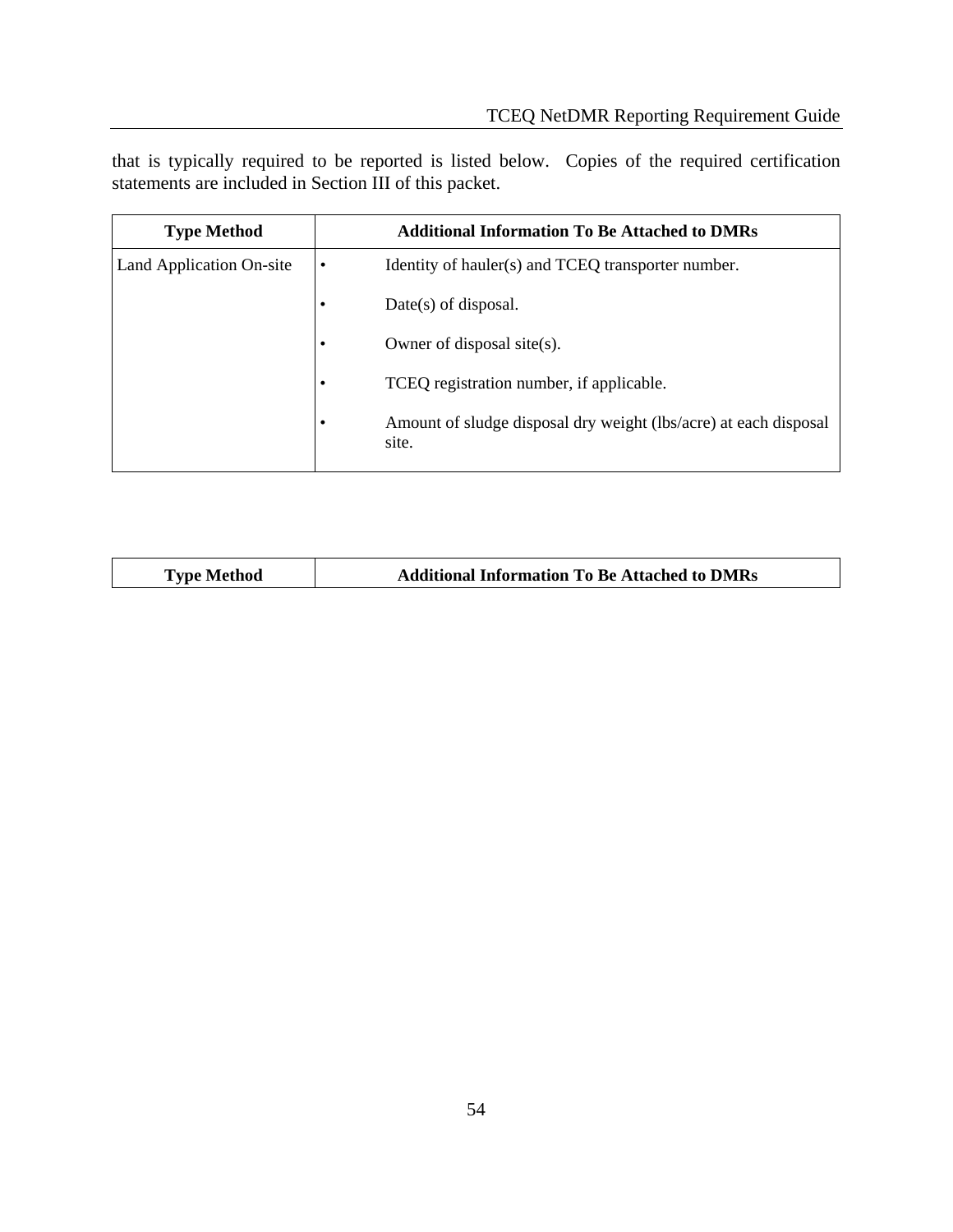that is typically required to be reported is listed below. Copies of the required certification statements are included in Section III of this packet.

| <b>Type Method</b>       |           | <b>Additional Information To Be Attached to DMRs</b>                      |
|--------------------------|-----------|---------------------------------------------------------------------------|
| Land Application On-site | $\bullet$ | Identity of hauler(s) and TCEQ transporter number.                        |
|                          |           | $Date(s)$ of disposal.                                                    |
|                          | ٠         | Owner of disposal site(s).                                                |
|                          | ٠         | TCEQ registration number, if applicable.                                  |
|                          | ٠         | Amount of sludge disposal dry weight (lbs/acre) at each disposal<br>site. |

| <b>Additional Information To Be Attached to DMRs</b><br><b>Type Method</b> |
|----------------------------------------------------------------------------|
|----------------------------------------------------------------------------|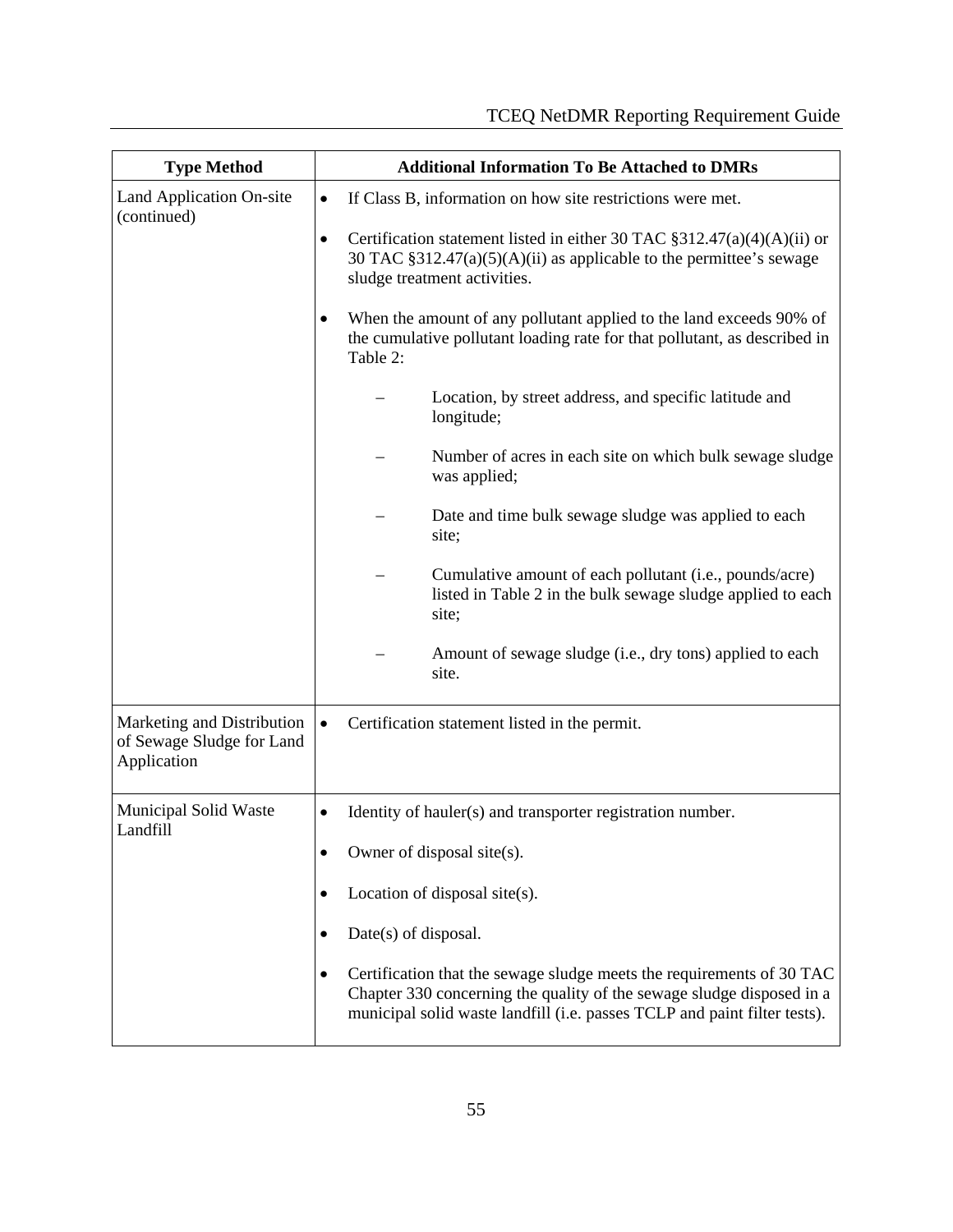| <b>Type Method</b>                                                     | <b>Additional Information To Be Attached to DMRs</b>                                                                                                                                                                             |  |  |  |  |  |  |
|------------------------------------------------------------------------|----------------------------------------------------------------------------------------------------------------------------------------------------------------------------------------------------------------------------------|--|--|--|--|--|--|
| Land Application On-site<br>(continued)                                | If Class B, information on how site restrictions were met.<br>$\bullet$                                                                                                                                                          |  |  |  |  |  |  |
|                                                                        | Certification statement listed in either 30 TAC $\S 312.47(a)(4)(A)(ii)$ or<br>$\bullet$<br>30 TAC $\S 312.47(a)(5)(A)(ii)$ as applicable to the permittee's sewage<br>sludge treatment activities.                              |  |  |  |  |  |  |
|                                                                        | When the amount of any pollutant applied to the land exceeds 90% of<br>٠<br>the cumulative pollutant loading rate for that pollutant, as described in<br>Table 2:                                                                |  |  |  |  |  |  |
|                                                                        | Location, by street address, and specific latitude and<br>longitude;                                                                                                                                                             |  |  |  |  |  |  |
|                                                                        | Number of acres in each site on which bulk sewage sludge<br>was applied;                                                                                                                                                         |  |  |  |  |  |  |
|                                                                        | Date and time bulk sewage sludge was applied to each<br>site;                                                                                                                                                                    |  |  |  |  |  |  |
|                                                                        | Cumulative amount of each pollutant (i.e., pounds/acre)<br>listed in Table 2 in the bulk sewage sludge applied to each<br>site;                                                                                                  |  |  |  |  |  |  |
|                                                                        | Amount of sewage sludge (i.e., dry tons) applied to each<br>site.                                                                                                                                                                |  |  |  |  |  |  |
| Marketing and Distribution<br>of Sewage Sludge for Land<br>Application | Certification statement listed in the permit.<br>$\bullet$                                                                                                                                                                       |  |  |  |  |  |  |
| <b>Municipal Solid Waste</b><br>Landfill                               | Identity of hauler(s) and transporter registration number.                                                                                                                                                                       |  |  |  |  |  |  |
|                                                                        | Owner of disposal site(s).<br>٠                                                                                                                                                                                                  |  |  |  |  |  |  |
|                                                                        | Location of disposal site $(s)$ .                                                                                                                                                                                                |  |  |  |  |  |  |
|                                                                        | Date(s) of disposal.<br>٠                                                                                                                                                                                                        |  |  |  |  |  |  |
|                                                                        | Certification that the sewage sludge meets the requirements of 30 TAC<br>٠<br>Chapter 330 concerning the quality of the sewage sludge disposed in a<br>municipal solid waste landfill (i.e. passes TCLP and paint filter tests). |  |  |  |  |  |  |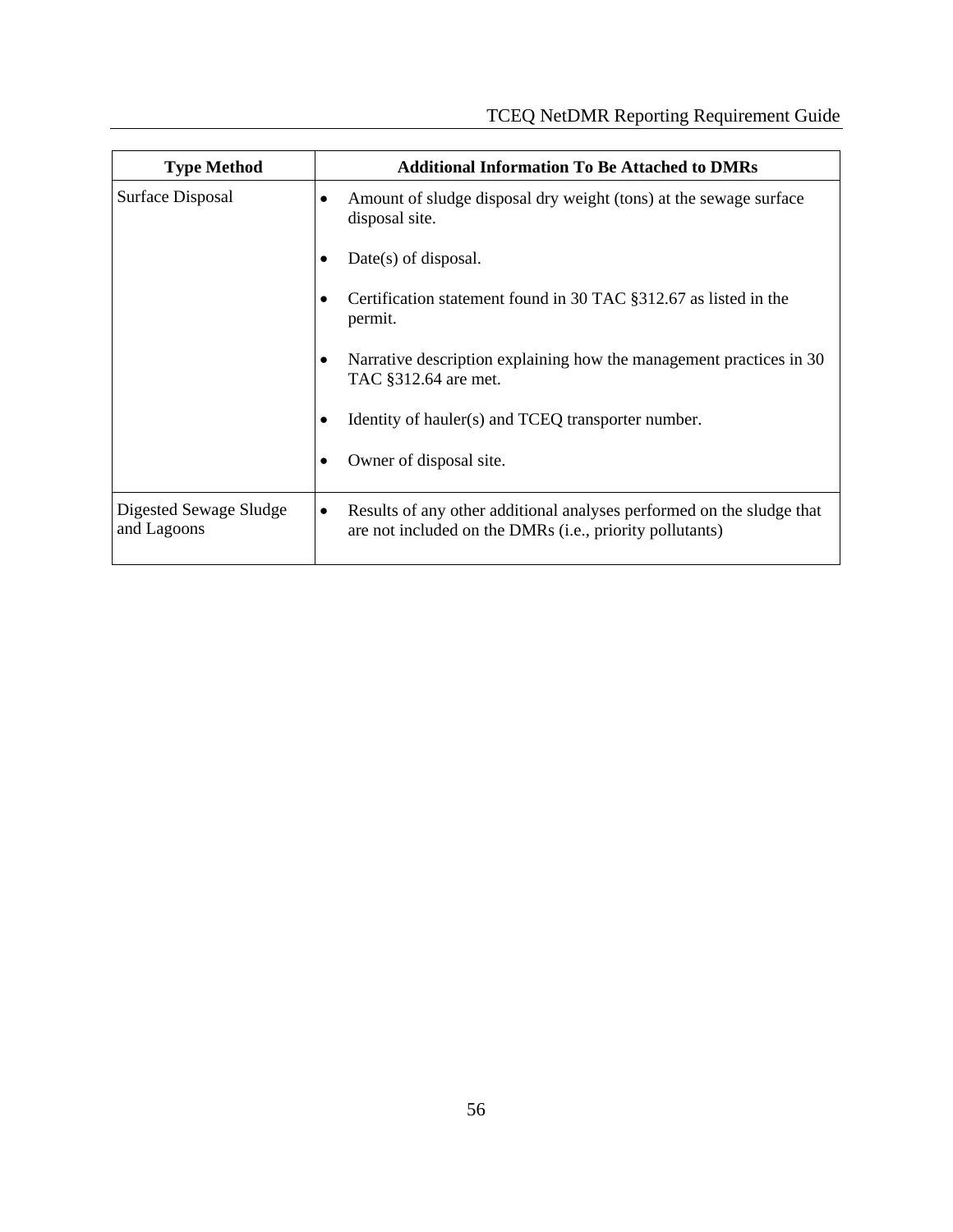| <b>Type Method</b>                    | <b>Additional Information To Be Attached to DMRs</b>                                                                                   |  |  |  |  |  |
|---------------------------------------|----------------------------------------------------------------------------------------------------------------------------------------|--|--|--|--|--|
| Surface Disposal                      | Amount of sludge disposal dry weight (tons) at the sewage surface<br>٠<br>disposal site.                                               |  |  |  |  |  |
|                                       | $Date(s)$ of disposal.                                                                                                                 |  |  |  |  |  |
|                                       | Certification statement found in 30 TAC §312.67 as listed in the<br>permit.                                                            |  |  |  |  |  |
|                                       | Narrative description explaining how the management practices in 30<br>TAC §312.64 are met.                                            |  |  |  |  |  |
|                                       | Identity of hauler(s) and TCEQ transporter number.                                                                                     |  |  |  |  |  |
|                                       | Owner of disposal site.                                                                                                                |  |  |  |  |  |
| Digested Sewage Sludge<br>and Lagoons | Results of any other additional analyses performed on the sludge that<br>٠<br>are not included on the DMRs (i.e., priority pollutants) |  |  |  |  |  |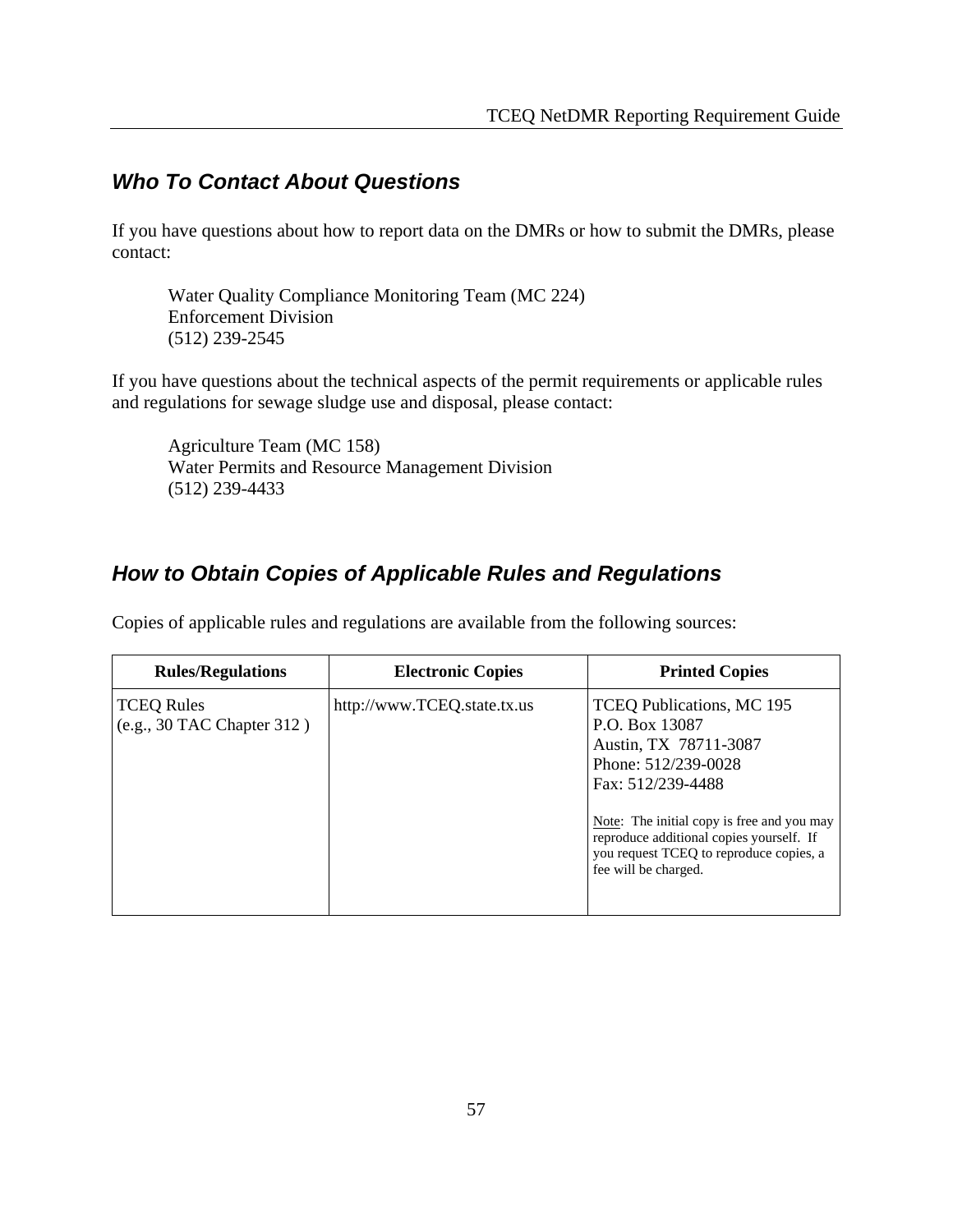# *Who To Contact About Questions*

If you have questions about how to report data on the DMRs or how to submit the DMRs, please contact:

Water Quality Compliance Monitoring Team (MC 224) Enforcement Division (512) 239-2545

If you have questions about the technical aspects of the permit requirements or applicable rules and regulations for sewage sludge use and disposal, please contact:

Agriculture Team (MC 158) Water Permits and Resource Management Division (512) 239-4433

# *How to Obtain Copies of Applicable Rules and Regulations*

**Rules/Regulations Electronic Copies Printed Copies** TCEQ Rules (e.g., 30 TAC Chapter 312 ) http://www.TCEQ.state.tx.us TCEQ Publications, MC 195 P.O. Box 13087 Austin, TX 78711-3087 Phone: 512/239-0028 Fax: 512/239-4488 Note: The initial copy is free and you may reproduce additional copies yourself. If you request TCEQ to reproduce copies, a fee will be charged.

Copies of applicable rules and regulations are available from the following sources: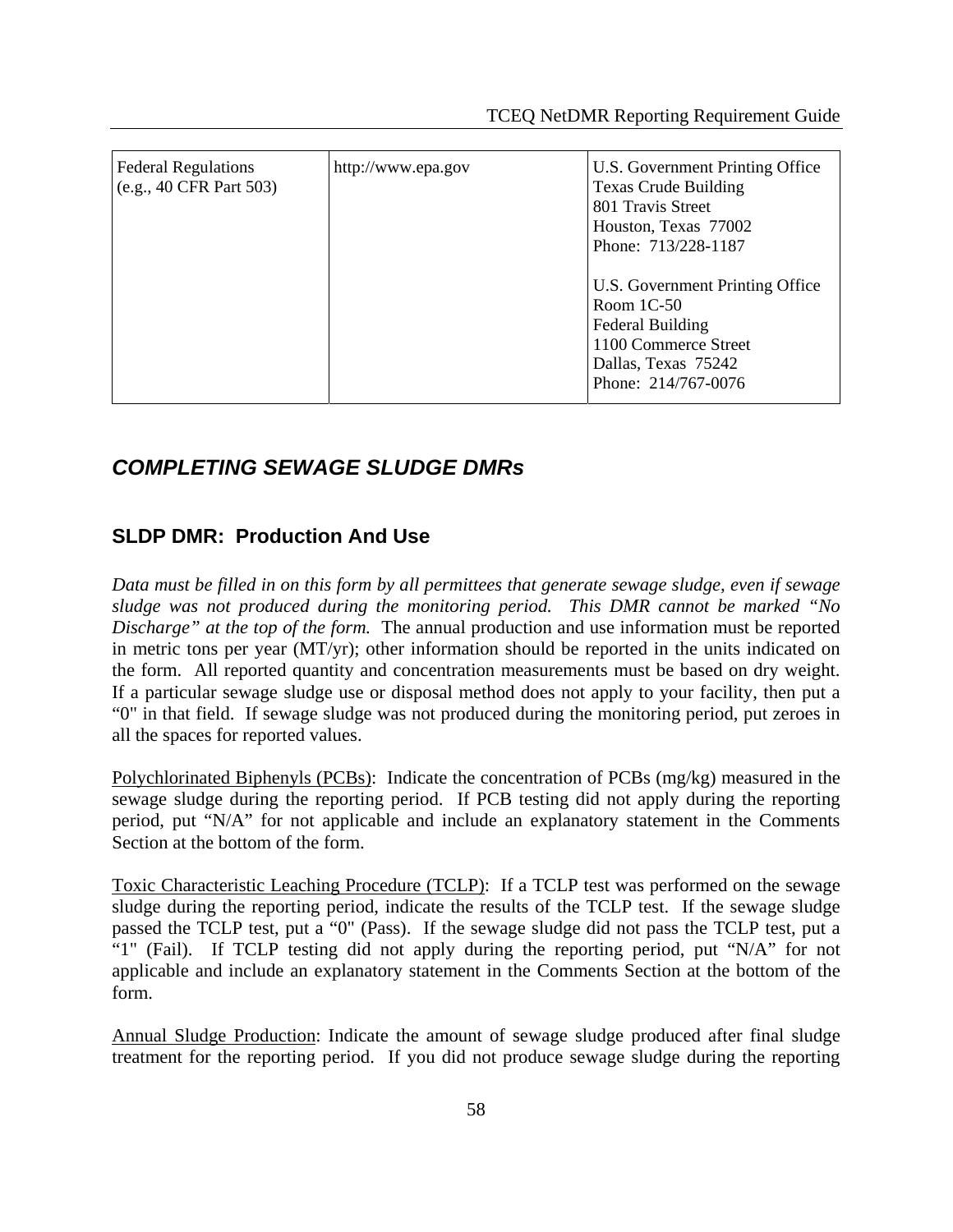| <b>Federal Regulations</b><br>(e.g., 40 CFR Part 503) | http://www.epa.gov | U.S. Government Printing Office<br><b>Texas Crude Building</b><br>801 Travis Street<br>Houston, Texas 77002<br>Phone: 713/228-1187        |  |  |  |
|-------------------------------------------------------|--------------------|-------------------------------------------------------------------------------------------------------------------------------------------|--|--|--|
|                                                       |                    | U.S. Government Printing Office<br>Room $1C-50$<br>Federal Building<br>1100 Commerce Street<br>Dallas, Texas 75242<br>Phone: 214/767-0076 |  |  |  |

# *COMPLETING SEWAGE SLUDGE DMRs*

#### **SLDP DMR: Production And Use**

*Data must be filled in on this form by all permittees that generate sewage sludge, even if sewage sludge was not produced during the monitoring period. This DMR cannot be marked "No Discharge" at the top of the form.* The annual production and use information must be reported in metric tons per year (MT/yr); other information should be reported in the units indicated on the form. All reported quantity and concentration measurements must be based on dry weight. If a particular sewage sludge use or disposal method does not apply to your facility, then put a "0" in that field. If sewage sludge was not produced during the monitoring period, put zeroes in all the spaces for reported values.

Polychlorinated Biphenyls (PCBs): Indicate the concentration of PCBs (mg/kg) measured in the sewage sludge during the reporting period. If PCB testing did not apply during the reporting period, put "N/A" for not applicable and include an explanatory statement in the Comments Section at the bottom of the form.

Toxic Characteristic Leaching Procedure (TCLP): If a TCLP test was performed on the sewage sludge during the reporting period, indicate the results of the TCLP test. If the sewage sludge passed the TCLP test, put a "0" (Pass). If the sewage sludge did not pass the TCLP test, put a "1" (Fail). If TCLP testing did not apply during the reporting period, put "N/A" for not applicable and include an explanatory statement in the Comments Section at the bottom of the form.

Annual Sludge Production: Indicate the amount of sewage sludge produced after final sludge treatment for the reporting period. If you did not produce sewage sludge during the reporting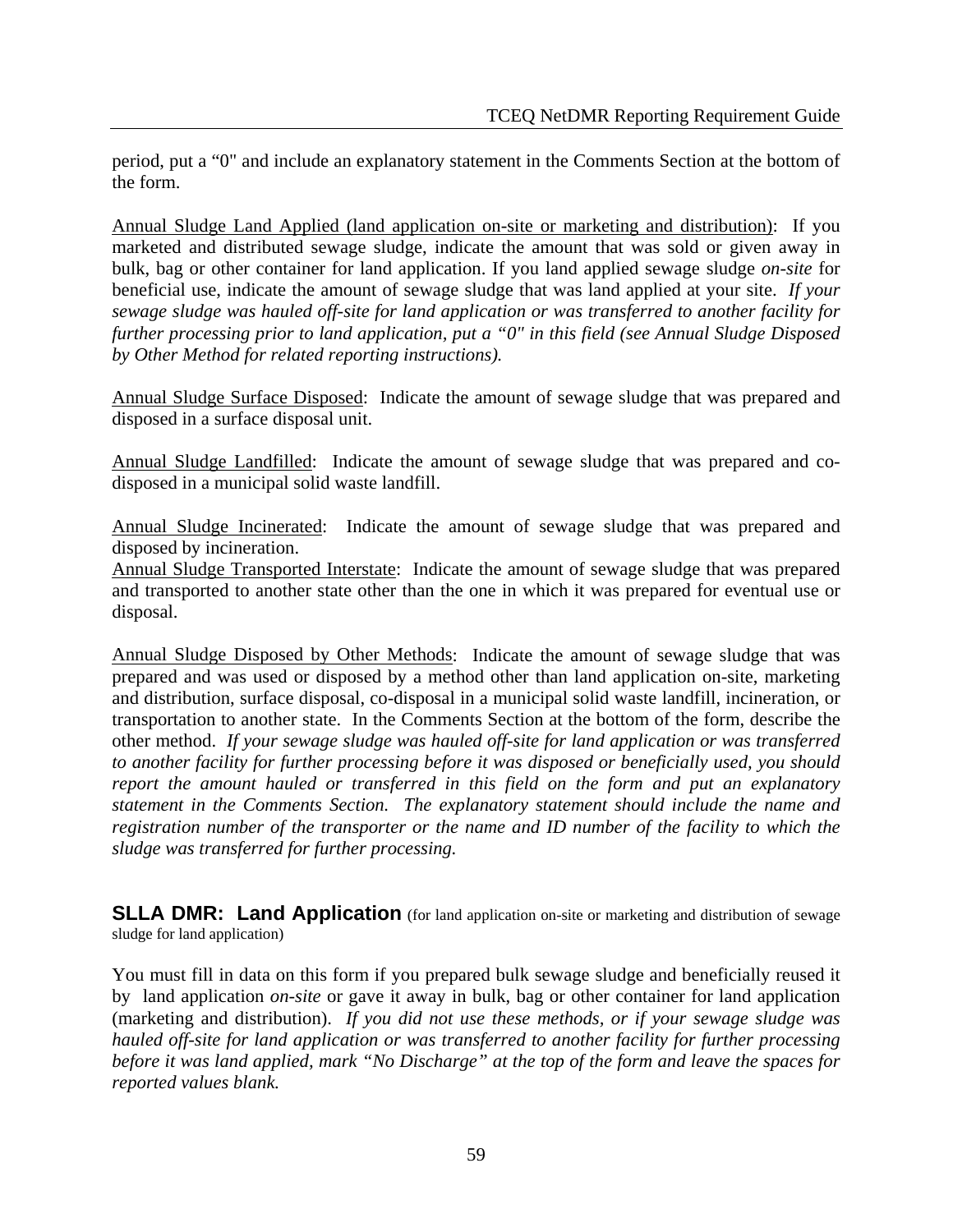period, put a "0" and include an explanatory statement in the Comments Section at the bottom of the form.

Annual Sludge Land Applied (land application on-site or marketing and distribution): If you marketed and distributed sewage sludge, indicate the amount that was sold or given away in bulk, bag or other container for land application. If you land applied sewage sludge *on-site* for beneficial use, indicate the amount of sewage sludge that was land applied at your site. *If your sewage sludge was hauled off-site for land application or was transferred to another facility for further processing prior to land application, put a "0" in this field (see Annual Sludge Disposed by Other Method for related reporting instructions).* 

Annual Sludge Surface Disposed: Indicate the amount of sewage sludge that was prepared and disposed in a surface disposal unit.

Annual Sludge Landfilled: Indicate the amount of sewage sludge that was prepared and codisposed in a municipal solid waste landfill.

Annual Sludge Incinerated: Indicate the amount of sewage sludge that was prepared and disposed by incineration.

Annual Sludge Transported Interstate: Indicate the amount of sewage sludge that was prepared and transported to another state other than the one in which it was prepared for eventual use or disposal.

Annual Sludge Disposed by Other Methods: Indicate the amount of sewage sludge that was prepared and was used or disposed by a method other than land application on-site, marketing and distribution, surface disposal, co-disposal in a municipal solid waste landfill, incineration, or transportation to another state. In the Comments Section at the bottom of the form, describe the other method. *If your sewage sludge was hauled off-site for land application or was transferred to another facility for further processing before it was disposed or beneficially used, you should report the amount hauled or transferred in this field on the form and put an explanatory statement in the Comments Section. The explanatory statement should include the name and registration number of the transporter or the name and ID number of the facility to which the sludge was transferred for further processing.* 

**SLLA DMR: Land Application** (for land application on-site or marketing and distribution of sewage sludge for land application)

You must fill in data on this form if you prepared bulk sewage sludge and beneficially reused it by land application *on-site* or gave it away in bulk, bag or other container for land application (marketing and distribution). *If you did not use these methods, or if your sewage sludge was hauled off-site for land application or was transferred to another facility for further processing before it was land applied, mark "No Discharge" at the top of the form and leave the spaces for reported values blank.*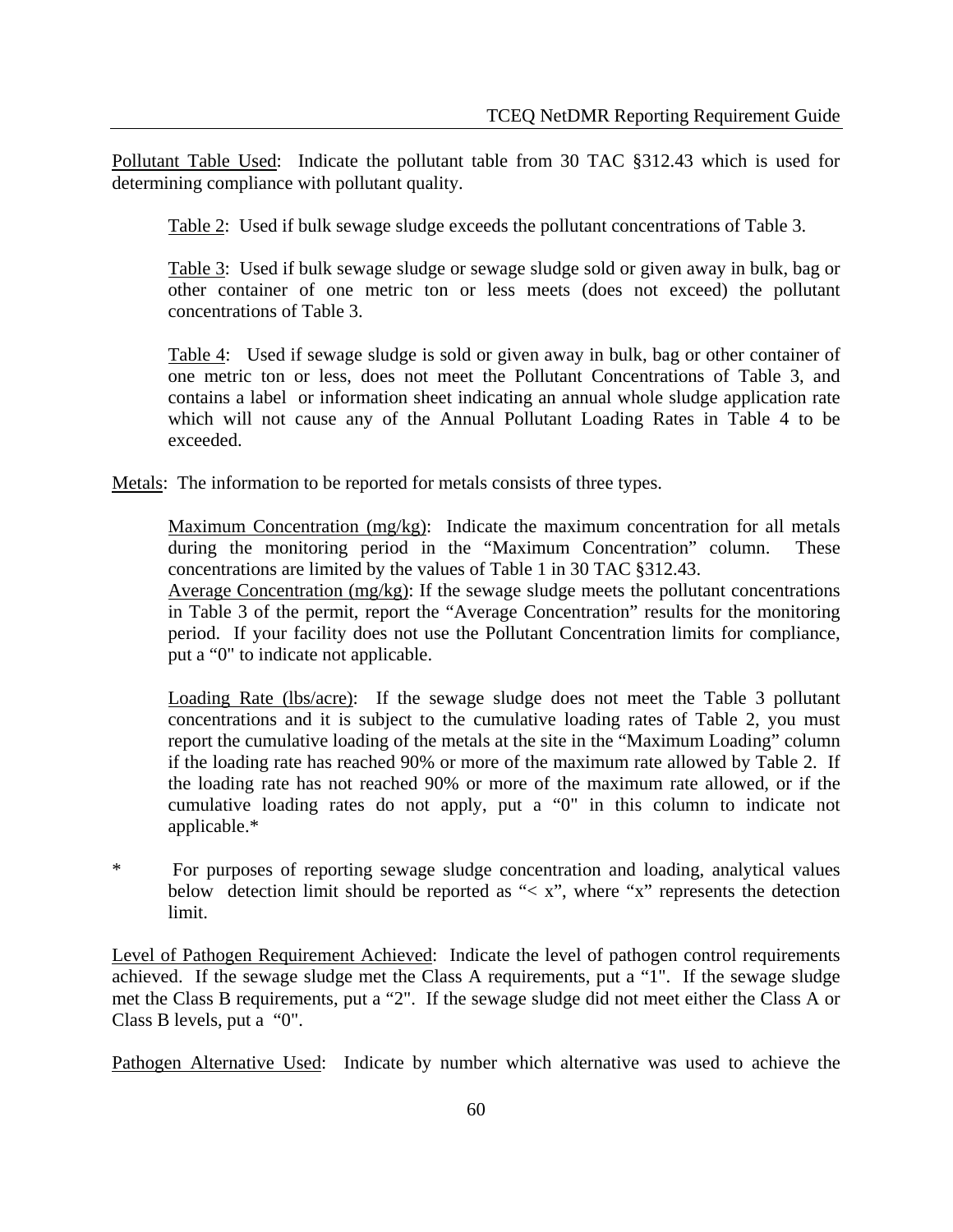Pollutant Table Used: Indicate the pollutant table from 30 TAC §312.43 which is used for determining compliance with pollutant quality.

Table 2: Used if bulk sewage sludge exceeds the pollutant concentrations of Table 3.

Table 3: Used if bulk sewage sludge or sewage sludge sold or given away in bulk, bag or other container of one metric ton or less meets (does not exceed) the pollutant concentrations of Table 3.

Table 4: Used if sewage sludge is sold or given away in bulk, bag or other container of one metric ton or less, does not meet the Pollutant Concentrations of Table 3, and contains a label or information sheet indicating an annual whole sludge application rate which will not cause any of the Annual Pollutant Loading Rates in Table 4 to be exceeded.

Metals: The information to be reported for metals consists of three types.

Maximum Concentration (mg/kg): Indicate the maximum concentration for all metals during the monitoring period in the "Maximum Concentration" column. These concentrations are limited by the values of Table 1 in 30 TAC §312.43.

Average Concentration (mg/kg): If the sewage sludge meets the pollutant concentrations in Table 3 of the permit, report the "Average Concentration" results for the monitoring period. If your facility does not use the Pollutant Concentration limits for compliance, put a "0" to indicate not applicable.

Loading Rate (lbs/acre): If the sewage sludge does not meet the Table 3 pollutant concentrations and it is subject to the cumulative loading rates of Table 2, you must report the cumulative loading of the metals at the site in the "Maximum Loading" column if the loading rate has reached 90% or more of the maximum rate allowed by Table 2. If the loading rate has not reached 90% or more of the maximum rate allowed, or if the cumulative loading rates do not apply, put a "0" in this column to indicate not applicable.\*

\* For purposes of reporting sewage sludge concentration and loading, analytical values below detection limit should be reported as " $\langle x \rangle$ ", where "x" represents the detection limit.

Level of Pathogen Requirement Achieved: Indicate the level of pathogen control requirements achieved. If the sewage sludge met the Class A requirements, put a "1". If the sewage sludge met the Class B requirements, put a "2". If the sewage sludge did not meet either the Class A or Class B levels, put a "0".

Pathogen Alternative Used: Indicate by number which alternative was used to achieve the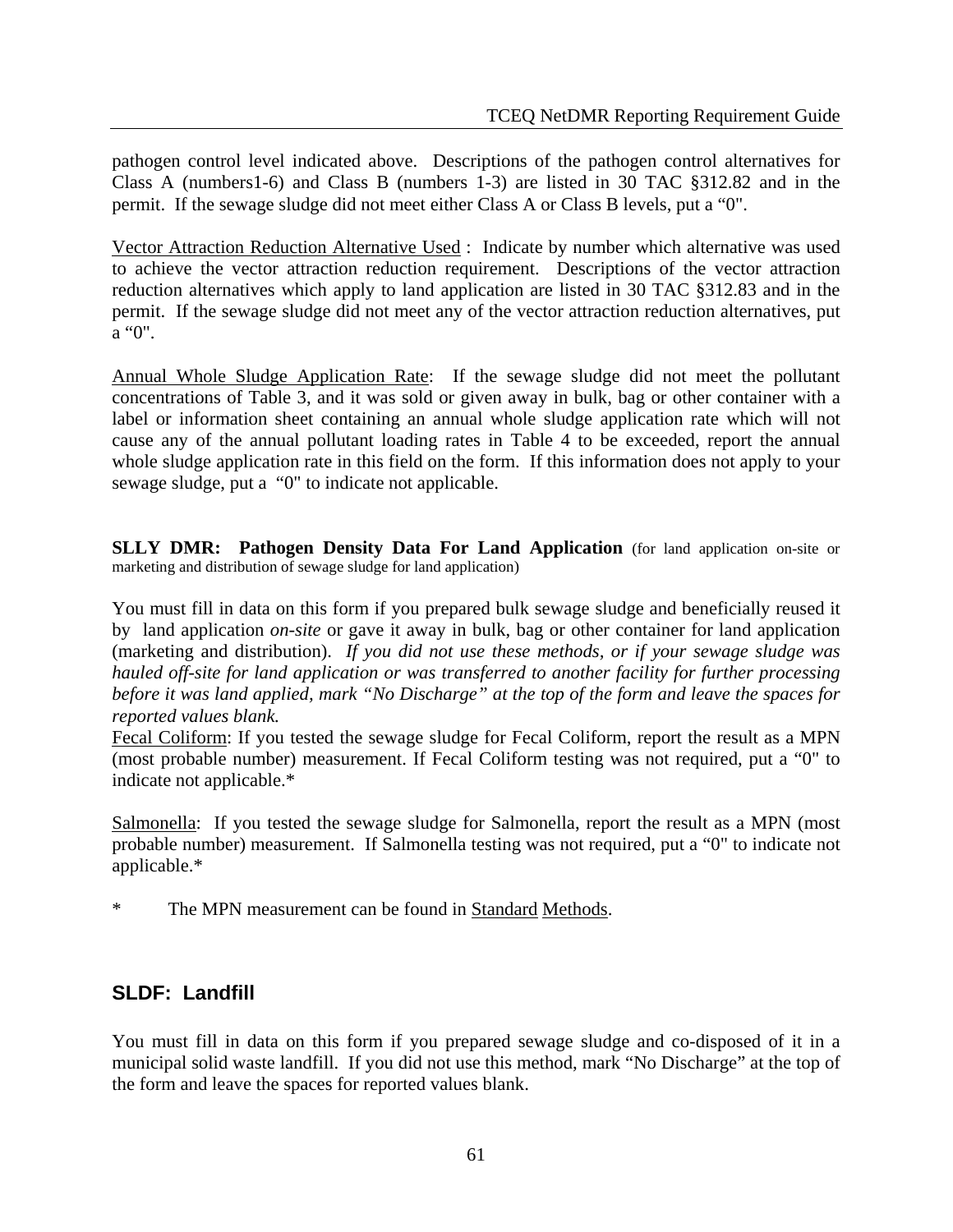pathogen control level indicated above. Descriptions of the pathogen control alternatives for Class A (numbers1-6) and Class B (numbers 1-3) are listed in 30 TAC §312.82 and in the permit. If the sewage sludge did not meet either Class A or Class B levels, put a "0".

Vector Attraction Reduction Alternative Used : Indicate by number which alternative was used to achieve the vector attraction reduction requirement. Descriptions of the vector attraction reduction alternatives which apply to land application are listed in 30 TAC §312.83 and in the permit. If the sewage sludge did not meet any of the vector attraction reduction alternatives, put a "0".

Annual Whole Sludge Application Rate: If the sewage sludge did not meet the pollutant concentrations of Table 3, and it was sold or given away in bulk, bag or other container with a label or information sheet containing an annual whole sludge application rate which will not cause any of the annual pollutant loading rates in Table 4 to be exceeded, report the annual whole sludge application rate in this field on the form. If this information does not apply to your sewage sludge, put a "0" to indicate not applicable.

**SLLY DMR: Pathogen Density Data For Land Application** (for land application on-site or marketing and distribution of sewage sludge for land application)

You must fill in data on this form if you prepared bulk sewage sludge and beneficially reused it by land application *on-site* or gave it away in bulk, bag or other container for land application (marketing and distribution). *If you did not use these methods, or if your sewage sludge was hauled off-site for land application or was transferred to another facility for further processing before it was land applied, mark "No Discharge" at the top of the form and leave the spaces for reported values blank.*

Fecal Coliform: If you tested the sewage sludge for Fecal Coliform, report the result as a MPN (most probable number) measurement. If Fecal Coliform testing was not required, put a "0" to indicate not applicable.\*

Salmonella: If you tested the sewage sludge for Salmonella, report the result as a MPN (most probable number) measurement. If Salmonella testing was not required, put a "0" to indicate not applicable.\*

\* The MPN measurement can be found in Standard Methods.

### **SLDF: Landfill**

You must fill in data on this form if you prepared sewage sludge and co-disposed of it in a municipal solid waste landfill. If you did not use this method, mark "No Discharge" at the top of the form and leave the spaces for reported values blank.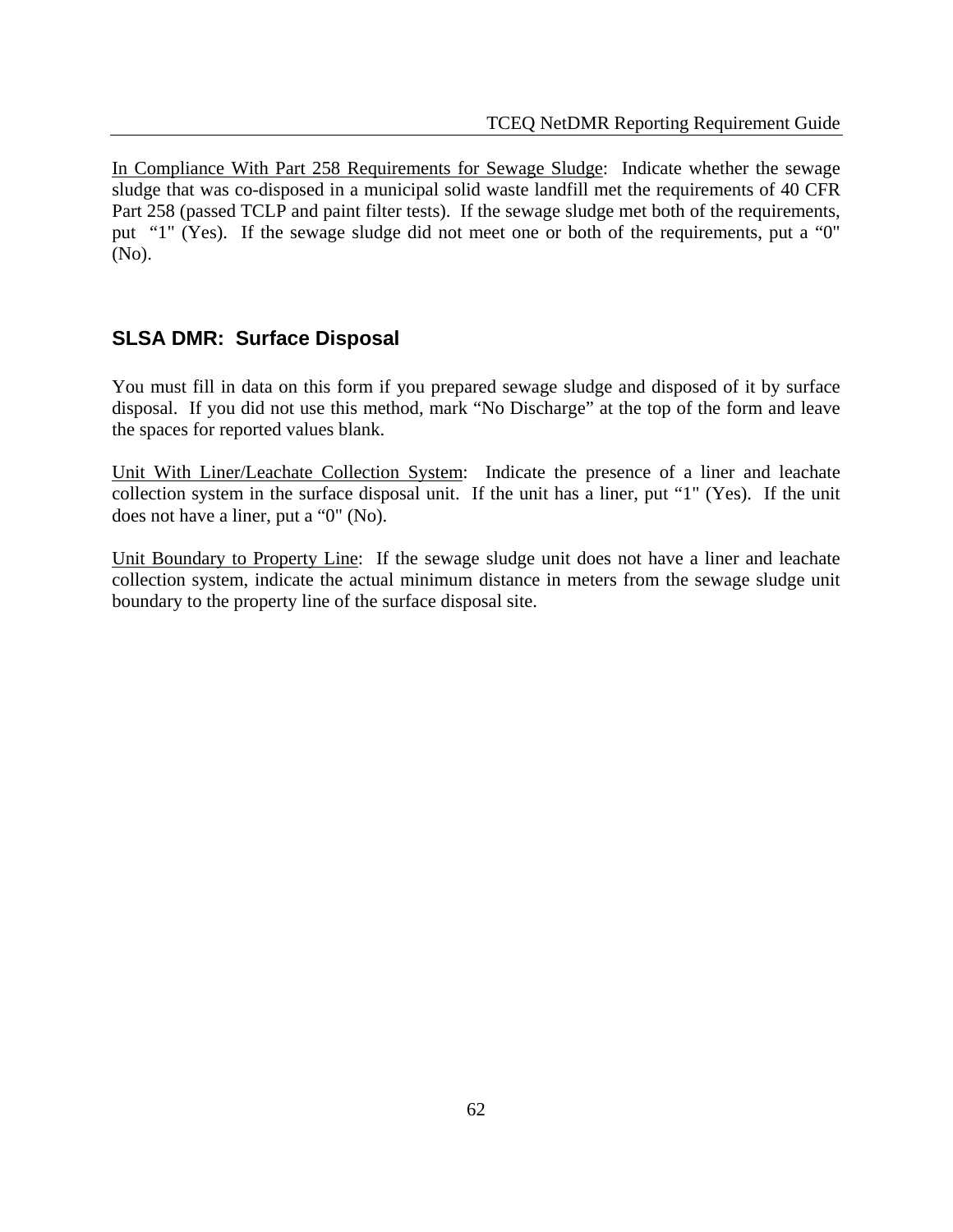In Compliance With Part 258 Requirements for Sewage Sludge: Indicate whether the sewage sludge that was co-disposed in a municipal solid waste landfill met the requirements of 40 CFR Part 258 (passed TCLP and paint filter tests). If the sewage sludge met both of the requirements, put "1" (Yes). If the sewage sludge did not meet one or both of the requirements, put a "0" (No).

### **SLSA DMR: Surface Disposal**

You must fill in data on this form if you prepared sewage sludge and disposed of it by surface disposal. If you did not use this method, mark "No Discharge" at the top of the form and leave the spaces for reported values blank.

Unit With Liner/Leachate Collection System: Indicate the presence of a liner and leachate collection system in the surface disposal unit. If the unit has a liner, put "1" (Yes). If the unit does not have a liner, put a "0" (No).

Unit Boundary to Property Line: If the sewage sludge unit does not have a liner and leachate collection system, indicate the actual minimum distance in meters from the sewage sludge unit boundary to the property line of the surface disposal site.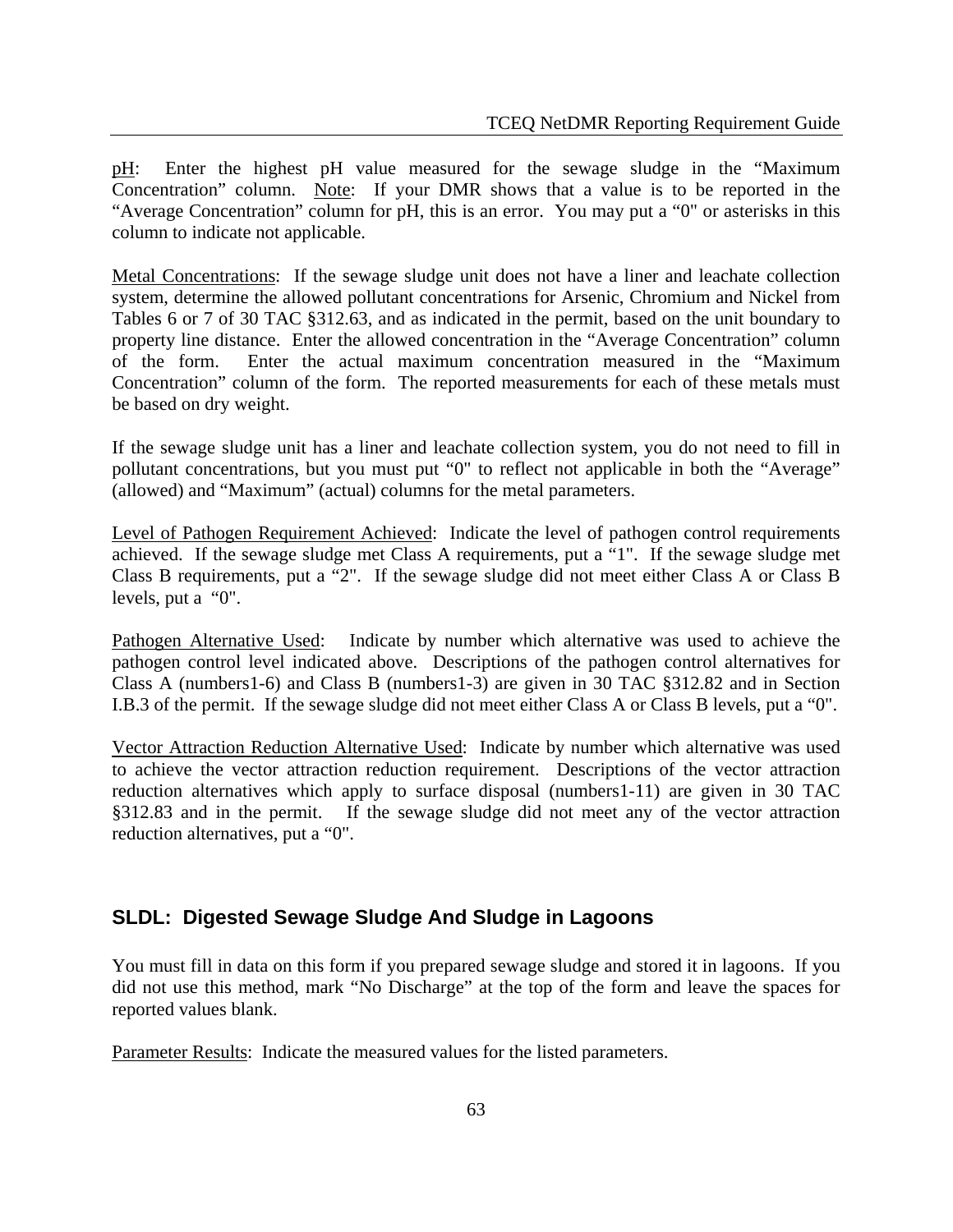pH: Enter the highest pH value measured for the sewage sludge in the "Maximum Concentration" column. Note: If your DMR shows that a value is to be reported in the "Average Concentration" column for pH, this is an error. You may put a "0" or asterisks in this column to indicate not applicable.

Metal Concentrations: If the sewage sludge unit does not have a liner and leachate collection system, determine the allowed pollutant concentrations for Arsenic, Chromium and Nickel from Tables 6 or 7 of 30 TAC §312.63, and as indicated in the permit, based on the unit boundary to property line distance. Enter the allowed concentration in the "Average Concentration" column of the form. Enter the actual maximum concentration measured in the "Maximum Concentration" column of the form. The reported measurements for each of these metals must be based on dry weight.

If the sewage sludge unit has a liner and leachate collection system, you do not need to fill in pollutant concentrations, but you must put "0" to reflect not applicable in both the "Average" (allowed) and "Maximum" (actual) columns for the metal parameters.

Level of Pathogen Requirement Achieved: Indicate the level of pathogen control requirements achieved. If the sewage sludge met Class A requirements, put a "1". If the sewage sludge met Class B requirements, put a "2". If the sewage sludge did not meet either Class A or Class B levels, put a "0".

Pathogen Alternative Used: Indicate by number which alternative was used to achieve the pathogen control level indicated above. Descriptions of the pathogen control alternatives for Class A (numbers1-6) and Class B (numbers1-3) are given in 30 TAC §312.82 and in Section I.B.3 of the permit. If the sewage sludge did not meet either Class A or Class B levels, put a "0".

Vector Attraction Reduction Alternative Used: Indicate by number which alternative was used to achieve the vector attraction reduction requirement. Descriptions of the vector attraction reduction alternatives which apply to surface disposal (numbers1-11) are given in 30 TAC §312.83 and in the permit. If the sewage sludge did not meet any of the vector attraction reduction alternatives, put a "0".

# **SLDL: Digested Sewage Sludge And Sludge in Lagoons**

You must fill in data on this form if you prepared sewage sludge and stored it in lagoons. If you did not use this method, mark "No Discharge" at the top of the form and leave the spaces for reported values blank.

Parameter Results: Indicate the measured values for the listed parameters.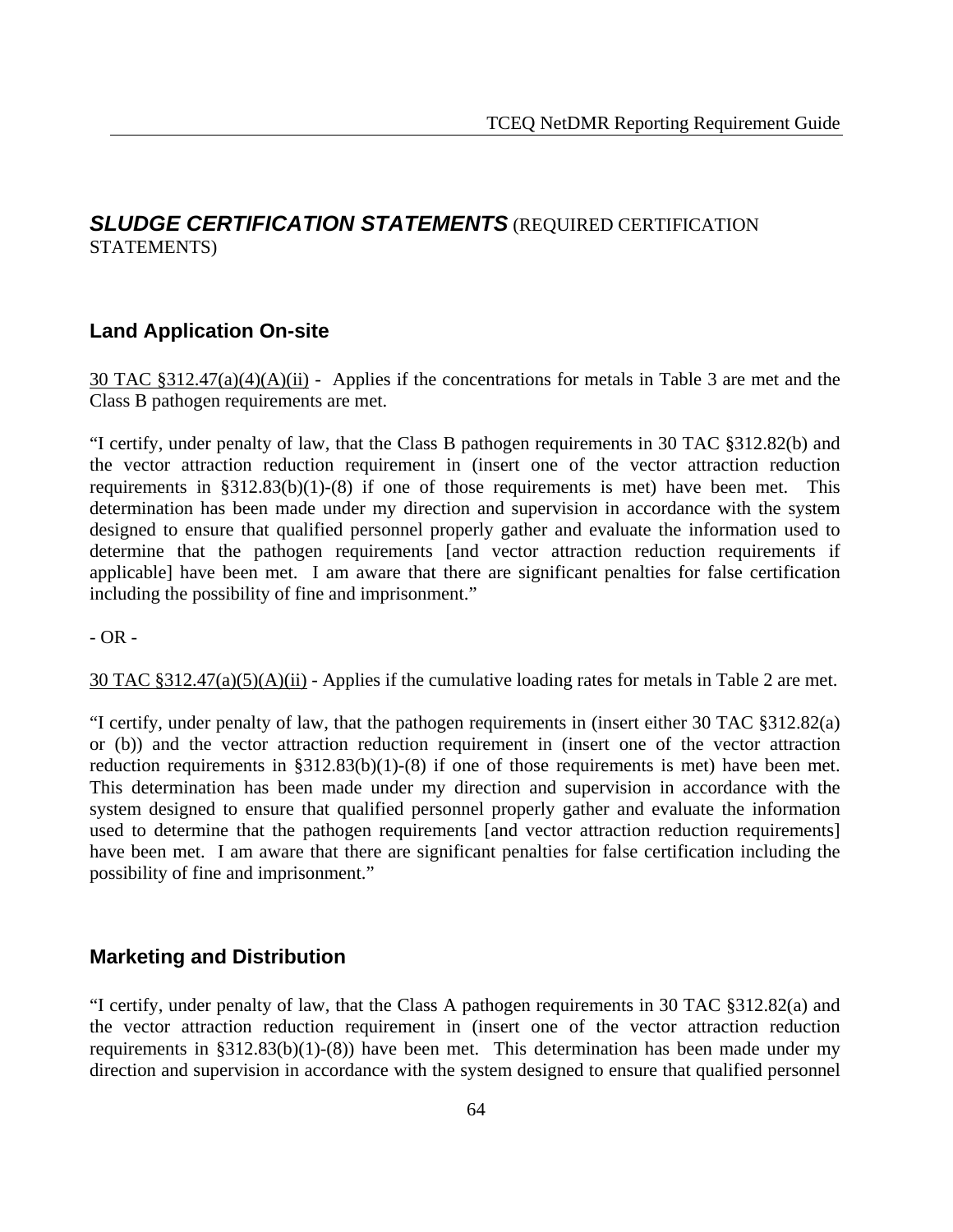### *SLUDGE CERTIFICATION STATEMENTS* (REQUIRED CERTIFICATION STATEMENTS)

### **Land Application On-site**

30 TAC §312.47(a)(4)(A)(ii) - Applies if the concentrations for metals in Table 3 are met and the Class B pathogen requirements are met.

"I certify, under penalty of law, that the Class B pathogen requirements in 30 TAC §312.82(b) and the vector attraction reduction requirement in (insert one of the vector attraction reduction requirements in  $\S 312.83(b)(1)-(8)$  if one of those requirements is met) have been met. This determination has been made under my direction and supervision in accordance with the system designed to ensure that qualified personnel properly gather and evaluate the information used to determine that the pathogen requirements [and vector attraction reduction requirements if applicable] have been met. I am aware that there are significant penalties for false certification including the possibility of fine and imprisonment."

 $-$  OR  $-$ 

 $30$  TAC §312.47(a)(5)(A)(ii) - Applies if the cumulative loading rates for metals in Table 2 are met.

"I certify, under penalty of law, that the pathogen requirements in (insert either 30 TAC §312.82(a) or (b)) and the vector attraction reduction requirement in (insert one of the vector attraction reduction requirements in §312.83(b)(1)-(8) if one of those requirements is met) have been met. This determination has been made under my direction and supervision in accordance with the system designed to ensure that qualified personnel properly gather and evaluate the information used to determine that the pathogen requirements [and vector attraction reduction requirements] have been met. I am aware that there are significant penalties for false certification including the possibility of fine and imprisonment."

### **Marketing and Distribution**

"I certify, under penalty of law, that the Class A pathogen requirements in 30 TAC §312.82(a) and the vector attraction reduction requirement in (insert one of the vector attraction reduction requirements in §312.83(b)(1)-(8)) have been met. This determination has been made under my direction and supervision in accordance with the system designed to ensure that qualified personnel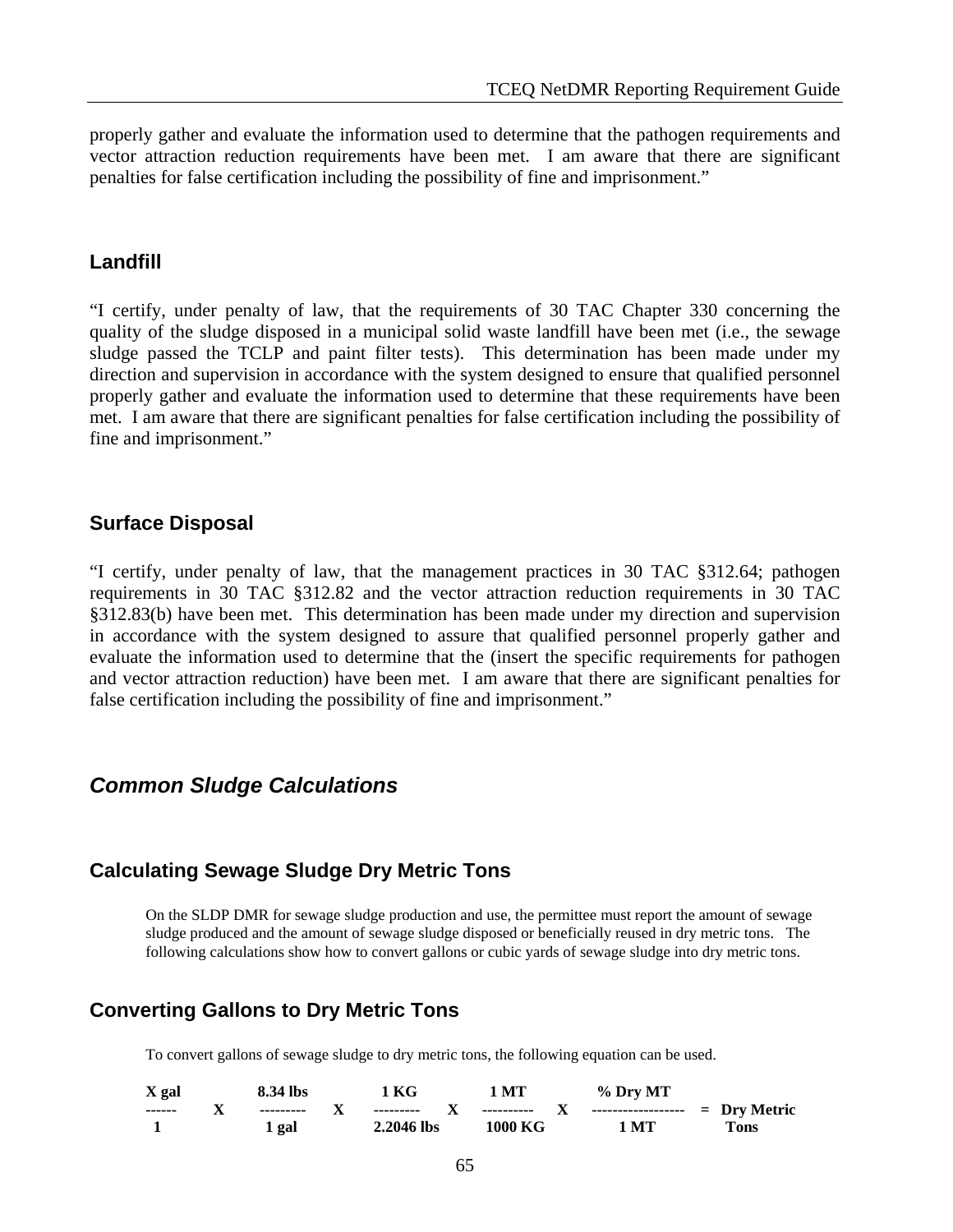properly gather and evaluate the information used to determine that the pathogen requirements and vector attraction reduction requirements have been met. I am aware that there are significant penalties for false certification including the possibility of fine and imprisonment."

#### **Landfill**

"I certify, under penalty of law, that the requirements of 30 TAC Chapter 330 concerning the quality of the sludge disposed in a municipal solid waste landfill have been met (i.e., the sewage sludge passed the TCLP and paint filter tests). This determination has been made under my direction and supervision in accordance with the system designed to ensure that qualified personnel properly gather and evaluate the information used to determine that these requirements have been met. I am aware that there are significant penalties for false certification including the possibility of fine and imprisonment."

#### **Surface Disposal**

"I certify, under penalty of law, that the management practices in 30 TAC §312.64; pathogen requirements in 30 TAC §312.82 and the vector attraction reduction requirements in 30 TAC §312.83(b) have been met. This determination has been made under my direction and supervision in accordance with the system designed to assure that qualified personnel properly gather and evaluate the information used to determine that the (insert the specific requirements for pathogen and vector attraction reduction) have been met. I am aware that there are significant penalties for false certification including the possibility of fine and imprisonment."

### *Common Sludge Calculations*

### **Calculating Sewage Sludge Dry Metric Tons**

On the SLDP DMR for sewage sludge production and use, the permittee must report the amount of sewage sludge produced and the amount of sewage sludge disposed or beneficially reused in dry metric tons. The following calculations show how to convert gallons or cubic yards of sewage sludge into dry metric tons.

### **Converting Gallons to Dry Metric Tons**

To convert gallons of sewage sludge to dry metric tons, the following equation can be used.

| X gal         | 8.34 lbs   |   | l KG       | 1 MT    | % Dry MT                                       |      |
|---------------|------------|---|------------|---------|------------------------------------------------|------|
| $- - - - - -$ | ---------- | л | ---------- |         | ---------- $X$ ------------------ = Dry Metric |      |
|               | gal        |   | 2.2046 lbs | 1000 KG | l MT                                           | Tons |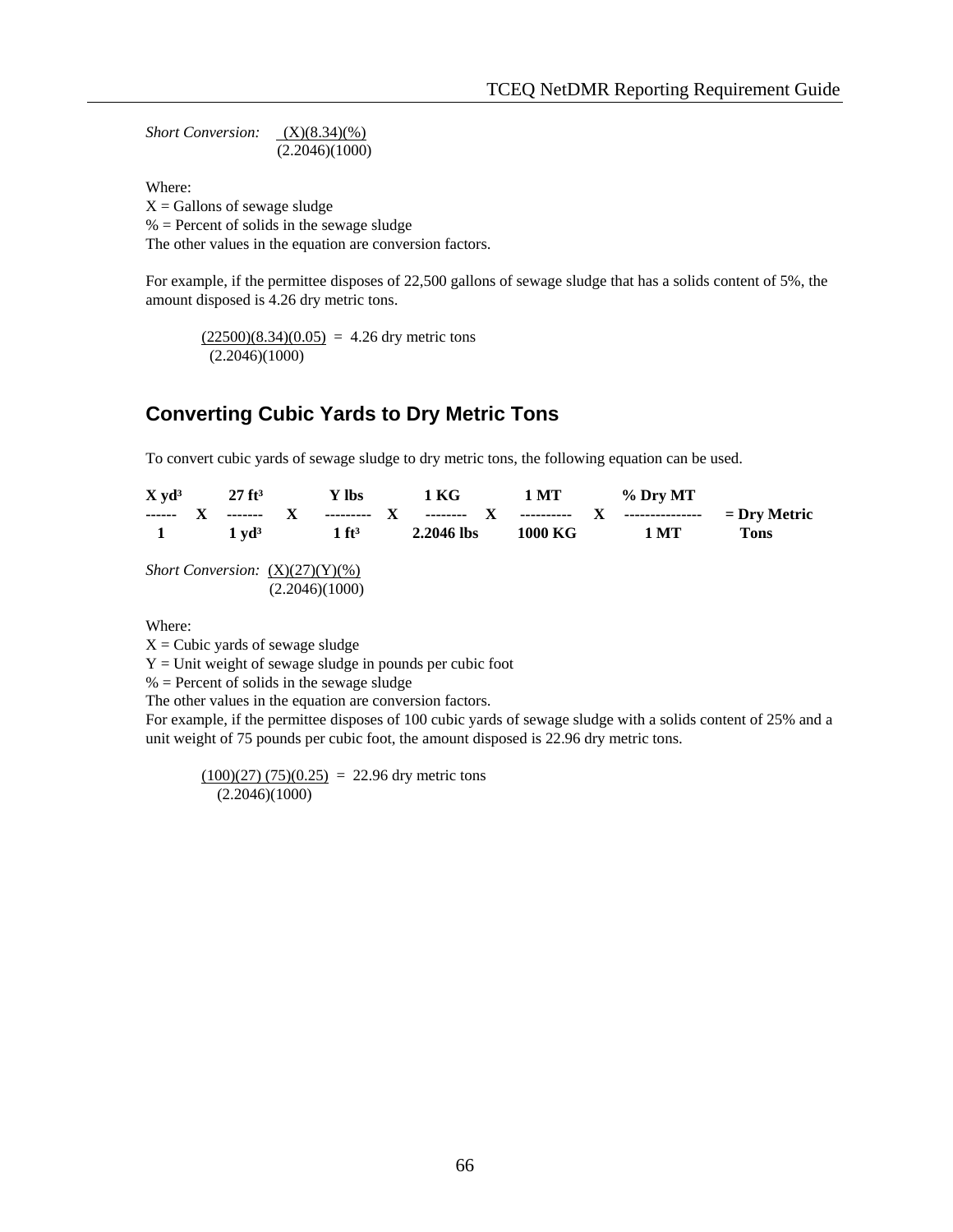*Short Conversion:* (X)(8.34)(%) (2.2046)(1000)

Where:

 $X =$  Gallons of sewage sludge

 $%$  = Percent of solids in the sewage sludge

The other values in the equation are conversion factors.

For example, if the permittee disposes of 22,500 gallons of sewage sludge that has a solids content of 5%, the amount disposed is 4.26 dry metric tons.

 $(22500)(8.34)(0.05) = 4.26$  dry metric tons (2.2046)(1000)

## **Converting Cubic Yards to Dry Metric Tons**

To convert cubic yards of sewage sludge to dry metric tons, the following equation can be used.

| $X \text{ v} \mathrm{d}^3$<br>$\blacksquare$ | $27 \text{ ft}^3$<br>$1 \text{ vd}^3$     | Y lbs<br>$1 \text{ ft}^3$ | 2.2046 lbs | 1000 KG | $1 \text{ KG}$ $1 \text{ MT}$ % Dry MT<br>1 <sub>MT</sub> | Tons |
|----------------------------------------------|-------------------------------------------|---------------------------|------------|---------|-----------------------------------------------------------|------|
|                                              | <i>Short Conversion:</i> $(X)(27)(Y)(% )$ | (2.2046)(1000)            |            |         |                                                           |      |

Where:

 $X =$ Cubic yards of sewage sludge

 $Y =$  Unit weight of sewage sludge in pounds per cubic foot

 $%$  = Percent of solids in the sewage sludge

The other values in the equation are conversion factors.

For example, if the permittee disposes of 100 cubic yards of sewage sludge with a solids content of 25% and a unit weight of 75 pounds per cubic foot, the amount disposed is 22.96 dry metric tons.

 $(100)(27) (75)(0.25) = 22.96$  dry metric tons (2.2046)(1000)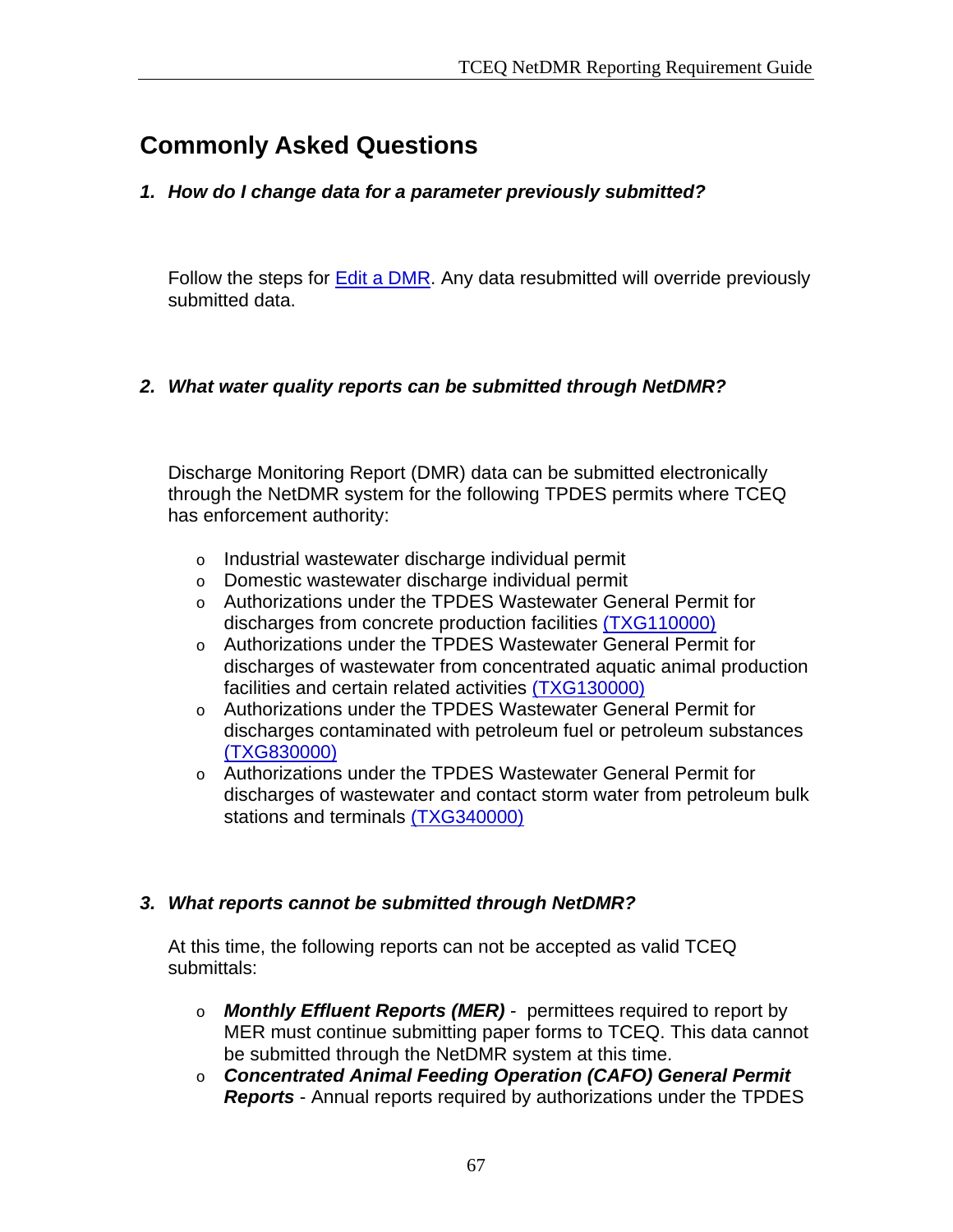# **Commonly Asked Questions**

*1. How do I change data for a parameter previously submitted?* 

Follow the steps for Edit a DMR. Any data resubmitted will override previously submitted data.

### *2. What water quality reports can be submitted through NetDMR?*

Discharge Monitoring Report (DMR) data can be submitted electronically through the NetDMR system for the following TPDES permits where TCEQ has enforcement authority:

- o Industrial wastewater discharge individual permit
- o Domestic wastewater discharge individual permit
- o Authorizations under the TPDES Wastewater General Permit for discharges from concrete production facilities (TXG110000)
- o Authorizations under the TPDES Wastewater General Permit for discharges of wastewater from concentrated aquatic animal production facilities and certain related activities (TXG130000)
- o Authorizations under the TPDES Wastewater General Permit for discharges contaminated with petroleum fuel or petroleum substances (TXG830000)
- o Authorizations under the TPDES Wastewater General Permit for discharges of wastewater and contact storm water from petroleum bulk stations and terminals (TXG340000)

### *3. What reports cannot be submitted through NetDMR?*

At this time, the following reports can not be accepted as valid TCEQ submittals:

- o *Monthly Effluent Reports (MER)* permittees required to report by MER must continue submitting paper forms to TCEQ. This data cannot be submitted through the NetDMR system at this time.
- o *Concentrated Animal Feeding Operation (CAFO) General Permit Reports* - Annual reports required by authorizations under the TPDES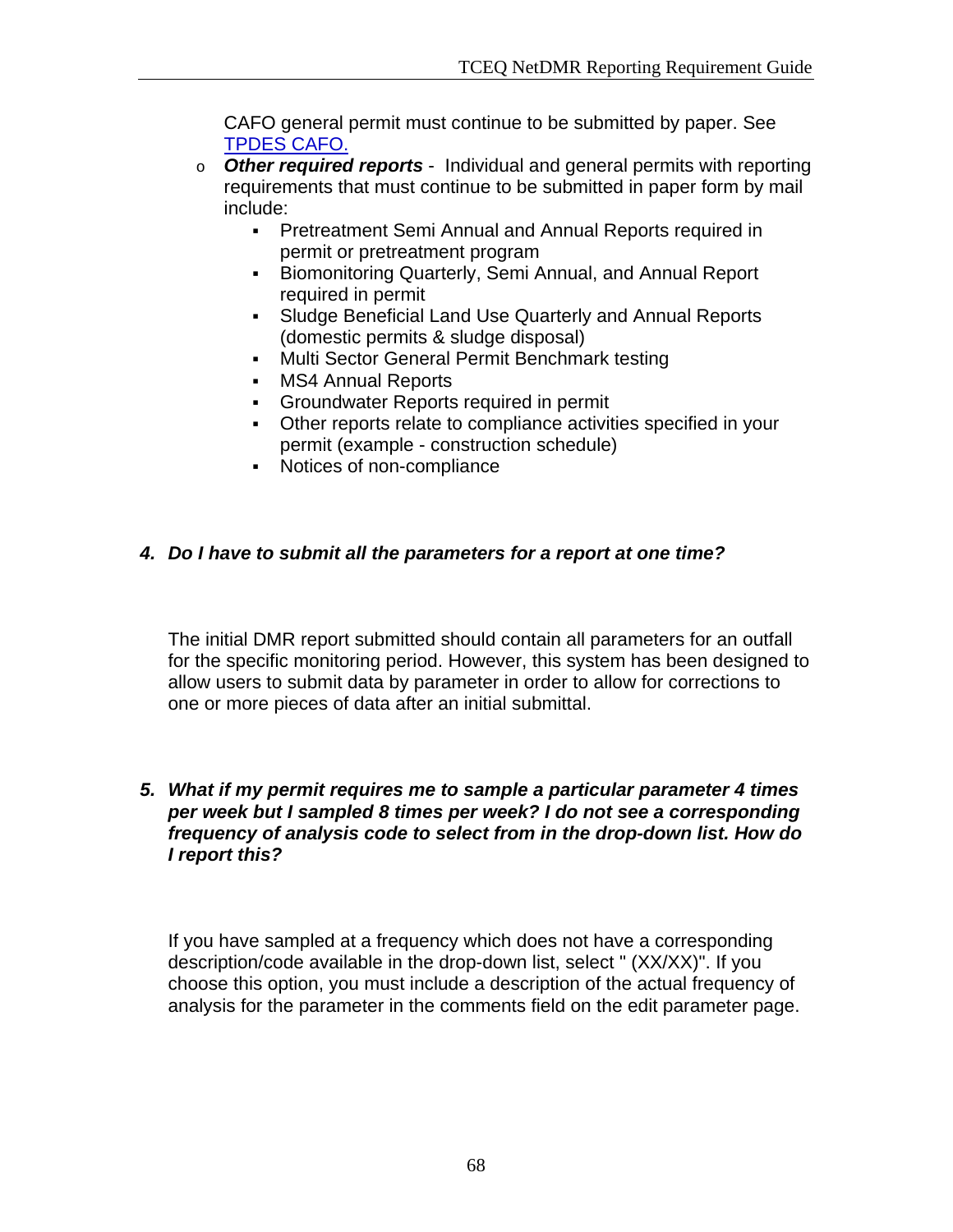CAFO general permit must continue to be submitted by paper. See TPDES CAFO.

- o *Other required reports* Individual and general permits with reporting requirements that must continue to be submitted in paper form by mail include:
	- **Pretreatment Semi Annual and Annual Reports required in** permit or pretreatment program
	- **Biomonitoring Quarterly, Semi Annual, and Annual Report** required in permit
	- Sludge Beneficial Land Use Quarterly and Annual Reports (domestic permits & sludge disposal)
	- **Multi Sector General Permit Benchmark testing**
	- **MS4 Annual Reports**
	- Groundwater Reports required in permit
	- Other reports relate to compliance activities specified in your permit (example - construction schedule)
	- Notices of non-compliance

# *4. Do I have to submit all the parameters for a report at one time?*

The initial DMR report submitted should contain all parameters for an outfall for the specific monitoring period. However, this system has been designed to allow users to submit data by parameter in order to allow for corrections to one or more pieces of data after an initial submittal.

### *5. What if my permit requires me to sample a particular parameter 4 times per week but I sampled 8 times per week? I do not see a corresponding frequency of analysis code to select from in the drop-down list. How do I report this?*

If you have sampled at a frequency which does not have a corresponding description/code available in the drop-down list, select " (XX/XX)". If you choose this option, you must include a description of the actual frequency of analysis for the parameter in the comments field on the edit parameter page.